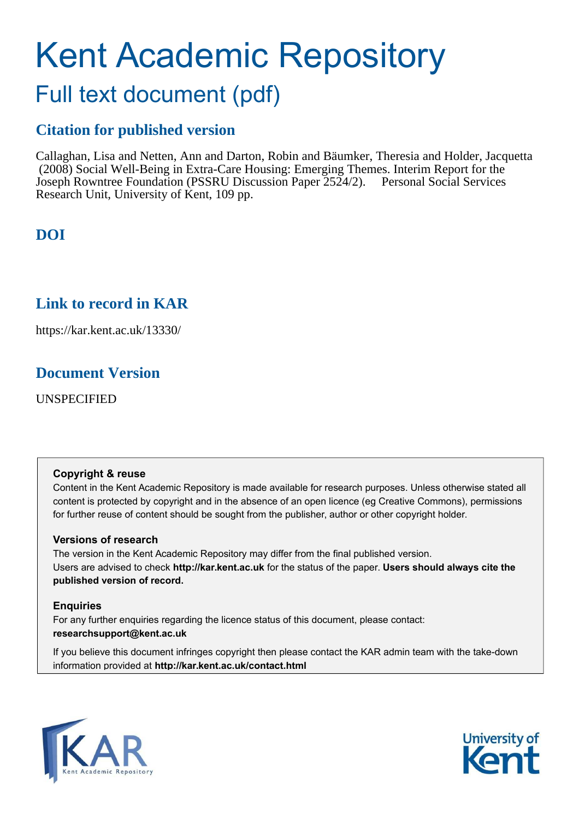# Kent Academic Repository

# Full text document (pdf)

# **Citation for published version**

Callaghan, Lisa and Netten, Ann and Darton, Robin and Bäumker, Theresia and Holder, Jacquetta (2008) Social Well-Being in Extra-Care Housing: Emerging Themes. Interim Report for the Joseph Rowntree Foundation (PSSRU Discussion Paper 2524/2). Personal Social Services Research Unit, University of Kent, 109 pp.

# **DOI**

## **Link to record in KAR**

https://kar.kent.ac.uk/13330/

## **Document Version**

UNSPECIFIED

#### **Copyright & reuse**

Content in the Kent Academic Repository is made available for research purposes. Unless otherwise stated all content is protected by copyright and in the absence of an open licence (eg Creative Commons), permissions for further reuse of content should be sought from the publisher, author or other copyright holder.

#### **Versions of research**

The version in the Kent Academic Repository may differ from the final published version. Users are advised to check **http://kar.kent.ac.uk** for the status of the paper. **Users should always cite the published version of record.**

#### **Enquiries**

For any further enquiries regarding the licence status of this document, please contact: **researchsupport@kent.ac.uk**

If you believe this document infringes copyright then please contact the KAR admin team with the take-down information provided at **http://kar.kent.ac.uk/contact.html**



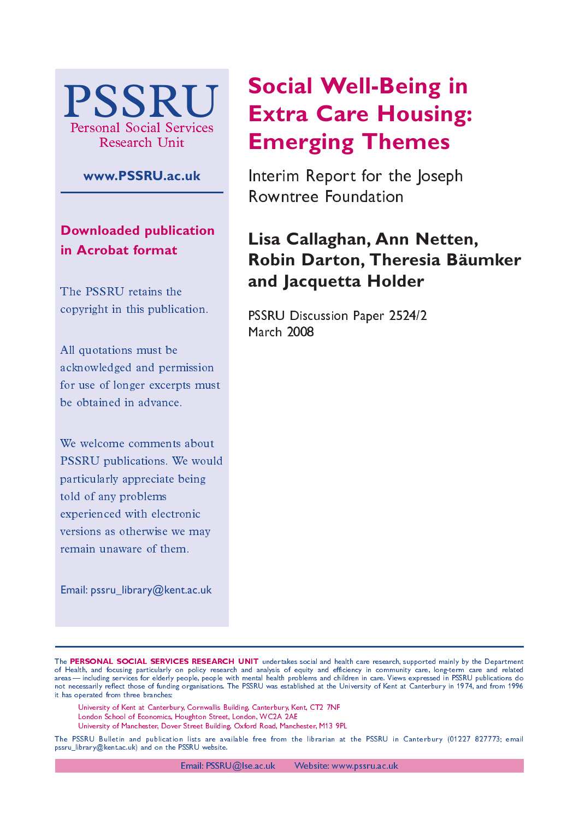

#### **www.PSSRU.ac.uk**

### **Downloaded publication in Acrobat format**

The PSSRU retains the copyright in this publication.

All quotations must be acknowledged and permission for use of longer excerpts must be obtained in advance.

We welcome comments about PSSRU publications. We would particularly appreciate being told of any problems experienced with electronic versions as otherwise we may remain unaware of them.

Email: pssru\_library@kent.ac.uk

# **Social Well-Being in Extra Care Housing: Emerging Themes**

Interim Report for the Joseph Rowntree Foundation

# **Lisa Callaghan, Ann Netten, Robin Darton, Theresia Bäumker and Jacquetta Holder**

PSSRU Discussion Paper 2524/2 March 2008

University of Kent at Canterbury, Cornwallis Building, Canterbury, Kent, CT2 7NF

London School of Economics, Houghton Street, London, WC2A 2AE

University of Manchester, Dover Street Building, Oxford Road, Manchester, M13-9PL

The PSSRU Bulletin and publication lists are available free from the librarian at the PSSRU in Canterbury (01227–827773; email pssru\_library@kent.ac.uk) and on the PSSRU website.

The PERSONAL SOCIAL SERVICES RESEARCH UNIT undertakes social and health care research, supported mainly by the Department of Health, and focusing particularly on policy research and analysis of equity and efficiency in community care, long-term care and related areas—including services for elderly people, people with mental health problems and children in care. Views expressed in PSSRU publications do not necessarily reflect those of funding organisations. The PSSRU was established at the University of Kent at Canterbury in 1974, and from 1996 it has operated from three branches: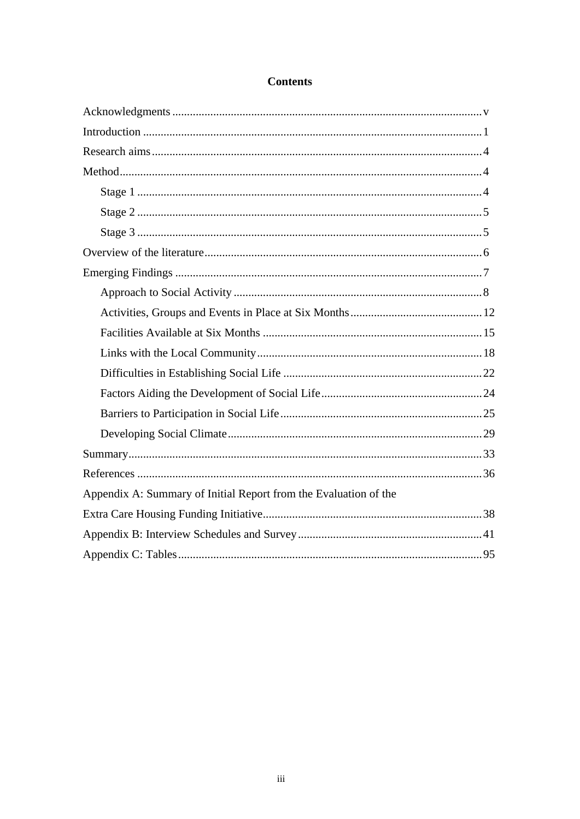#### **Contents**

| Appendix A: Summary of Initial Report from the Evaluation of the |  |
|------------------------------------------------------------------|--|
|                                                                  |  |
|                                                                  |  |
|                                                                  |  |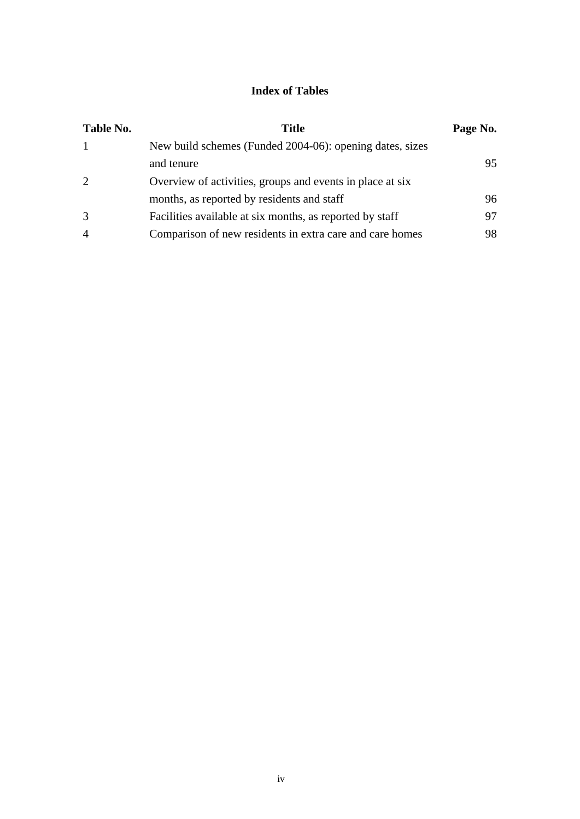#### **Index of Tables**

| Table No.                   | <b>Title</b>                                              | Page No. |
|-----------------------------|-----------------------------------------------------------|----------|
| 1                           | New build schemes (Funded 2004-06): opening dates, sizes  |          |
|                             | and tenure                                                | 95       |
| $\mathcal{D}_{\mathcal{L}}$ | Overview of activities, groups and events in place at six |          |
|                             | months, as reported by residents and staff                | 96.      |
| 3                           | Facilities available at six months, as reported by staff  | 97       |
| $\overline{A}$              | Comparison of new residents in extra care and care homes  | 98       |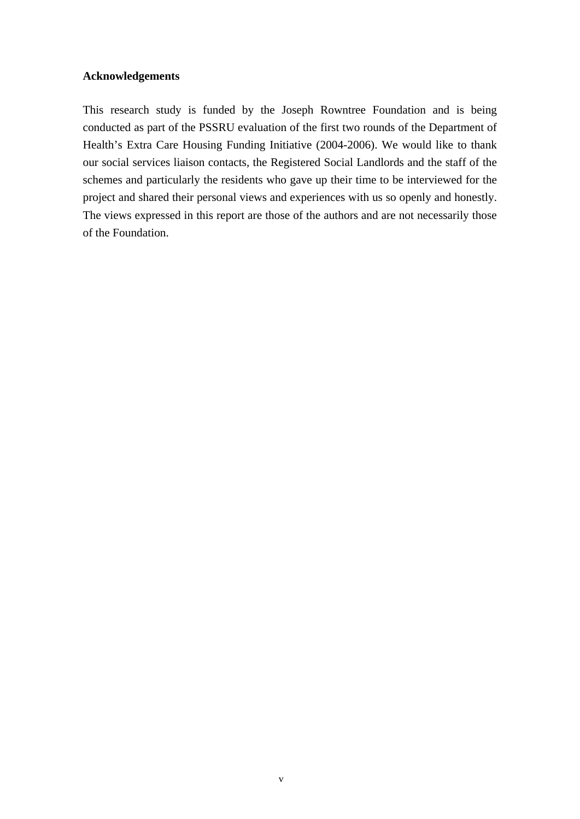#### **Acknowledgements**

This research study is funded by the Joseph Rowntree Foundation and is being conducted as part of the PSSRU evaluation of the first two rounds of the Department of Health's Extra Care Housing Funding Initiative (2004-2006). We would like to thank our social services liaison contacts, the Registered Social Landlords and the staff of the schemes and particularly the residents who gave up their time to be interviewed for the project and shared their personal views and experiences with us so openly and honestly. The views expressed in this report are those of the authors and are not necessarily those of the Foundation.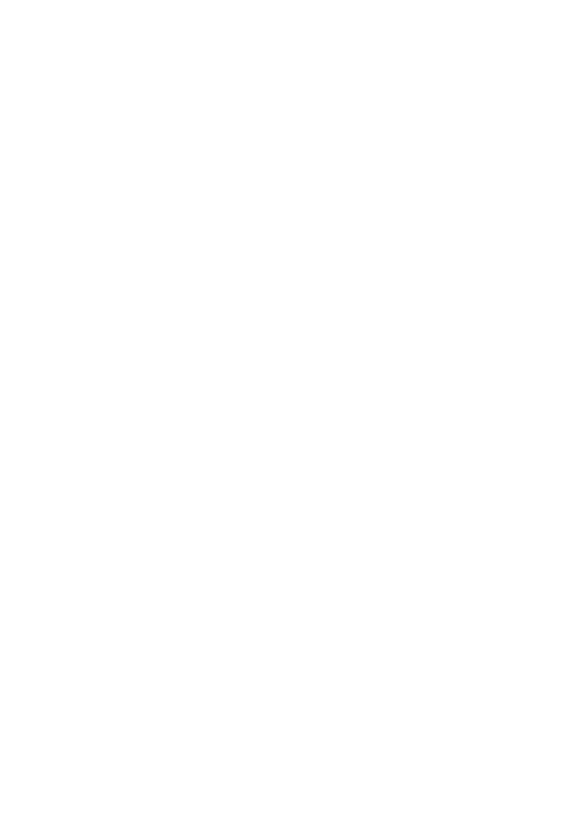<span id="page-6-1"></span><span id="page-6-0"></span>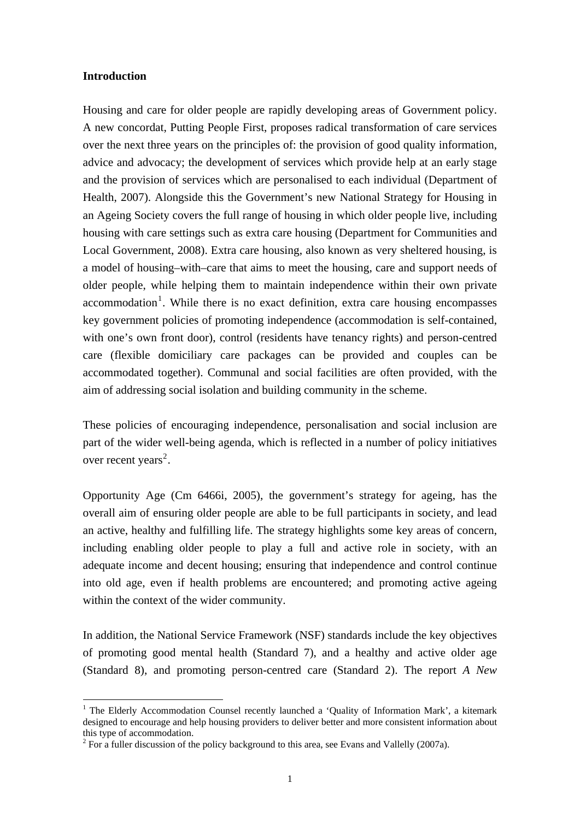#### **Introduction**

Housing and care for older people are rapidly developing areas of Government policy. A new concordat, Putting People First, proposes radical transformation of care services over the next three years on the principles of: the provision of good quality information, advice and advocacy; the development of services which provide help at an early stage and the provision of services which are personalised to each individual (Department of Health, 2007). Alongside this the Government's new National Strategy for Housing in an Ageing Society covers the full range of housing in which older people live, including housing with care settings such as extra care housing (Department for Communities and Local Government, 2008). Extra care housing, also known as very sheltered housing, is a model of housing–with–care that aims to meet the housing, care and support needs of older people, while helping them to maintain independence within their own private accommodation<sup>[1](#page-6-0)</sup>. While there is no exact definition, extra care housing encompasses key government policies of promoting independence (accommodation is self-contained, with one's own front door), control (residents have tenancy rights) and person-centred care (flexible domiciliary care packages can be provided and couples can be accommodated together). Communal and social facilities are often provided, with the aim of addressing social isolation and building community in the scheme.

These policies of encouraging independence, personalisation and social inclusion are part of the wider well-being agenda, which is reflected in a number of policy initiatives over recent years<sup>[2](#page-6-1)</sup>.

Opportunity Age (Cm 6466i, 2005), the government's strategy for ageing, has the overall aim of ensuring older people are able to be full participants in society, and lead an active, healthy and fulfilling life. The strategy highlights some key areas of concern, including enabling older people to play a full and active role in society, with an adequate income and decent housing; ensuring that independence and control continue into old age, even if health problems are encountered; and promoting active ageing within the context of the wider community.

In addition, the National Service Framework (NSF) standards include the key objectives of promoting good mental health (Standard 7), and a healthy and active older age (Standard 8), and promoting person-centred care (Standard 2). The report *A New* 

The Elderly Accommodation Counsel recently launched a 'Quality of Information Mark', a kitemark designed to encourage and help housing providers to deliver better and more consistent information about this type of accommodation.

 $2^2$  For a fuller discussion of the policy background to this area, see Evans and Vallelly (2007a).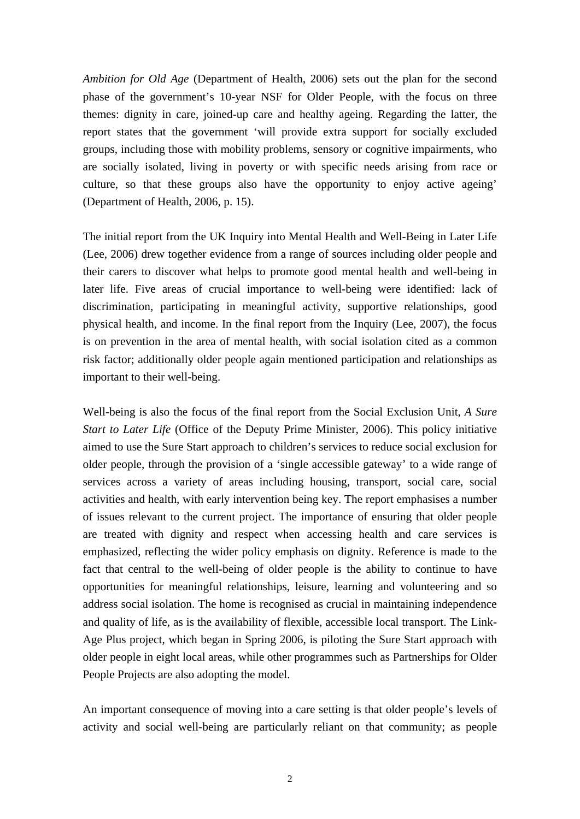*Ambition for Old Age* (Department of Health, 2006) sets out the plan for the second phase of the government's 10-year NSF for Older People, with the focus on three themes: dignity in care, joined-up care and healthy ageing. Regarding the latter, the report states that the government 'will provide extra support for socially excluded groups, including those with mobility problems, sensory or cognitive impairments, who are socially isolated, living in poverty or with specific needs arising from race or culture, so that these groups also have the opportunity to enjoy active ageing' (Department of Health, 2006, p. 15).

The initial report from the UK Inquiry into Mental Health and Well-Being in Later Life (Lee, 2006) drew together evidence from a range of sources including older people and their carers to discover what helps to promote good mental health and well-being in later life. Five areas of crucial importance to well-being were identified: lack of discrimination, participating in meaningful activity, supportive relationships, good physical health, and income. In the final report from the Inquiry (Lee, 2007), the focus is on prevention in the area of mental health, with social isolation cited as a common risk factor; additionally older people again mentioned participation and relationships as important to their well-being.

Well-being is also the focus of the final report from the Social Exclusion Unit, *A Sure Start to Later Life* (Office of the Deputy Prime Minister, 2006). This policy initiative aimed to use the Sure Start approach to children's services to reduce social exclusion for older people, through the provision of a 'single accessible gateway' to a wide range of services across a variety of areas including housing, transport, social care, social activities and health, with early intervention being key. The report emphasises a number of issues relevant to the current project. The importance of ensuring that older people are treated with dignity and respect when accessing health and care services is emphasized, reflecting the wider policy emphasis on dignity. Reference is made to the fact that central to the well-being of older people is the ability to continue to have opportunities for meaningful relationships, leisure, learning and volunteering and so address social isolation. The home is recognised as crucial in maintaining independence and quality of life, as is the availability of flexible, accessible local transport. The Link-Age Plus project, which began in Spring 2006, is piloting the Sure Start approach with older people in eight local areas, while other programmes such as Partnerships for Older People Projects are also adopting the model.

<span id="page-8-0"></span>An important consequence of moving into a care setting is that older people's levels of activity and social well-being are particularly reliant on that community; as people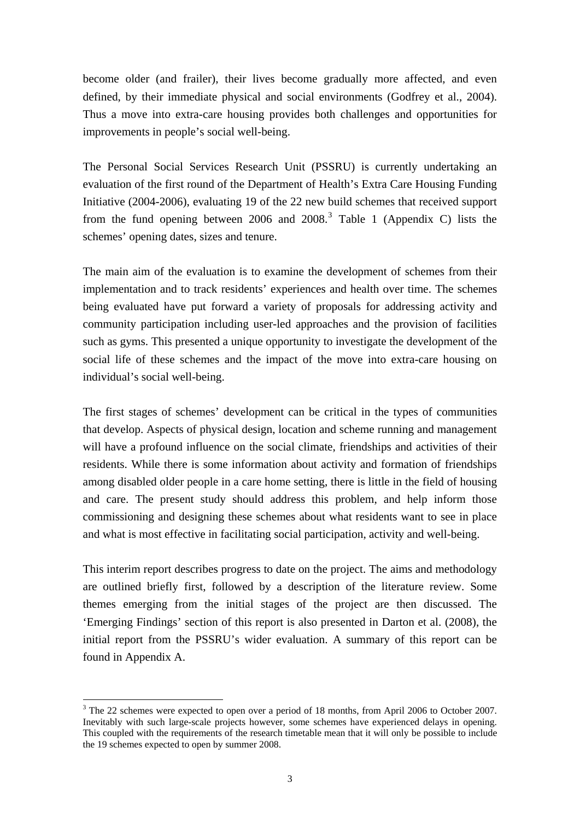become older (and frailer), their lives become gradually more affected, and even defined, by their immediate physical and social environments (Godfrey et al., 2004). Thus a move into extra-care housing provides both challenges and opportunities for improvements in people's social well-being.

The Personal Social Services Research Unit (PSSRU) is currently undertaking an evaluation of the first round of the Department of Health's Extra Care Housing Funding Initiative (2004-2006), evaluating 19 of the 22 new build schemes that received support from the fund opening between 2006 and 2008.<sup>[3](#page-8-0)</sup> Table 1 (Appendix C) lists the schemes' opening dates, sizes and tenure.

The main aim of the evaluation is to examine the development of schemes from their implementation and to track residents' experiences and health over time. The schemes being evaluated have put forward a variety of proposals for addressing activity and community participation including user-led approaches and the provision of facilities such as gyms. This presented a unique opportunity to investigate the development of the social life of these schemes and the impact of the move into extra-care housing on individual's social well-being.

The first stages of schemes' development can be critical in the types of communities that develop. Aspects of physical design, location and scheme running and management will have a profound influence on the social climate, friendships and activities of their residents. While there is some information about activity and formation of friendships among disabled older people in a care home setting, there is little in the field of housing and care. The present study should address this problem, and help inform those commissioning and designing these schemes about what residents want to see in place and what is most effective in facilitating social participation, activity and well-being.

This interim report describes progress to date on the project. The aims and methodology are outlined briefly first, followed by a description of the literature review. Some themes emerging from the initial stages of the project are then discussed. The 'Emerging Findings' section of this report is also presented in Darton et al. (2008), the initial report from the PSSRU's wider evaluation. A summary of this report can be found in Appendix A.

<span id="page-9-1"></span><span id="page-9-0"></span><sup>&</sup>lt;u>.</u>  $3$  The 22 schemes were expected to open over a period of 18 months, from April 2006 to October 2007. Inevitably with such large-scale projects however, some schemes have experienced delays in opening. This coupled with the requirements of the research timetable mean that it will only be possible to include the 19 schemes expected to open by summer 2008.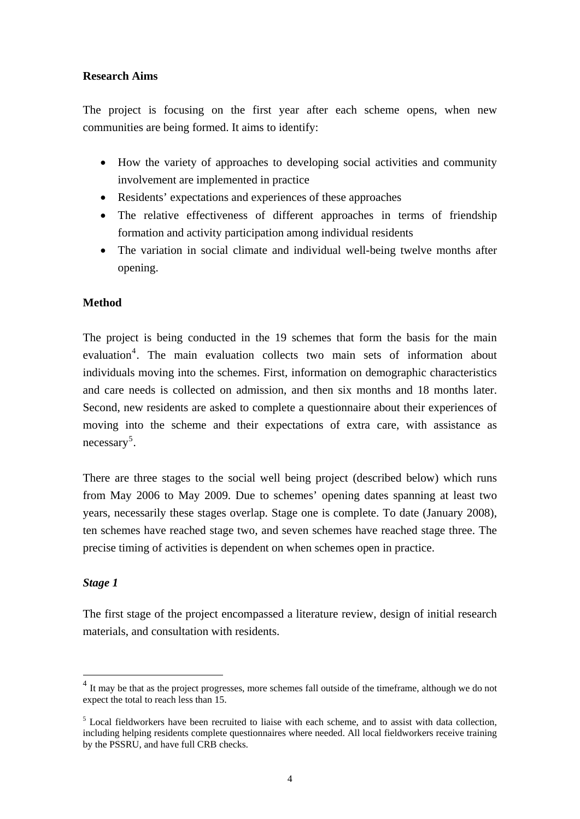#### **Research Aims**

The project is focusing on the first year after each scheme opens, when new communities are being formed. It aims to identify:

- How the variety of approaches to developing social activities and community involvement are implemented in practice
- Residents' expectations and experiences of these approaches
- The relative effectiveness of different approaches in terms of friendship formation and activity participation among individual residents
- The variation in social climate and individual well-being twelve months after opening.

#### **Method**

The project is being conducted in the 19 schemes that form the basis for the main evaluation<sup>[4](#page-9-0)</sup>. The main evaluation collects two main sets of information about individuals moving into the schemes. First, information on demographic characteristics and care needs is collected on admission, and then six months and 18 months later. Second, new residents are asked to complete a questionnaire about their experiences of moving into the scheme and their expectations of extra care, with assistance as necessary<sup>[5](#page-9-1)</sup>.

There are three stages to the social well being project (described below) which runs from May 2006 to May 2009. Due to schemes' opening dates spanning at least two years, necessarily these stages overlap. Stage one is complete. To date (January 2008), ten schemes have reached stage two, and seven schemes have reached stage three. The precise timing of activities is dependent on when schemes open in practice.

#### *Stage 1*

<u>.</u>

The first stage of the project encompassed a literature review, design of initial research materials, and consultation with residents.

 $4$  It may be that as the project progresses, more schemes fall outside of the timeframe, although we do not expect the total to reach less than 15.

<sup>&</sup>lt;sup>5</sup> Local fieldworkers have been recruited to liaise with each scheme, and to assist with data collection, including helping residents complete questionnaires where needed. All local fieldworkers receive training by the PSSRU, and have full CRB checks.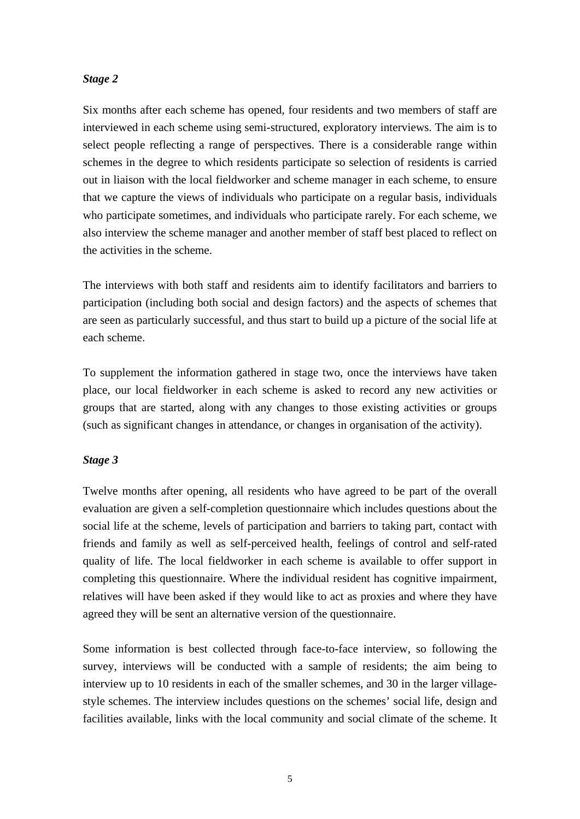#### *Stage 2*

Six months after each scheme has opened, four residents and two members of staff are interviewed in each scheme using semi-structured, exploratory interviews. The aim is to select people reflecting a range of perspectives. There is a considerable range within schemes in the degree to which residents participate so selection of residents is carried out in liaison with the local fieldworker and scheme manager in each scheme, to ensure that we capture the views of individuals who participate on a regular basis, individuals who participate sometimes, and individuals who participate rarely. For each scheme, we also interview the scheme manager and another member of staff best placed to reflect on the activities in the scheme.

The interviews with both staff and residents aim to identify facilitators and barriers to participation (including both social and design factors) and the aspects of schemes that are seen as particularly successful, and thus start to build up a picture of the social life at each scheme.

To supplement the information gathered in stage two, once the interviews have taken place, our local fieldworker in each scheme is asked to record any new activities or groups that are started, along with any changes to those existing activities or groups (such as significant changes in attendance, or changes in organisation of the activity).

#### *Stage 3*

Twelve months after opening, all residents who have agreed to be part of the overall evaluation are given a self-completion questionnaire which includes questions about the social life at the scheme, levels of participation and barriers to taking part, contact with friends and family as well as self-perceived health, feelings of control and self-rated quality of life. The local fieldworker in each scheme is available to offer support in completing this questionnaire. Where the individual resident has cognitive impairment, relatives will have been asked if they would like to act as proxies and where they have agreed they will be sent an alternative version of the questionnaire.

Some information is best collected through face-to-face interview, so following the survey, interviews will be conducted with a sample of residents; the aim being to interview up to 10 residents in each of the smaller schemes, and 30 in the larger villagestyle schemes. The interview includes questions on the schemes' social life, design and facilities available, links with the local community and social climate of the scheme. It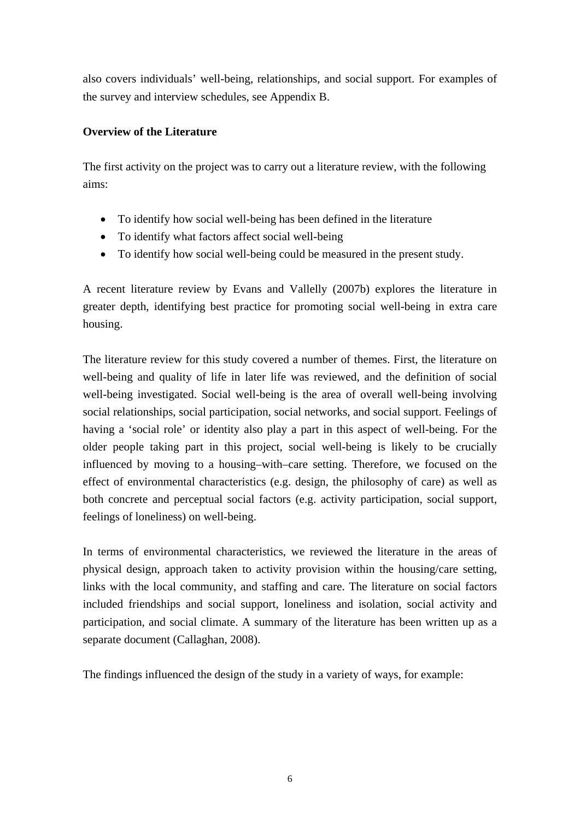also covers individuals' well-being, relationships, and social support. For examples of the survey and interview schedules, see Appendix B.

#### **Overview of the Literature**

The first activity on the project was to carry out a literature review, with the following aims:

- To identify how social well-being has been defined in the literature
- To identify what factors affect social well-being
- To identify how social well-being could be measured in the present study.

A recent literature review by Evans and Vallelly (2007b) explores the literature in greater depth, identifying best practice for promoting social well-being in extra care housing.

The literature review for this study covered a number of themes. First, the literature on well-being and quality of life in later life was reviewed, and the definition of social well-being investigated. Social well-being is the area of overall well-being involving social relationships, social participation, social networks, and social support. Feelings of having a 'social role' or identity also play a part in this aspect of well-being. For the older people taking part in this project, social well-being is likely to be crucially influenced by moving to a housing–with–care setting. Therefore, we focused on the effect of environmental characteristics (e.g. design, the philosophy of care) as well as both concrete and perceptual social factors (e.g. activity participation, social support, feelings of loneliness) on well-being.

In terms of environmental characteristics, we reviewed the literature in the areas of physical design, approach taken to activity provision within the housing/care setting, links with the local community, and staffing and care. The literature on social factors included friendships and social support, loneliness and isolation, social activity and participation, and social climate. A summary of the literature has been written up as a separate document (Callaghan, 2008).

The findings influenced the design of the study in a variety of ways, for example: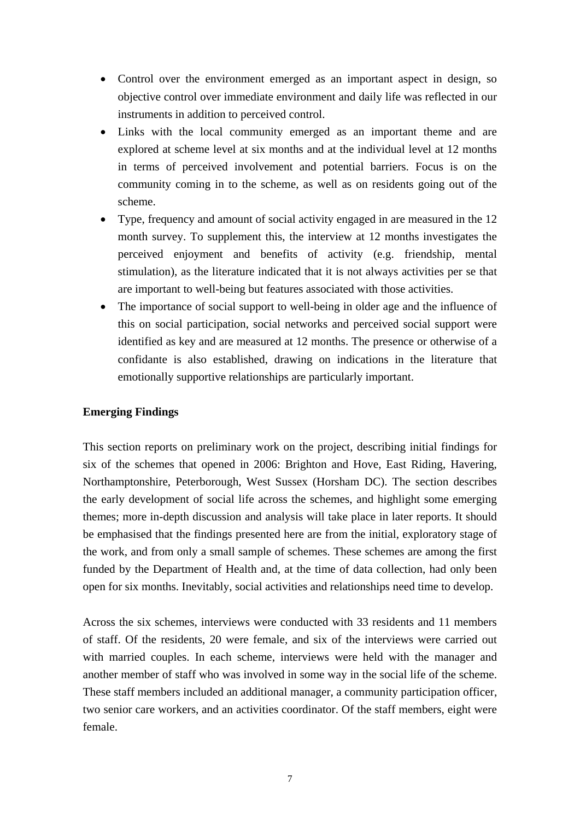- Control over the environment emerged as an important aspect in design, so objective control over immediate environment and daily life was reflected in our instruments in addition to perceived control.
- Links with the local community emerged as an important theme and are explored at scheme level at six months and at the individual level at 12 months in terms of perceived involvement and potential barriers. Focus is on the community coming in to the scheme, as well as on residents going out of the scheme.
- Type, frequency and amount of social activity engaged in are measured in the 12 month survey. To supplement this, the interview at 12 months investigates the perceived enjoyment and benefits of activity (e.g. friendship, mental stimulation), as the literature indicated that it is not always activities per se that are important to well-being but features associated with those activities.
- The importance of social support to well-being in older age and the influence of this on social participation, social networks and perceived social support were identified as key and are measured at 12 months. The presence or otherwise of a confidante is also established, drawing on indications in the literature that emotionally supportive relationships are particularly important.

#### **Emerging Findings**

This section reports on preliminary work on the project, describing initial findings for six of the schemes that opened in 2006: Brighton and Hove, East Riding, Havering, Northamptonshire, Peterborough, West Sussex (Horsham DC). The section describes the early development of social life across the schemes, and highlight some emerging themes; more in-depth discussion and analysis will take place in later reports. It should be emphasised that the findings presented here are from the initial, exploratory stage of the work, and from only a small sample of schemes. These schemes are among the first funded by the Department of Health and, at the time of data collection, had only been open for six months. Inevitably, social activities and relationships need time to develop.

<span id="page-13-0"></span>Across the six schemes, interviews were conducted with 33 residents and 11 members of staff. Of the residents, 20 were female, and six of the interviews were carried out with married couples. In each scheme, interviews were held with the manager and another member of staff who was involved in some way in the social life of the scheme. These staff members included an additional manager, a community participation officer, two senior care workers, and an activities coordinator. Of the staff members, eight were female.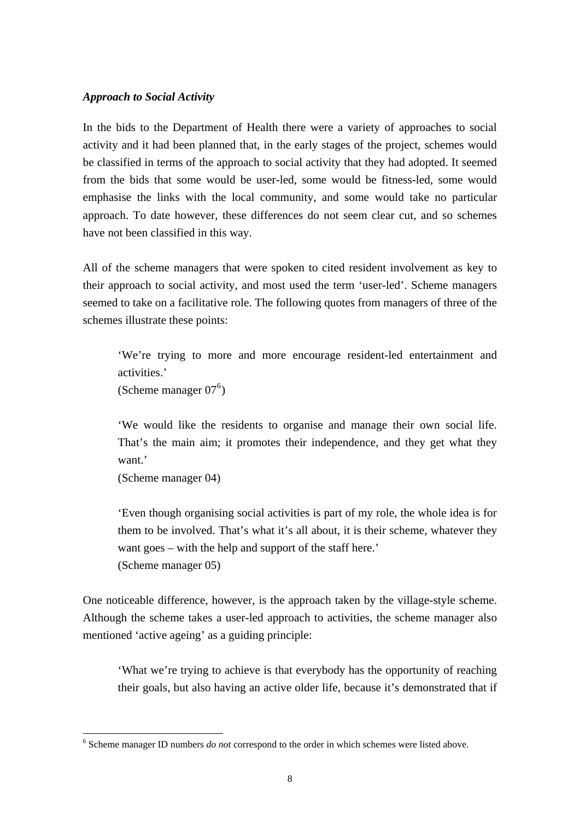#### *Approach to Social Activity*

In the bids to the Department of Health there were a variety of approaches to social activity and it had been planned that, in the early stages of the project, schemes would be classified in terms of the approach to social activity that they had adopted. It seemed from the bids that some would be user-led, some would be fitness-led, some would emphasise the links with the local community, and some would take no particular approach. To date however, these differences do not seem clear cut, and so schemes have not been classified in this way.

All of the scheme managers that were spoken to cited resident involvement as key to their approach to social activity, and most used the term 'user-led'. Scheme managers seemed to take on a facilitative role. The following quotes from managers of three of the schemes illustrate these points:

'We're trying to more and more encourage resident-led entertainment and activities.'

(Scheme manager  $07^6$  $07^6$ )

'We would like the residents to organise and manage their own social life. That's the main aim; it promotes their independence, and they get what they want<sup>'</sup>

(Scheme manager 04)

<u>.</u>

'Even though organising social activities is part of my role, the whole idea is for them to be involved. That's what it's all about, it is their scheme, whatever they want goes – with the help and support of the staff here.' (Scheme manager 05)

One noticeable difference, however, is the approach taken by the village-style scheme. Although the scheme takes a user-led approach to activities, the scheme manager also mentioned 'active ageing' as a guiding principle:

'What we're trying to achieve is that everybody has the opportunity of reaching their goals, but also having an active older life, because it's demonstrated that if

<sup>6</sup> Scheme manager ID numbers *do not* correspond to the order in which schemes were listed above.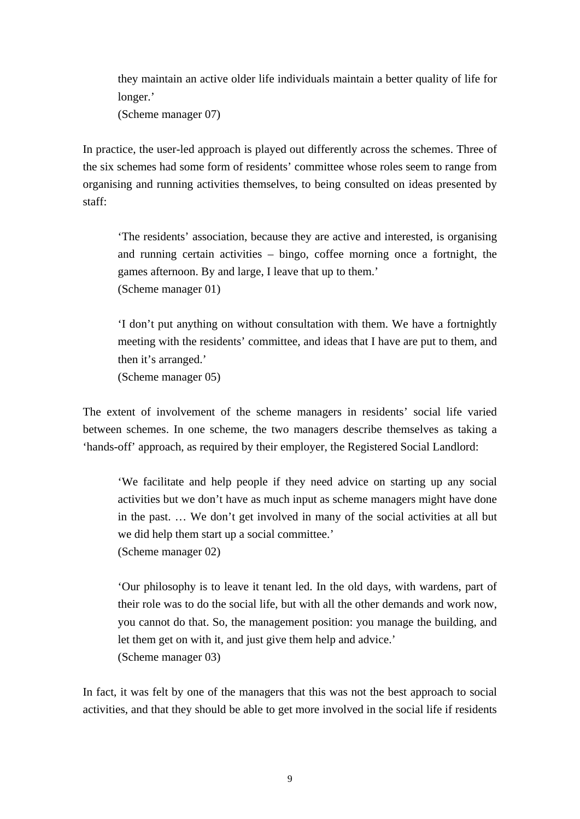they maintain an active older life individuals maintain a better quality of life for longer.'

(Scheme manager 07)

In practice, the user-led approach is played out differently across the schemes. Three of the six schemes had some form of residents' committee whose roles seem to range from organising and running activities themselves, to being consulted on ideas presented by staff:

'The residents' association, because they are active and interested, is organising and running certain activities – bingo, coffee morning once a fortnight, the games afternoon. By and large, I leave that up to them.' (Scheme manager 01)

'I don't put anything on without consultation with them. We have a fortnightly meeting with the residents' committee, and ideas that I have are put to them, and then it's arranged.' (Scheme manager 05)

The extent of involvement of the scheme managers in residents' social life varied between schemes. In one scheme, the two managers describe themselves as taking a 'hands-off' approach, as required by their employer, the Registered Social Landlord:

'We facilitate and help people if they need advice on starting up any social activities but we don't have as much input as scheme managers might have done in the past. … We don't get involved in many of the social activities at all but we did help them start up a social committee.' (Scheme manager 02)

'Our philosophy is to leave it tenant led. In the old days, with wardens, part of their role was to do the social life, but with all the other demands and work now, you cannot do that. So, the management position: you manage the building, and let them get on with it, and just give them help and advice.' (Scheme manager 03)

In fact, it was felt by one of the managers that this was not the best approach to social activities, and that they should be able to get more involved in the social life if residents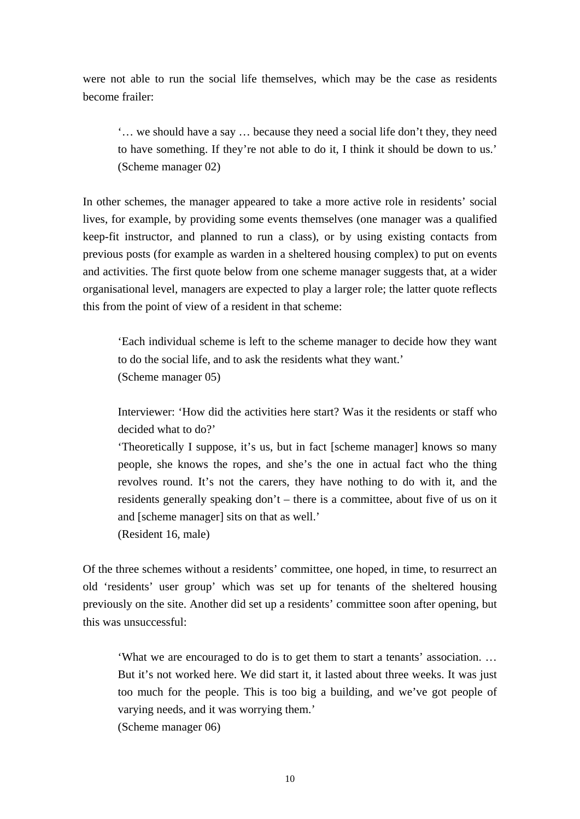were not able to run the social life themselves, which may be the case as residents become frailer:

'… we should have a say … because they need a social life don't they, they need to have something. If they're not able to do it, I think it should be down to us.' (Scheme manager 02)

In other schemes, the manager appeared to take a more active role in residents' social lives, for example, by providing some events themselves (one manager was a qualified keep-fit instructor, and planned to run a class), or by using existing contacts from previous posts (for example as warden in a sheltered housing complex) to put on events and activities. The first quote below from one scheme manager suggests that, at a wider organisational level, managers are expected to play a larger role; the latter quote reflects this from the point of view of a resident in that scheme:

'Each individual scheme is left to the scheme manager to decide how they want to do the social life, and to ask the residents what they want.' (Scheme manager 05)

Interviewer: 'How did the activities here start? Was it the residents or staff who decided what to do?'

'Theoretically I suppose, it's us, but in fact [scheme manager] knows so many people, she knows the ropes, and she's the one in actual fact who the thing revolves round. It's not the carers, they have nothing to do with it, and the residents generally speaking don't – there is a committee, about five of us on it and [scheme manager] sits on that as well.'

(Resident 16, male)

Of the three schemes without a residents' committee, one hoped, in time, to resurrect an old 'residents' user group' which was set up for tenants of the sheltered housing previously on the site. Another did set up a residents' committee soon after opening, but this was unsuccessful:

'What we are encouraged to do is to get them to start a tenants' association. … But it's not worked here. We did start it, it lasted about three weeks. It was just too much for the people. This is too big a building, and we've got people of varying needs, and it was worrying them.'

(Scheme manager 06)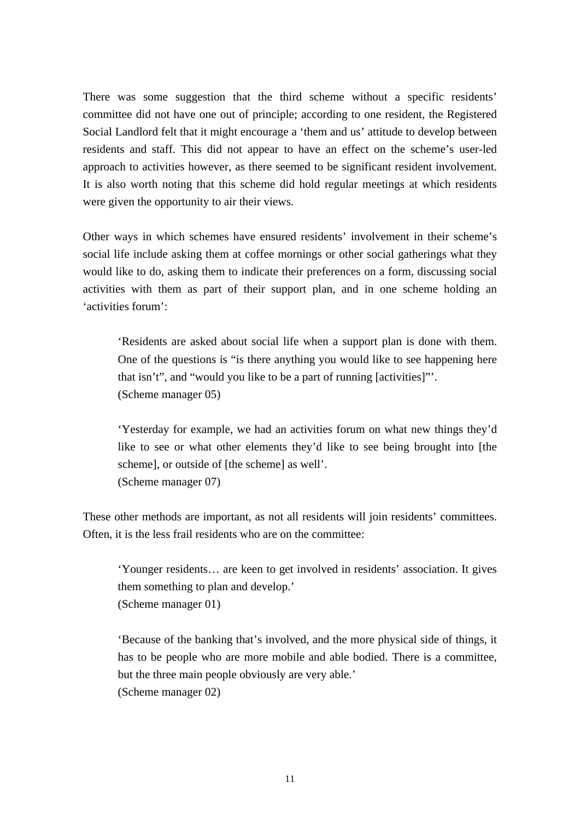There was some suggestion that the third scheme without a specific residents' committee did not have one out of principle; according to one resident, the Registered Social Landlord felt that it might encourage a 'them and us' attitude to develop between residents and staff. This did not appear to have an effect on the scheme's user-led approach to activities however, as there seemed to be significant resident involvement. It is also worth noting that this scheme did hold regular meetings at which residents were given the opportunity to air their views.

Other ways in which schemes have ensured residents' involvement in their scheme's social life include asking them at coffee mornings or other social gatherings what they would like to do, asking them to indicate their preferences on a form, discussing social activities with them as part of their support plan, and in one scheme holding an 'activities forum':

'Residents are asked about social life when a support plan is done with them. One of the questions is "is there anything you would like to see happening here that isn't", and "would you like to be a part of running [activities]"'. (Scheme manager 05)

'Yesterday for example, we had an activities forum on what new things they'd like to see or what other elements they'd like to see being brought into [the scheme], or outside of [the scheme] as well'. (Scheme manager 07)

These other methods are important, as not all residents will join residents' committees. Often, it is the less frail residents who are on the committee:

'Younger residents… are keen to get involved in residents' association. It gives them something to plan and develop.' (Scheme manager 01)

'Because of the banking that's involved, and the more physical side of things, it has to be people who are more mobile and able bodied. There is a committee, but the three main people obviously are very able.' (Scheme manager 02)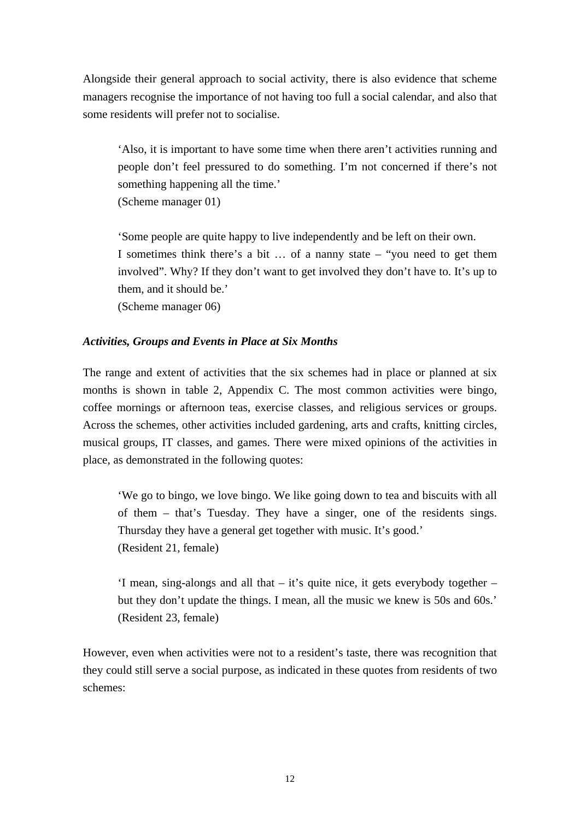Alongside their general approach to social activity, there is also evidence that scheme managers recognise the importance of not having too full a social calendar, and also that some residents will prefer not to socialise.

'Also, it is important to have some time when there aren't activities running and people don't feel pressured to do something. I'm not concerned if there's not something happening all the time.'

(Scheme manager 01)

'Some people are quite happy to live independently and be left on their own. I sometimes think there's a bit … of a nanny state – "you need to get them involved". Why? If they don't want to get involved they don't have to. It's up to them, and it should be.'

(Scheme manager 06)

#### *Activities, Groups and Events in Place at Six Months*

The range and extent of activities that the six schemes had in place or planned at six months is shown in table 2, Appendix C. The most common activities were bingo, coffee mornings or afternoon teas, exercise classes, and religious services or groups. Across the schemes, other activities included gardening, arts and crafts, knitting circles, musical groups, IT classes, and games. There were mixed opinions of the activities in place, as demonstrated in the following quotes:

'We go to bingo, we love bingo. We like going down to tea and biscuits with all of them – that's Tuesday. They have a singer, one of the residents sings. Thursday they have a general get together with music. It's good.' (Resident 21, female)

'I mean, sing-alongs and all that – it's quite nice, it gets everybody together – but they don't update the things. I mean, all the music we knew is 50s and 60s.' (Resident 23, female)

However, even when activities were not to a resident's taste, there was recognition that they could still serve a social purpose, as indicated in these quotes from residents of two schemes: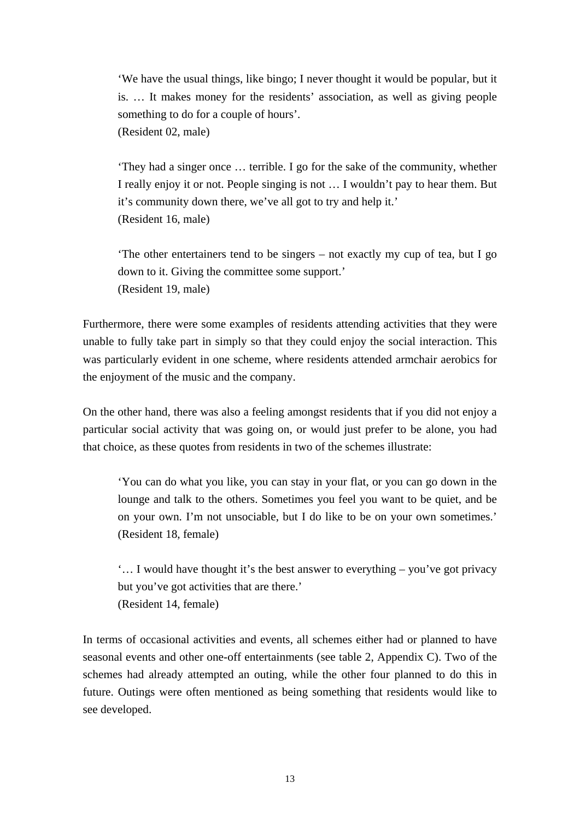'We have the usual things, like bingo; I never thought it would be popular, but it is. … It makes money for the residents' association, as well as giving people something to do for a couple of hours'. (Resident 02, male)

'They had a singer once … terrible. I go for the sake of the community, whether I really enjoy it or not. People singing is not … I wouldn't pay to hear them. But it's community down there, we've all got to try and help it.' (Resident 16, male)

'The other entertainers tend to be singers – not exactly my cup of tea, but I go down to it. Giving the committee some support.' (Resident 19, male)

Furthermore, there were some examples of residents attending activities that they were unable to fully take part in simply so that they could enjoy the social interaction. This was particularly evident in one scheme, where residents attended armchair aerobics for the enjoyment of the music and the company.

On the other hand, there was also a feeling amongst residents that if you did not enjoy a particular social activity that was going on, or would just prefer to be alone, you had that choice, as these quotes from residents in two of the schemes illustrate:

'You can do what you like, you can stay in your flat, or you can go down in the lounge and talk to the others. Sometimes you feel you want to be quiet, and be on your own. I'm not unsociable, but I do like to be on your own sometimes.' (Resident 18, female)

'… I would have thought it's the best answer to everything – you've got privacy but you've got activities that are there.' (Resident 14, female)

In terms of occasional activities and events, all schemes either had or planned to have seasonal events and other one-off entertainments (see table 2, Appendix C). Two of the schemes had already attempted an outing, while the other four planned to do this in future. Outings were often mentioned as being something that residents would like to see developed.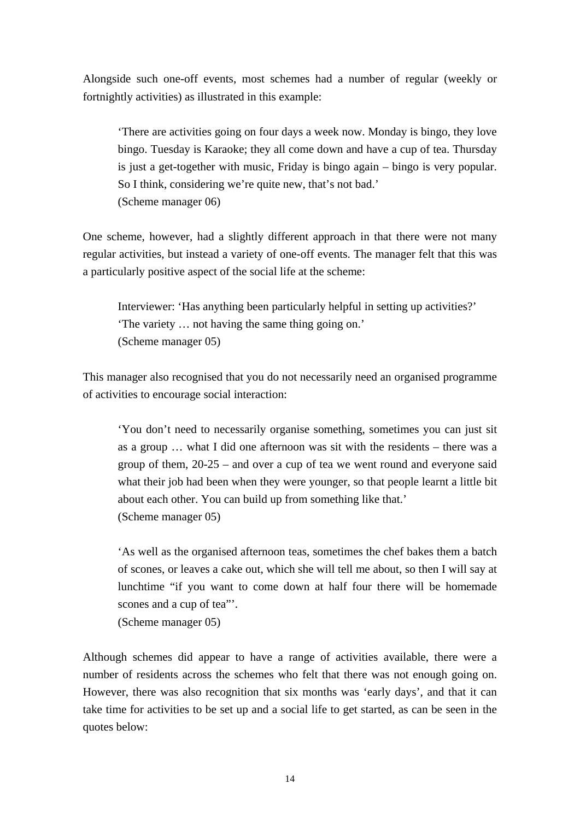Alongside such one-off events, most schemes had a number of regular (weekly or fortnightly activities) as illustrated in this example:

'There are activities going on four days a week now. Monday is bingo, they love bingo. Tuesday is Karaoke; they all come down and have a cup of tea. Thursday is just a get-together with music, Friday is bingo again – bingo is very popular. So I think, considering we're quite new, that's not bad.' (Scheme manager 06)

One scheme, however, had a slightly different approach in that there were not many regular activities, but instead a variety of one-off events. The manager felt that this was a particularly positive aspect of the social life at the scheme:

Interviewer: 'Has anything been particularly helpful in setting up activities?' 'The variety … not having the same thing going on.' (Scheme manager 05)

This manager also recognised that you do not necessarily need an organised programme of activities to encourage social interaction:

'You don't need to necessarily organise something, sometimes you can just sit as a group … what I did one afternoon was sit with the residents – there was a group of them, 20-25 – and over a cup of tea we went round and everyone said what their job had been when they were younger, so that people learnt a little bit about each other. You can build up from something like that.' (Scheme manager 05)

'As well as the organised afternoon teas, sometimes the chef bakes them a batch of scones, or leaves a cake out, which she will tell me about, so then I will say at lunchtime "if you want to come down at half four there will be homemade scones and a cup of tea"'.

(Scheme manager 05)

Although schemes did appear to have a range of activities available, there were a number of residents across the schemes who felt that there was not enough going on. However, there was also recognition that six months was 'early days', and that it can take time for activities to be set up and a social life to get started, as can be seen in the quotes below: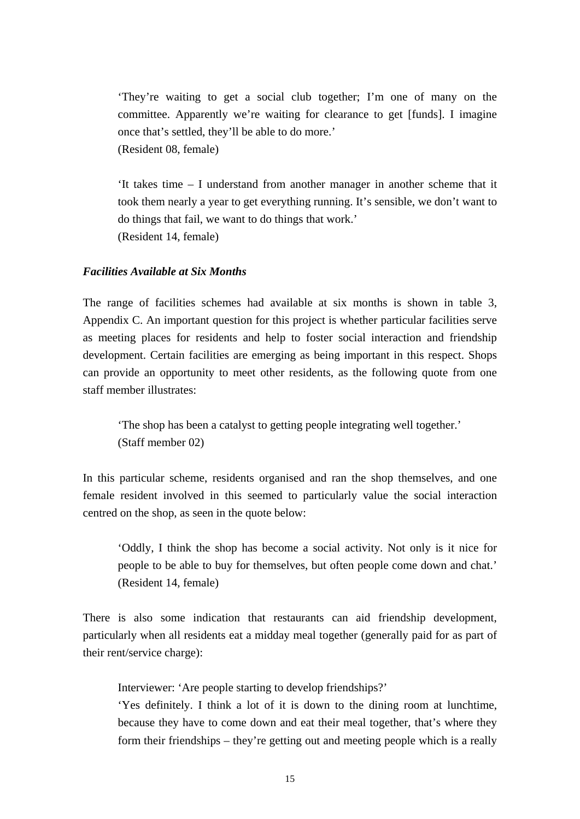'They're waiting to get a social club together; I'm one of many on the committee. Apparently we're waiting for clearance to get [funds]. I imagine once that's settled, they'll be able to do more.'

(Resident 08, female)

'It takes time – I understand from another manager in another scheme that it took them nearly a year to get everything running. It's sensible, we don't want to do things that fail, we want to do things that work.' (Resident 14, female)

#### *Facilities Available at Six Months*

The range of facilities schemes had available at six months is shown in table 3, Appendix C. An important question for this project is whether particular facilities serve as meeting places for residents and help to foster social interaction and friendship development. Certain facilities are emerging as being important in this respect. Shops can provide an opportunity to meet other residents, as the following quote from one staff member illustrates:

'The shop has been a catalyst to getting people integrating well together.' (Staff member 02)

In this particular scheme, residents organised and ran the shop themselves, and one female resident involved in this seemed to particularly value the social interaction centred on the shop, as seen in the quote below:

'Oddly, I think the shop has become a social activity. Not only is it nice for people to be able to buy for themselves, but often people come down and chat.' (Resident 14, female)

There is also some indication that restaurants can aid friendship development, particularly when all residents eat a midday meal together (generally paid for as part of their rent/service charge):

Interviewer: 'Are people starting to develop friendships?'

'Yes definitely. I think a lot of it is down to the dining room at lunchtime, because they have to come down and eat their meal together, that's where they form their friendships – they're getting out and meeting people which is a really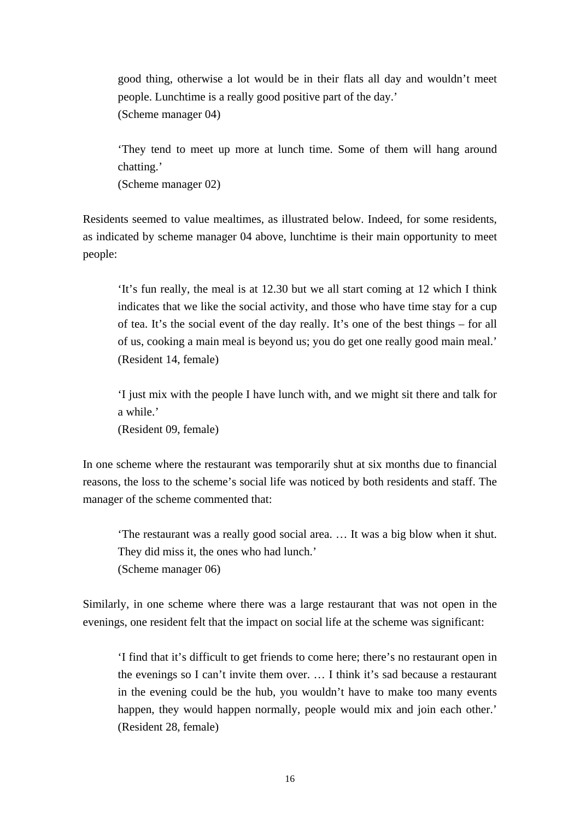good thing, otherwise a lot would be in their flats all day and wouldn't meet people. Lunchtime is a really good positive part of the day.' (Scheme manager 04)

'They tend to meet up more at lunch time. Some of them will hang around chatting.' (Scheme manager 02)

Residents seemed to value mealtimes, as illustrated below. Indeed, for some residents, as indicated by scheme manager 04 above, lunchtime is their main opportunity to meet people:

'It's fun really, the meal is at 12.30 but we all start coming at 12 which I think indicates that we like the social activity, and those who have time stay for a cup of tea. It's the social event of the day really. It's one of the best things – for all of us, cooking a main meal is beyond us; you do get one really good main meal.' (Resident 14, female)

'I just mix with the people I have lunch with, and we might sit there and talk for a while.'

(Resident 09, female)

In one scheme where the restaurant was temporarily shut at six months due to financial reasons, the loss to the scheme's social life was noticed by both residents and staff. The manager of the scheme commented that:

'The restaurant was a really good social area. … It was a big blow when it shut. They did miss it, the ones who had lunch.'

(Scheme manager 06)

Similarly, in one scheme where there was a large restaurant that was not open in the evenings, one resident felt that the impact on social life at the scheme was significant:

'I find that it's difficult to get friends to come here; there's no restaurant open in the evenings so I can't invite them over. … I think it's sad because a restaurant in the evening could be the hub, you wouldn't have to make too many events happen, they would happen normally, people would mix and join each other.' (Resident 28, female)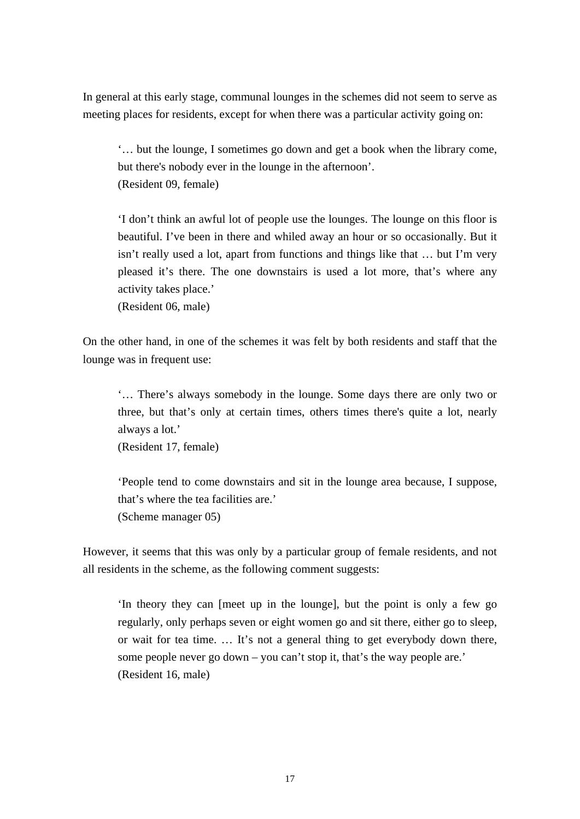In general at this early stage, communal lounges in the schemes did not seem to serve as meeting places for residents, except for when there was a particular activity going on:

'… but the lounge, I sometimes go down and get a book when the library come, but there's nobody ever in the lounge in the afternoon'. (Resident 09, female)

'I don't think an awful lot of people use the lounges. The lounge on this floor is beautiful. I've been in there and whiled away an hour or so occasionally. But it isn't really used a lot, apart from functions and things like that … but I'm very pleased it's there. The one downstairs is used a lot more, that's where any activity takes place.'

(Resident 06, male)

On the other hand, in one of the schemes it was felt by both residents and staff that the lounge was in frequent use:

'… There's always somebody in the lounge. Some days there are only two or three, but that's only at certain times, others times there's quite a lot, nearly always a lot.'

(Resident 17, female)

'People tend to come downstairs and sit in the lounge area because, I suppose, that's where the tea facilities are.' (Scheme manager 05)

However, it seems that this was only by a particular group of female residents, and not all residents in the scheme, as the following comment suggests:

'In theory they can [meet up in the lounge], but the point is only a few go regularly, only perhaps seven or eight women go and sit there, either go to sleep, or wait for tea time. … It's not a general thing to get everybody down there, some people never go down – you can't stop it, that's the way people are.' (Resident 16, male)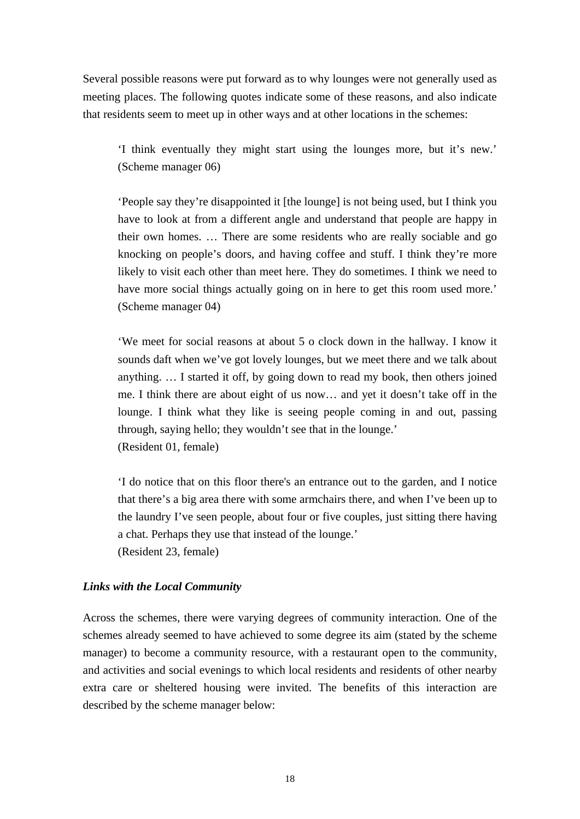Several possible reasons were put forward as to why lounges were not generally used as meeting places. The following quotes indicate some of these reasons, and also indicate that residents seem to meet up in other ways and at other locations in the schemes:

'I think eventually they might start using the lounges more, but it's new.' (Scheme manager 06)

'People say they're disappointed it [the lounge] is not being used, but I think you have to look at from a different angle and understand that people are happy in their own homes. … There are some residents who are really sociable and go knocking on people's doors, and having coffee and stuff. I think they're more likely to visit each other than meet here. They do sometimes. I think we need to have more social things actually going on in here to get this room used more.' (Scheme manager 04)

'We meet for social reasons at about 5 o clock down in the hallway. I know it sounds daft when we've got lovely lounges, but we meet there and we talk about anything. … I started it off, by going down to read my book, then others joined me. I think there are about eight of us now… and yet it doesn't take off in the lounge. I think what they like is seeing people coming in and out, passing through, saying hello; they wouldn't see that in the lounge.' (Resident 01, female)

'I do notice that on this floor there's an entrance out to the garden, and I notice that there's a big area there with some armchairs there, and when I've been up to the laundry I've seen people, about four or five couples, just sitting there having a chat. Perhaps they use that instead of the lounge.' (Resident 23, female)

#### *Links with the Local Community*

Across the schemes, there were varying degrees of community interaction. One of the schemes already seemed to have achieved to some degree its aim (stated by the scheme manager) to become a community resource, with a restaurant open to the community, and activities and social evenings to which local residents and residents of other nearby extra care or sheltered housing were invited. The benefits of this interaction are described by the scheme manager below: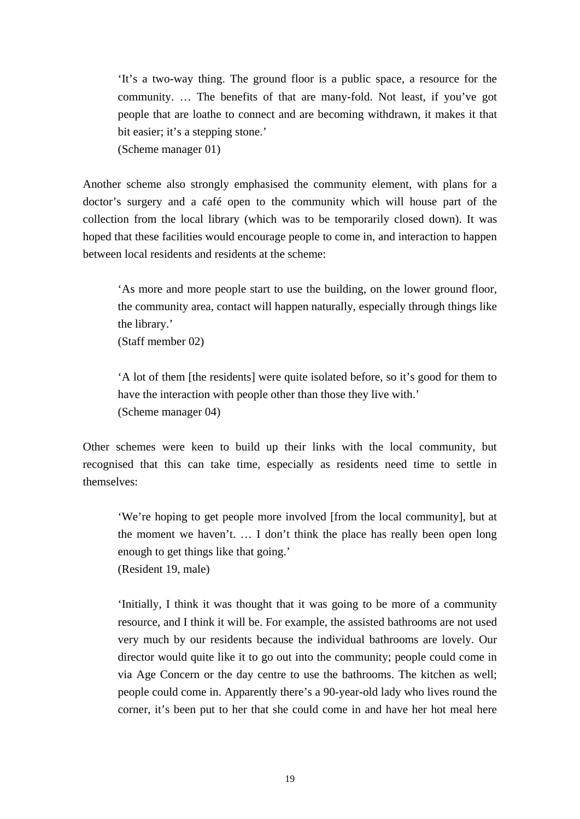'It's a two-way thing. The ground floor is a public space, a resource for the community. … The benefits of that are many-fold. Not least, if you've got people that are loathe to connect and are becoming withdrawn, it makes it that bit easier; it's a stepping stone.'

(Scheme manager 01)

Another scheme also strongly emphasised the community element, with plans for a doctor's surgery and a café open to the community which will house part of the collection from the local library (which was to be temporarily closed down). It was hoped that these facilities would encourage people to come in, and interaction to happen between local residents and residents at the scheme:

'As more and more people start to use the building, on the lower ground floor, the community area, contact will happen naturally, especially through things like the library.'

(Staff member 02)

'A lot of them [the residents] were quite isolated before, so it's good for them to have the interaction with people other than those they live with.' (Scheme manager 04)

Other schemes were keen to build up their links with the local community, but recognised that this can take time, especially as residents need time to settle in themselves:

'We're hoping to get people more involved [from the local community], but at the moment we haven't. … I don't think the place has really been open long enough to get things like that going.'

(Resident 19, male)

'Initially, I think it was thought that it was going to be more of a community resource, and I think it will be. For example, the assisted bathrooms are not used very much by our residents because the individual bathrooms are lovely. Our director would quite like it to go out into the community; people could come in via Age Concern or the day centre to use the bathrooms. The kitchen as well; people could come in. Apparently there's a 90-year-old lady who lives round the corner, it's been put to her that she could come in and have her hot meal here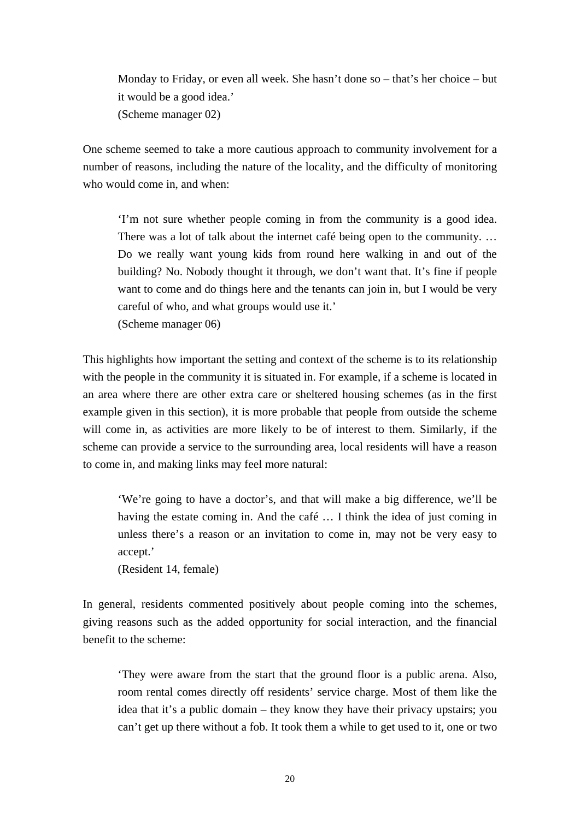Monday to Friday, or even all week. She hasn't done so – that's her choice – but it would be a good idea.' (Scheme manager 02)

One scheme seemed to take a more cautious approach to community involvement for a number of reasons, including the nature of the locality, and the difficulty of monitoring who would come in, and when:

'I'm not sure whether people coming in from the community is a good idea. There was a lot of talk about the internet café being open to the community. ... Do we really want young kids from round here walking in and out of the building? No. Nobody thought it through, we don't want that. It's fine if people want to come and do things here and the tenants can join in, but I would be very careful of who, and what groups would use it.' (Scheme manager 06)

This highlights how important the setting and context of the scheme is to its relationship with the people in the community it is situated in. For example, if a scheme is located in an area where there are other extra care or sheltered housing schemes (as in the first example given in this section), it is more probable that people from outside the scheme will come in, as activities are more likely to be of interest to them. Similarly, if the scheme can provide a service to the surrounding area, local residents will have a reason to come in, and making links may feel more natural:

'We're going to have a doctor's, and that will make a big difference, we'll be having the estate coming in. And the café … I think the idea of just coming in unless there's a reason or an invitation to come in, may not be very easy to accept.'

(Resident 14, female)

In general, residents commented positively about people coming into the schemes, giving reasons such as the added opportunity for social interaction, and the financial benefit to the scheme:

'They were aware from the start that the ground floor is a public arena. Also, room rental comes directly off residents' service charge. Most of them like the idea that it's a public domain – they know they have their privacy upstairs; you can't get up there without a fob. It took them a while to get used to it, one or two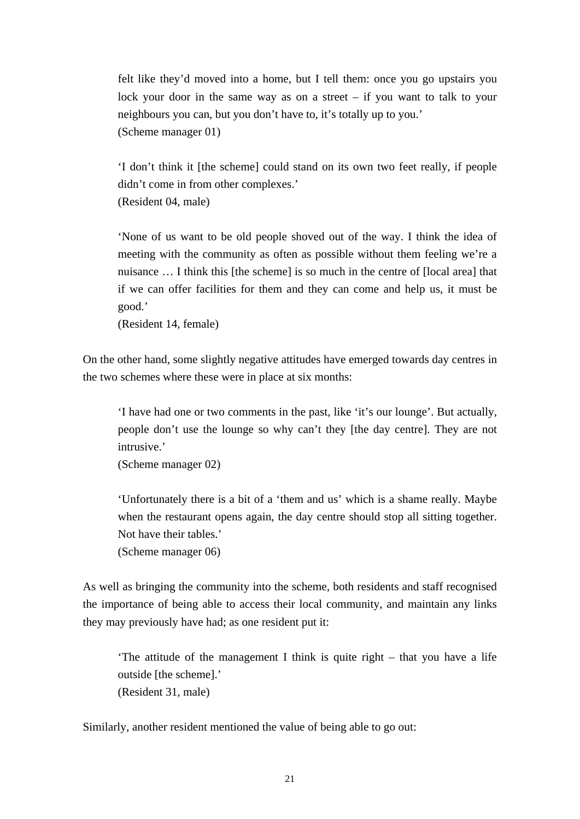felt like they'd moved into a home, but I tell them: once you go upstairs you lock your door in the same way as on a street – if you want to talk to your neighbours you can, but you don't have to, it's totally up to you.' (Scheme manager 01)

'I don't think it [the scheme] could stand on its own two feet really, if people didn't come in from other complexes.' (Resident 04, male)

'None of us want to be old people shoved out of the way. I think the idea of meeting with the community as often as possible without them feeling we're a nuisance … I think this [the scheme] is so much in the centre of [local area] that if we can offer facilities for them and they can come and help us, it must be good.'

(Resident 14, female)

On the other hand, some slightly negative attitudes have emerged towards day centres in the two schemes where these were in place at six months:

'I have had one or two comments in the past, like 'it's our lounge'. But actually, people don't use the lounge so why can't they [the day centre]. They are not intrusive.'

(Scheme manager 02)

'Unfortunately there is a bit of a 'them and us' which is a shame really. Maybe when the restaurant opens again, the day centre should stop all sitting together. Not have their tables.'

(Scheme manager 06)

As well as bringing the community into the scheme, both residents and staff recognised the importance of being able to access their local community, and maintain any links they may previously have had; as one resident put it:

'The attitude of the management I think is quite right – that you have a life outside [the scheme].' (Resident 31, male)

Similarly, another resident mentioned the value of being able to go out: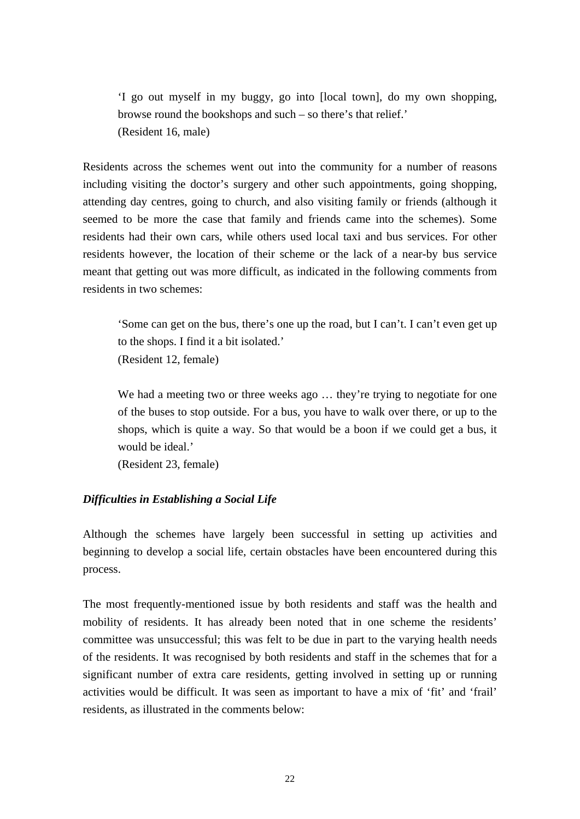'I go out myself in my buggy, go into [local town], do my own shopping, browse round the bookshops and such – so there's that relief.' (Resident 16, male)

Residents across the schemes went out into the community for a number of reasons including visiting the doctor's surgery and other such appointments, going shopping, attending day centres, going to church, and also visiting family or friends (although it seemed to be more the case that family and friends came into the schemes). Some residents had their own cars, while others used local taxi and bus services. For other residents however, the location of their scheme or the lack of a near-by bus service meant that getting out was more difficult, as indicated in the following comments from residents in two schemes:

'Some can get on the bus, there's one up the road, but I can't. I can't even get up to the shops. I find it a bit isolated.' (Resident 12, female)

We had a meeting two or three weeks ago ... they're trying to negotiate for one of the buses to stop outside. For a bus, you have to walk over there, or up to the shops, which is quite a way. So that would be a boon if we could get a bus, it would be ideal.'

(Resident 23, female)

#### *Difficulties in Establishing a Social Life*

Although the schemes have largely been successful in setting up activities and beginning to develop a social life, certain obstacles have been encountered during this process.

The most frequently-mentioned issue by both residents and staff was the health and mobility of residents. It has already been noted that in one scheme the residents' committee was unsuccessful; this was felt to be due in part to the varying health needs of the residents. It was recognised by both residents and staff in the schemes that for a significant number of extra care residents, getting involved in setting up or running activities would be difficult. It was seen as important to have a mix of 'fit' and 'frail' residents, as illustrated in the comments below: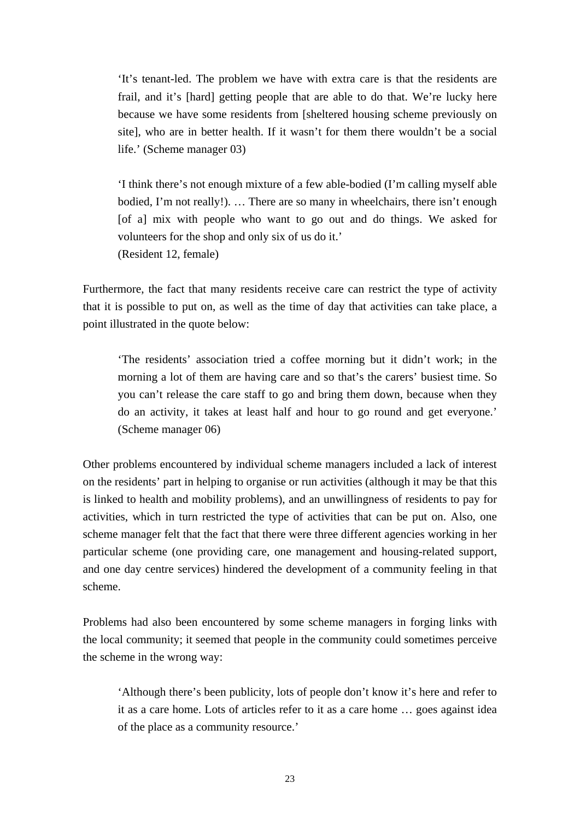'It's tenant-led. The problem we have with extra care is that the residents are frail, and it's [hard] getting people that are able to do that. We're lucky here because we have some residents from [sheltered housing scheme previously on site], who are in better health. If it wasn't for them there wouldn't be a social life.' (Scheme manager 03)

'I think there's not enough mixture of a few able-bodied (I'm calling myself able bodied, I'm not really!). … There are so many in wheelchairs, there isn't enough [of a] mix with people who want to go out and do things. We asked for volunteers for the shop and only six of us do it.' (Resident 12, female)

Furthermore, the fact that many residents receive care can restrict the type of activity that it is possible to put on, as well as the time of day that activities can take place, a point illustrated in the quote below:

'The residents' association tried a coffee morning but it didn't work; in the morning a lot of them are having care and so that's the carers' busiest time. So you can't release the care staff to go and bring them down, because when they do an activity, it takes at least half and hour to go round and get everyone.' (Scheme manager 06)

Other problems encountered by individual scheme managers included a lack of interest on the residents' part in helping to organise or run activities (although it may be that this is linked to health and mobility problems), and an unwillingness of residents to pay for activities, which in turn restricted the type of activities that can be put on. Also, one scheme manager felt that the fact that there were three different agencies working in her particular scheme (one providing care, one management and housing-related support, and one day centre services) hindered the development of a community feeling in that scheme.

Problems had also been encountered by some scheme managers in forging links with the local community; it seemed that people in the community could sometimes perceive the scheme in the wrong way:

'Although there's been publicity, lots of people don't know it's here and refer to it as a care home. Lots of articles refer to it as a care home … goes against idea of the place as a community resource.'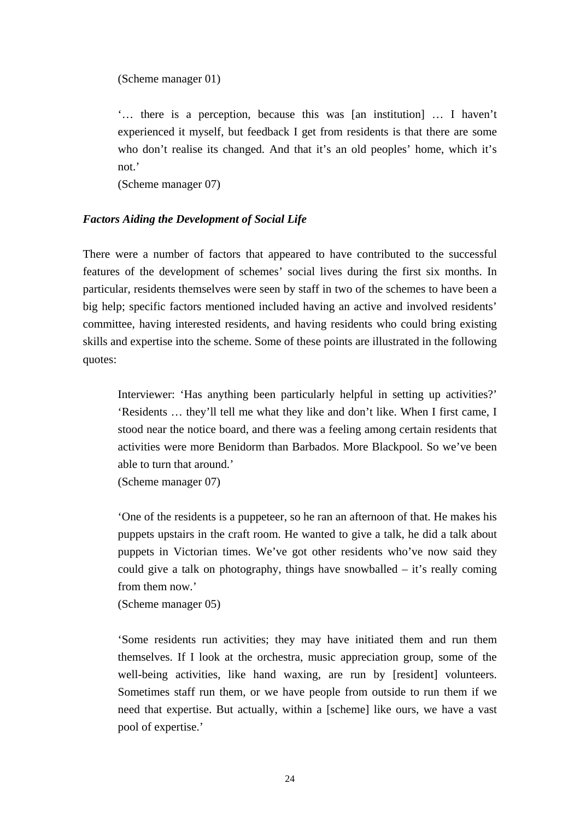#### (Scheme manager 01)

'… there is a perception, because this was [an institution] … I haven't experienced it myself, but feedback I get from residents is that there are some who don't realise its changed. And that it's an old peoples' home, which it's not.'

(Scheme manager 07)

#### *Factors Aiding the Development of Social Life*

There were a number of factors that appeared to have contributed to the successful features of the development of schemes' social lives during the first six months. In particular, residents themselves were seen by staff in two of the schemes to have been a big help; specific factors mentioned included having an active and involved residents' committee, having interested residents, and having residents who could bring existing skills and expertise into the scheme. Some of these points are illustrated in the following quotes:

Interviewer: 'Has anything been particularly helpful in setting up activities?' 'Residents … they'll tell me what they like and don't like. When I first came, I stood near the notice board, and there was a feeling among certain residents that activities were more Benidorm than Barbados. More Blackpool. So we've been able to turn that around.'

(Scheme manager 07)

'One of the residents is a puppeteer, so he ran an afternoon of that. He makes his puppets upstairs in the craft room. He wanted to give a talk, he did a talk about puppets in Victorian times. We've got other residents who've now said they could give a talk on photography, things have snowballed  $-$  it's really coming from them now.'

(Scheme manager 05)

'Some residents run activities; they may have initiated them and run them themselves. If I look at the orchestra, music appreciation group, some of the well-being activities, like hand waxing, are run by [resident] volunteers. Sometimes staff run them, or we have people from outside to run them if we need that expertise. But actually, within a [scheme] like ours, we have a vast pool of expertise.'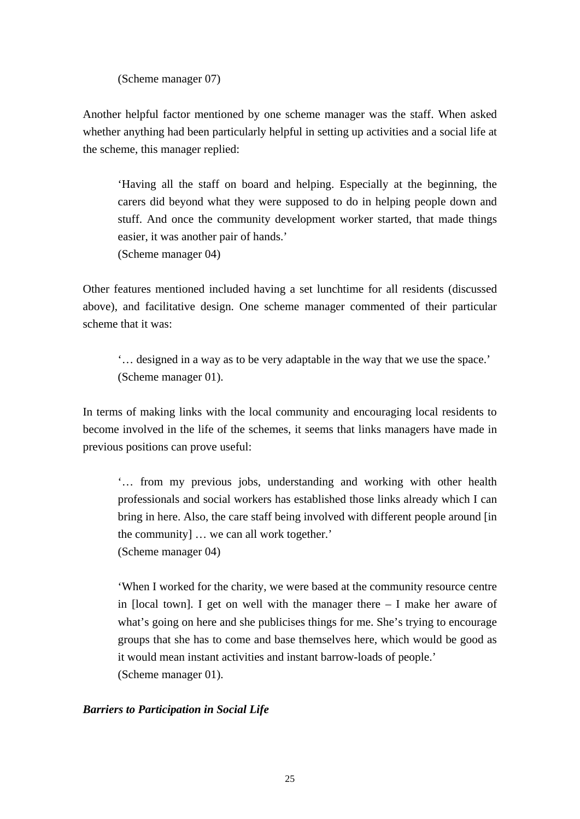(Scheme manager 07)

Another helpful factor mentioned by one scheme manager was the staff. When asked whether anything had been particularly helpful in setting up activities and a social life at the scheme, this manager replied:

'Having all the staff on board and helping. Especially at the beginning, the carers did beyond what they were supposed to do in helping people down and stuff. And once the community development worker started, that made things easier, it was another pair of hands.'

(Scheme manager 04)

Other features mentioned included having a set lunchtime for all residents (discussed above), and facilitative design. One scheme manager commented of their particular scheme that it was:

 '… designed in a way as to be very adaptable in the way that we use the space.' (Scheme manager 01).

In terms of making links with the local community and encouraging local residents to become involved in the life of the schemes, it seems that links managers have made in previous positions can prove useful:

'… from my previous jobs, understanding and working with other health professionals and social workers has established those links already which I can bring in here. Also, the care staff being involved with different people around [in the community] … we can all work together.' (Scheme manager 04)

'When I worked for the charity, we were based at the community resource centre in [local town]. I get on well with the manager there – I make her aware of what's going on here and she publicises things for me. She's trying to encourage groups that she has to come and base themselves here, which would be good as it would mean instant activities and instant barrow-loads of people.' (Scheme manager 01).

#### *Barriers to Participation in Social Life*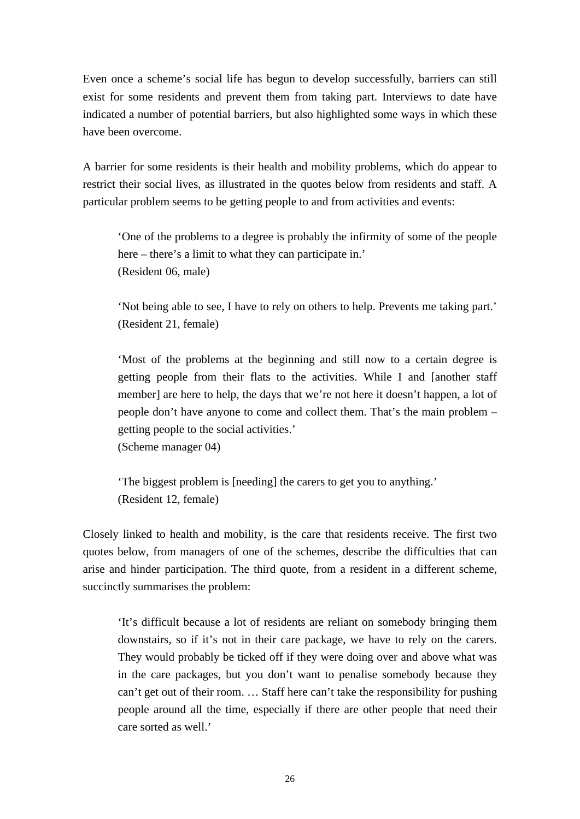Even once a scheme's social life has begun to develop successfully, barriers can still exist for some residents and prevent them from taking part. Interviews to date have indicated a number of potential barriers, but also highlighted some ways in which these have been overcome.

A barrier for some residents is their health and mobility problems, which do appear to restrict their social lives, as illustrated in the quotes below from residents and staff. A particular problem seems to be getting people to and from activities and events:

'One of the problems to a degree is probably the infirmity of some of the people here – there's a limit to what they can participate in.' (Resident 06, male)

'Not being able to see, I have to rely on others to help. Prevents me taking part.' (Resident 21, female)

'Most of the problems at the beginning and still now to a certain degree is getting people from their flats to the activities. While I and [another staff member] are here to help, the days that we're not here it doesn't happen, a lot of people don't have anyone to come and collect them. That's the main problem – getting people to the social activities.'

(Scheme manager 04)

'The biggest problem is [needing] the carers to get you to anything.' (Resident 12, female)

Closely linked to health and mobility, is the care that residents receive. The first two quotes below, from managers of one of the schemes, describe the difficulties that can arise and hinder participation. The third quote, from a resident in a different scheme, succinctly summarises the problem:

'It's difficult because a lot of residents are reliant on somebody bringing them downstairs, so if it's not in their care package, we have to rely on the carers. They would probably be ticked off if they were doing over and above what was in the care packages, but you don't want to penalise somebody because they can't get out of their room. … Staff here can't take the responsibility for pushing people around all the time, especially if there are other people that need their care sorted as well.'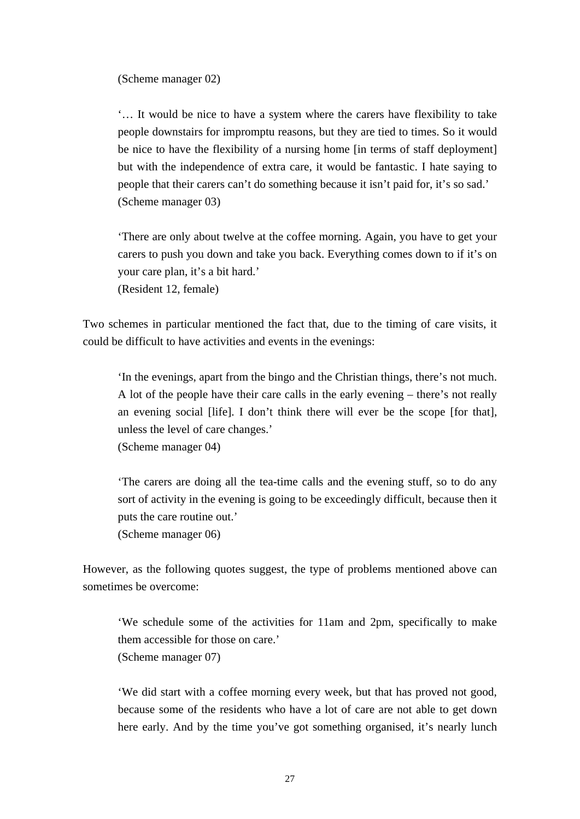(Scheme manager 02)

'… It would be nice to have a system where the carers have flexibility to take people downstairs for impromptu reasons, but they are tied to times. So it would be nice to have the flexibility of a nursing home [in terms of staff deployment] but with the independence of extra care, it would be fantastic. I hate saying to people that their carers can't do something because it isn't paid for, it's so sad.' (Scheme manager 03)

'There are only about twelve at the coffee morning. Again, you have to get your carers to push you down and take you back. Everything comes down to if it's on your care plan, it's a bit hard.'

(Resident 12, female)

Two schemes in particular mentioned the fact that, due to the timing of care visits, it could be difficult to have activities and events in the evenings:

'In the evenings, apart from the bingo and the Christian things, there's not much. A lot of the people have their care calls in the early evening – there's not really an evening social [life]. I don't think there will ever be the scope [for that], unless the level of care changes.'

(Scheme manager 04)

'The carers are doing all the tea-time calls and the evening stuff, so to do any sort of activity in the evening is going to be exceedingly difficult, because then it puts the care routine out.'

(Scheme manager 06)

However, as the following quotes suggest, the type of problems mentioned above can sometimes be overcome:

'We schedule some of the activities for 11am and 2pm, specifically to make them accessible for those on care.' (Scheme manager 07)

'We did start with a coffee morning every week, but that has proved not good, because some of the residents who have a lot of care are not able to get down here early. And by the time you've got something organised, it's nearly lunch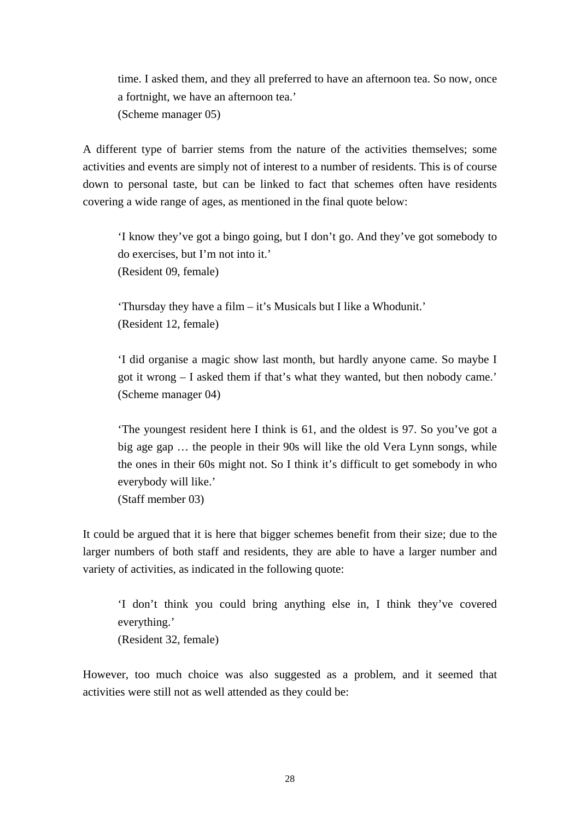time. I asked them, and they all preferred to have an afternoon tea. So now, once a fortnight, we have an afternoon tea.' (Scheme manager 05)

A different type of barrier stems from the nature of the activities themselves; some activities and events are simply not of interest to a number of residents. This is of course down to personal taste, but can be linked to fact that schemes often have residents covering a wide range of ages, as mentioned in the final quote below:

'I know they've got a bingo going, but I don't go. And they've got somebody to do exercises, but I'm not into it.' (Resident 09, female)

'Thursday they have a film – it's Musicals but I like a Whodunit.' (Resident 12, female)

'I did organise a magic show last month, but hardly anyone came. So maybe I got it wrong – I asked them if that's what they wanted, but then nobody came.' (Scheme manager 04)

'The youngest resident here I think is 61, and the oldest is 97. So you've got a big age gap … the people in their 90s will like the old Vera Lynn songs, while the ones in their 60s might not. So I think it's difficult to get somebody in who everybody will like.' (Staff member 03)

It could be argued that it is here that bigger schemes benefit from their size; due to the larger numbers of both staff and residents, they are able to have a larger number and variety of activities, as indicated in the following quote:

'I don't think you could bring anything else in, I think they've covered everything.' (Resident 32, female)

However, too much choice was also suggested as a problem, and it seemed that activities were still not as well attended as they could be: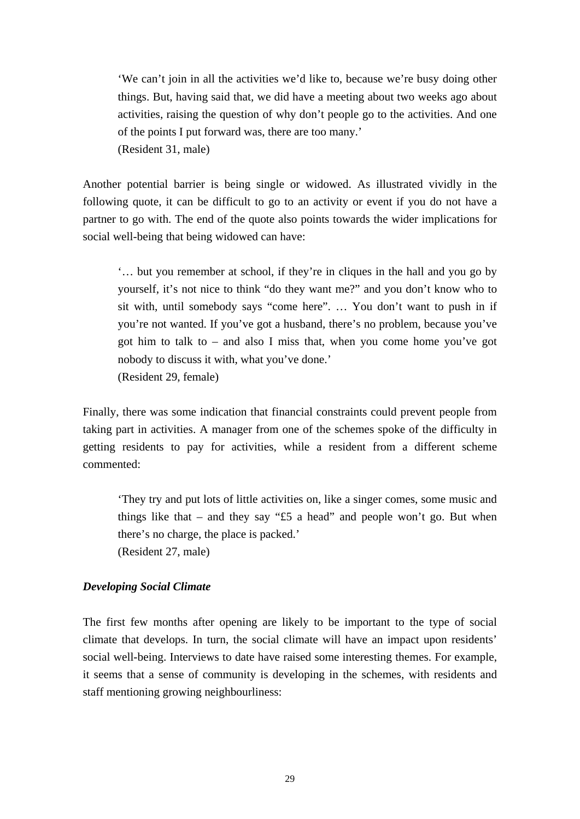'We can't join in all the activities we'd like to, because we're busy doing other things. But, having said that, we did have a meeting about two weeks ago about activities, raising the question of why don't people go to the activities. And one of the points I put forward was, there are too many.'

(Resident 31, male)

Another potential barrier is being single or widowed. As illustrated vividly in the following quote, it can be difficult to go to an activity or event if you do not have a partner to go with. The end of the quote also points towards the wider implications for social well-being that being widowed can have:

'… but you remember at school, if they're in cliques in the hall and you go by yourself, it's not nice to think "do they want me?" and you don't know who to sit with, until somebody says "come here". … You don't want to push in if you're not wanted. If you've got a husband, there's no problem, because you've got him to talk to – and also I miss that, when you come home you've got nobody to discuss it with, what you've done.' (Resident 29, female)

Finally, there was some indication that financial constraints could prevent people from taking part in activities. A manager from one of the schemes spoke of the difficulty in getting residents to pay for activities, while a resident from a different scheme commented:

'They try and put lots of little activities on, like a singer comes, some music and things like that – and they say " $\pounds$ 5 a head" and people won't go. But when there's no charge, the place is packed.' (Resident 27, male)

#### *Developing Social Climate*

The first few months after opening are likely to be important to the type of social climate that develops. In turn, the social climate will have an impact upon residents' social well-being. Interviews to date have raised some interesting themes. For example, it seems that a sense of community is developing in the schemes, with residents and staff mentioning growing neighbourliness: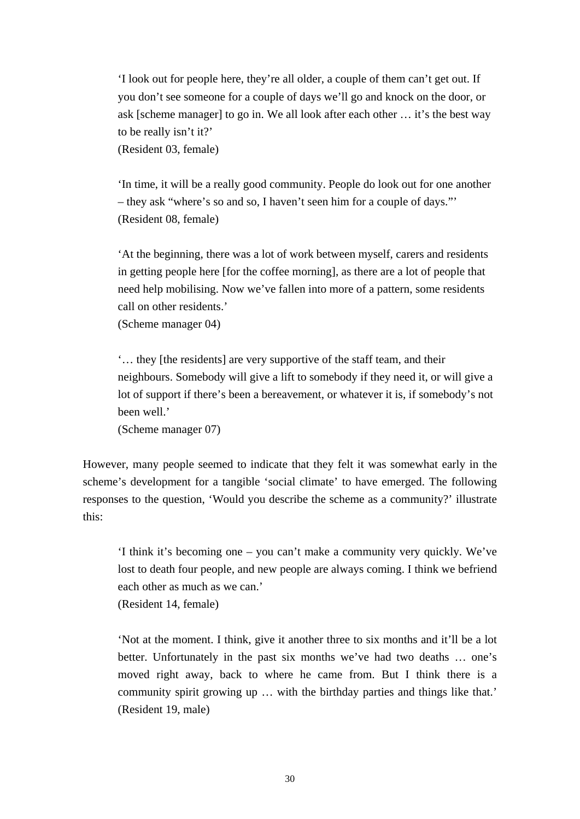'I look out for people here, they're all older, a couple of them can't get out. If you don't see someone for a couple of days we'll go and knock on the door, or ask [scheme manager] to go in. We all look after each other … it's the best way to be really isn't it?' (Resident 03, female)

'In time, it will be a really good community. People do look out for one another – they ask "where's so and so, I haven't seen him for a couple of days."' (Resident 08, female)

'At the beginning, there was a lot of work between myself, carers and residents in getting people here [for the coffee morning], as there are a lot of people that need help mobilising. Now we've fallen into more of a pattern, some residents call on other residents.'

(Scheme manager 04)

'… they [the residents] are very supportive of the staff team, and their neighbours. Somebody will give a lift to somebody if they need it, or will give a lot of support if there's been a bereavement, or whatever it is, if somebody's not been well.'

(Scheme manager 07)

However, many people seemed to indicate that they felt it was somewhat early in the scheme's development for a tangible 'social climate' to have emerged. The following responses to the question, 'Would you describe the scheme as a community?' illustrate this:

'I think it's becoming one – you can't make a community very quickly. We've lost to death four people, and new people are always coming. I think we befriend each other as much as we can.'

(Resident 14, female)

'Not at the moment. I think, give it another three to six months and it'll be a lot better. Unfortunately in the past six months we've had two deaths … one's moved right away, back to where he came from. But I think there is a community spirit growing up … with the birthday parties and things like that.' (Resident 19, male)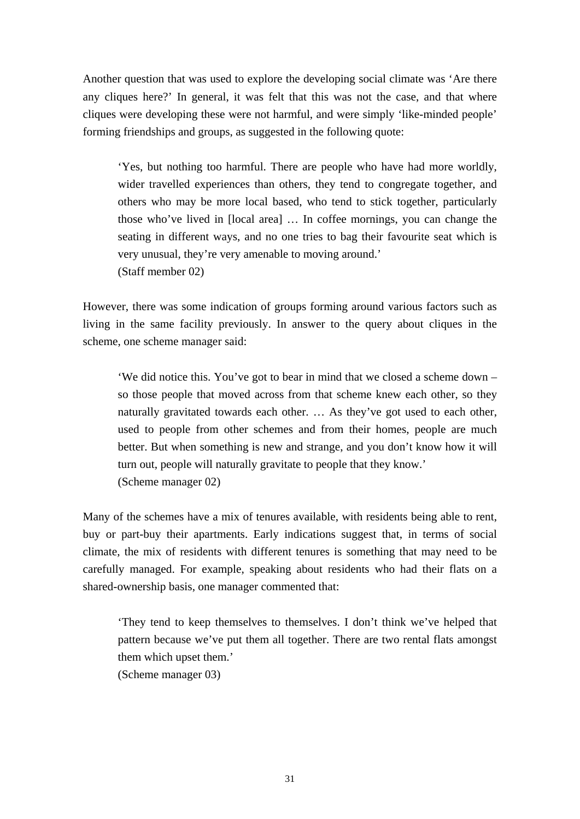Another question that was used to explore the developing social climate was 'Are there any cliques here?' In general, it was felt that this was not the case, and that where cliques were developing these were not harmful, and were simply 'like-minded people' forming friendships and groups, as suggested in the following quote:

'Yes, but nothing too harmful. There are people who have had more worldly, wider travelled experiences than others, they tend to congregate together, and others who may be more local based, who tend to stick together, particularly those who've lived in [local area] … In coffee mornings, you can change the seating in different ways, and no one tries to bag their favourite seat which is very unusual, they're very amenable to moving around.' (Staff member 02)

However, there was some indication of groups forming around various factors such as living in the same facility previously. In answer to the query about cliques in the scheme, one scheme manager said:

'We did notice this. You've got to bear in mind that we closed a scheme down – so those people that moved across from that scheme knew each other, so they naturally gravitated towards each other. … As they've got used to each other, used to people from other schemes and from their homes, people are much better. But when something is new and strange, and you don't know how it will turn out, people will naturally gravitate to people that they know.' (Scheme manager 02)

Many of the schemes have a mix of tenures available, with residents being able to rent, buy or part-buy their apartments. Early indications suggest that, in terms of social climate, the mix of residents with different tenures is something that may need to be carefully managed. For example, speaking about residents who had their flats on a shared-ownership basis, one manager commented that:

'They tend to keep themselves to themselves. I don't think we've helped that pattern because we've put them all together. There are two rental flats amongst them which upset them.'

(Scheme manager 03)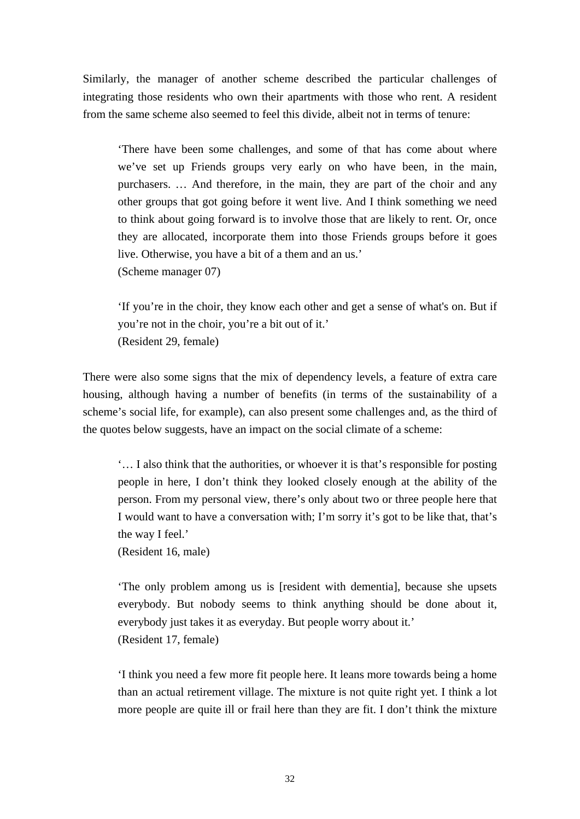Similarly, the manager of another scheme described the particular challenges of integrating those residents who own their apartments with those who rent. A resident from the same scheme also seemed to feel this divide, albeit not in terms of tenure:

'There have been some challenges, and some of that has come about where we've set up Friends groups very early on who have been, in the main, purchasers. … And therefore, in the main, they are part of the choir and any other groups that got going before it went live. And I think something we need to think about going forward is to involve those that are likely to rent. Or, once they are allocated, incorporate them into those Friends groups before it goes live. Otherwise, you have a bit of a them and an us.' (Scheme manager 07)

'If you're in the choir, they know each other and get a sense of what's on. But if you're not in the choir, you're a bit out of it.' (Resident 29, female)

There were also some signs that the mix of dependency levels, a feature of extra care housing, although having a number of benefits (in terms of the sustainability of a scheme's social life, for example), can also present some challenges and, as the third of the quotes below suggests, have an impact on the social climate of a scheme:

'… I also think that the authorities, or whoever it is that's responsible for posting people in here, I don't think they looked closely enough at the ability of the person. From my personal view, there's only about two or three people here that I would want to have a conversation with; I'm sorry it's got to be like that, that's the way I feel.'

(Resident 16, male)

'The only problem among us is [resident with dementia], because she upsets everybody. But nobody seems to think anything should be done about it, everybody just takes it as everyday. But people worry about it.' (Resident 17, female)

'I think you need a few more fit people here. It leans more towards being a home than an actual retirement village. The mixture is not quite right yet. I think a lot more people are quite ill or frail here than they are fit. I don't think the mixture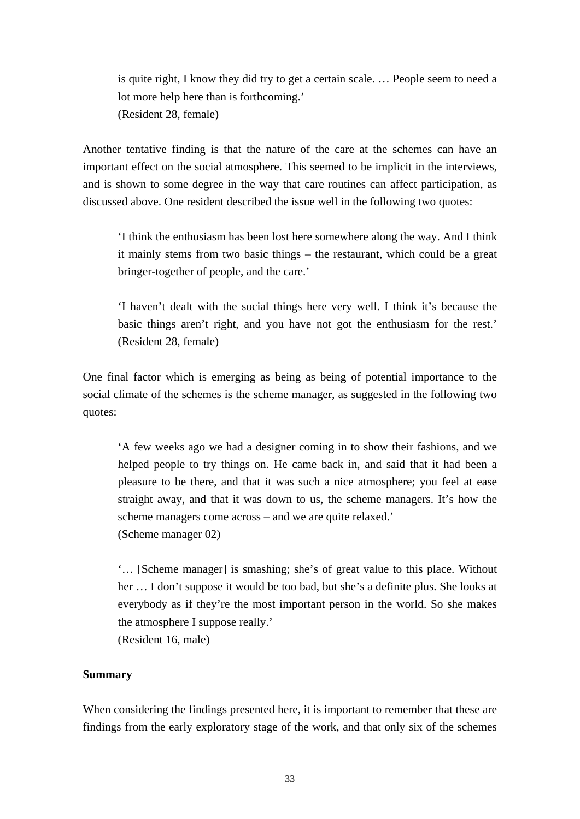is quite right, I know they did try to get a certain scale. … People seem to need a lot more help here than is forthcoming.' (Resident 28, female)

Another tentative finding is that the nature of the care at the schemes can have an important effect on the social atmosphere. This seemed to be implicit in the interviews, and is shown to some degree in the way that care routines can affect participation, as discussed above. One resident described the issue well in the following two quotes:

'I think the enthusiasm has been lost here somewhere along the way. And I think it mainly stems from two basic things – the restaurant, which could be a great bringer-together of people, and the care.'

'I haven't dealt with the social things here very well. I think it's because the basic things aren't right, and you have not got the enthusiasm for the rest.' (Resident 28, female)

One final factor which is emerging as being as being of potential importance to the social climate of the schemes is the scheme manager, as suggested in the following two quotes:

'A few weeks ago we had a designer coming in to show their fashions, and we helped people to try things on. He came back in, and said that it had been a pleasure to be there, and that it was such a nice atmosphere; you feel at ease straight away, and that it was down to us, the scheme managers. It's how the scheme managers come across – and we are quite relaxed.' (Scheme manager 02)

'… [Scheme manager] is smashing; she's of great value to this place. Without her … I don't suppose it would be too bad, but she's a definite plus. She looks at everybody as if they're the most important person in the world. So she makes the atmosphere I suppose really.'

(Resident 16, male)

### **Summary**

When considering the findings presented here, it is important to remember that these are findings from the early exploratory stage of the work, and that only six of the schemes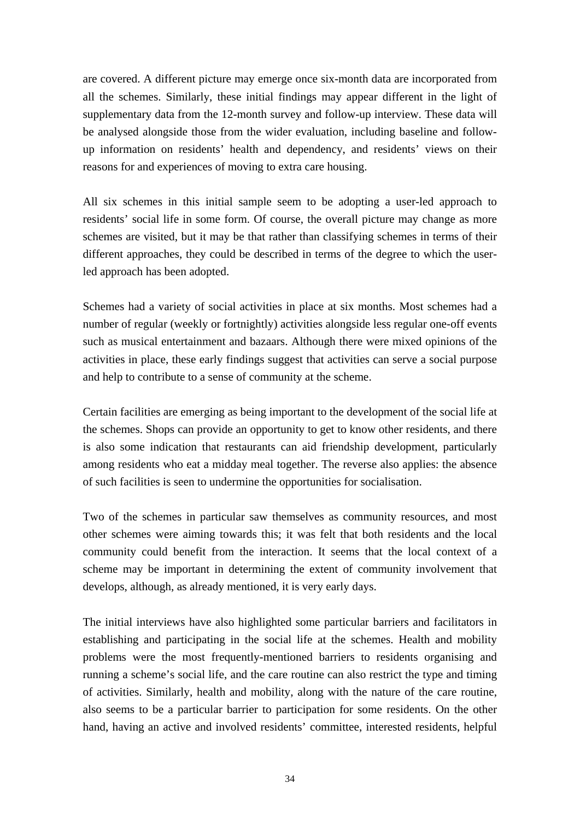are covered. A different picture may emerge once six-month data are incorporated from all the schemes. Similarly, these initial findings may appear different in the light of supplementary data from the 12-month survey and follow-up interview. These data will be analysed alongside those from the wider evaluation, including baseline and followup information on residents' health and dependency, and residents' views on their reasons for and experiences of moving to extra care housing.

All six schemes in this initial sample seem to be adopting a user-led approach to residents' social life in some form. Of course, the overall picture may change as more schemes are visited, but it may be that rather than classifying schemes in terms of their different approaches, they could be described in terms of the degree to which the userled approach has been adopted.

Schemes had a variety of social activities in place at six months. Most schemes had a number of regular (weekly or fortnightly) activities alongside less regular one-off events such as musical entertainment and bazaars. Although there were mixed opinions of the activities in place, these early findings suggest that activities can serve a social purpose and help to contribute to a sense of community at the scheme.

Certain facilities are emerging as being important to the development of the social life at the schemes. Shops can provide an opportunity to get to know other residents, and there is also some indication that restaurants can aid friendship development, particularly among residents who eat a midday meal together. The reverse also applies: the absence of such facilities is seen to undermine the opportunities for socialisation.

Two of the schemes in particular saw themselves as community resources, and most other schemes were aiming towards this; it was felt that both residents and the local community could benefit from the interaction. It seems that the local context of a scheme may be important in determining the extent of community involvement that develops, although, as already mentioned, it is very early days.

The initial interviews have also highlighted some particular barriers and facilitators in establishing and participating in the social life at the schemes. Health and mobility problems were the most frequently-mentioned barriers to residents organising and running a scheme's social life, and the care routine can also restrict the type and timing of activities. Similarly, health and mobility, along with the nature of the care routine, also seems to be a particular barrier to participation for some residents. On the other hand, having an active and involved residents' committee, interested residents, helpful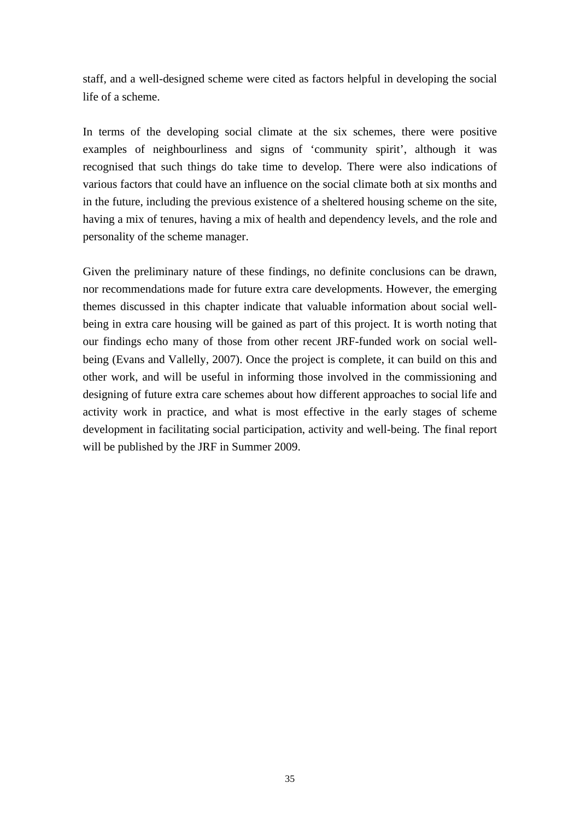staff, and a well-designed scheme were cited as factors helpful in developing the social life of a scheme.

In terms of the developing social climate at the six schemes, there were positive examples of neighbourliness and signs of 'community spirit', although it was recognised that such things do take time to develop. There were also indications of various factors that could have an influence on the social climate both at six months and in the future, including the previous existence of a sheltered housing scheme on the site, having a mix of tenures, having a mix of health and dependency levels, and the role and personality of the scheme manager.

Given the preliminary nature of these findings, no definite conclusions can be drawn, nor recommendations made for future extra care developments. However, the emerging themes discussed in this chapter indicate that valuable information about social wellbeing in extra care housing will be gained as part of this project. It is worth noting that our findings echo many of those from other recent JRF-funded work on social wellbeing (Evans and Vallelly, 2007). Once the project is complete, it can build on this and other work, and will be useful in informing those involved in the commissioning and designing of future extra care schemes about how different approaches to social life and activity work in practice, and what is most effective in the early stages of scheme development in facilitating social participation, activity and well-being. The final report will be published by the JRF in Summer 2009.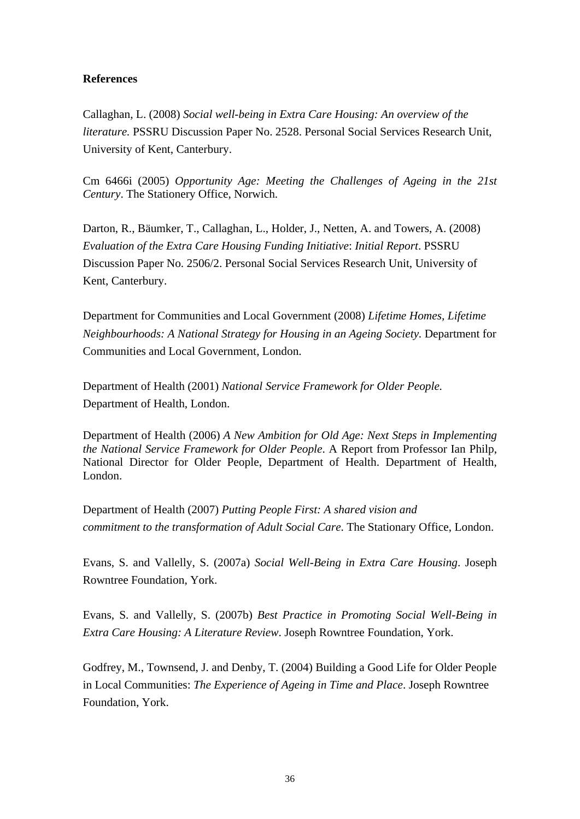## **References**

Callaghan, L. (2008) *Social well-being in Extra Care Housing: An overview of the literature.* PSSRU Discussion Paper No. 2528. Personal Social Services Research Unit, University of Kent, Canterbury.

Cm 6466i (2005) *Opportunity Age: Meeting the Challenges of Ageing in the 21st Century*. The Stationery Office, Norwich.

Darton, R., Bäumker, T., Callaghan, L., Holder, J., Netten, A. and Towers, A. (2008) *Evaluation of the Extra Care Housing Funding Initiative*: *Initial Report*. PSSRU Discussion Paper No. 2506/2. Personal Social Services Research Unit, University of Kent, Canterbury.

Department for Communities and Local Government (2008) *Lifetime Homes, Lifetime Neighbourhoods: A National Strategy for Housing in an Ageing Society.* Department for Communities and Local Government, London.

Department of Health (2001) *National Service Framework for Older People.*  Department of Health, London.

Department of Health (2006) *A New Ambition for Old Age: Next Steps in Implementing the National Service Framework for Older People*. A Report from Professor Ian Philp, National Director for Older People, Department of Health. Department of Health, London.

Department of Health (2007) *Putting People First: A shared vision and commitment to the transformation of Adult Social Care*. The Stationary Office, London.

Evans, S. and Vallelly, S. (2007a) *Social Well-Being in Extra Care Housing*. Joseph Rowntree Foundation, York.

Evans, S. and Vallelly, S. (2007b) *Best Practice in Promoting Social Well-Being in Extra Care Housing: A Literature Review*. Joseph Rowntree Foundation, York.

Godfrey, M., Townsend, J. and Denby, T. (2004) Building a Good Life for Older People in Local Communities: *The Experience of Ageing in Time and Place*. Joseph Rowntree Foundation, York.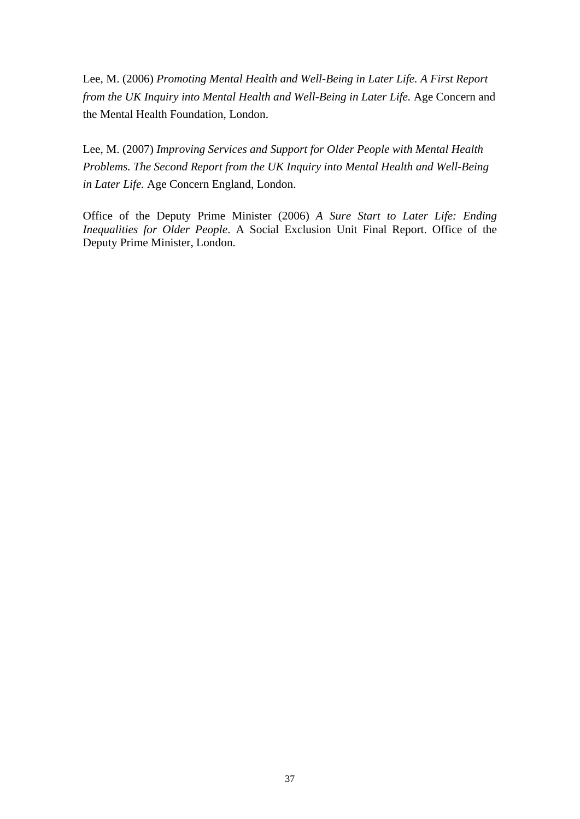Lee, M. (2006) *Promoting Mental Health and Well-Being in Later Life. A First Report from the UK Inquiry into Mental Health and Well-Being in Later Life. Age Concern and* the Mental Health Foundation, London.

Lee, M. (2007) *Improving Services and Support for Older People with Mental Health Problems. The Second Report from the UK Inquiry into Mental Health and Well-Being in Later Life.* Age Concern England, London.

Office of the Deputy Prime Minister (2006) *A Sure Start to Later Life: Ending Inequalities for Older People*. A Social Exclusion Unit Final Report. Office of the Deputy Prime Minister, London.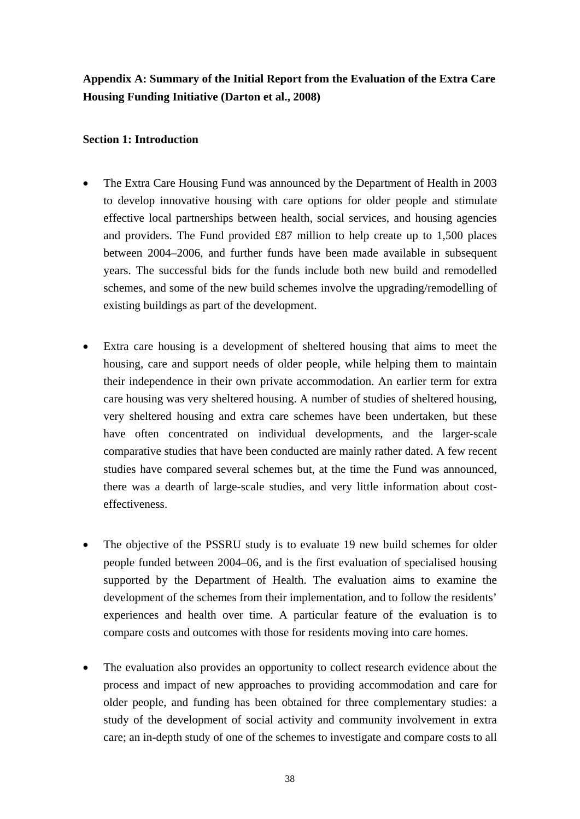## **Appendix A: Summary of the Initial Report from the Evaluation of the Extra Care Housing Funding Initiative (Darton et al., 2008)**

## **Section 1: Introduction**

- The Extra Care Housing Fund was announced by the Department of Health in 2003 to develop innovative housing with care options for older people and stimulate effective local partnerships between health, social services, and housing agencies and providers. The Fund provided £87 million to help create up to 1,500 places between 2004–2006, and further funds have been made available in subsequent years. The successful bids for the funds include both new build and remodelled schemes, and some of the new build schemes involve the upgrading/remodelling of existing buildings as part of the development.
- Extra care housing is a development of sheltered housing that aims to meet the housing, care and support needs of older people, while helping them to maintain their independence in their own private accommodation. An earlier term for extra care housing was very sheltered housing. A number of studies of sheltered housing, very sheltered housing and extra care schemes have been undertaken, but these have often concentrated on individual developments, and the larger-scale comparative studies that have been conducted are mainly rather dated. A few recent studies have compared several schemes but, at the time the Fund was announced, there was a dearth of large-scale studies, and very little information about costeffectiveness.
- The objective of the PSSRU study is to evaluate 19 new build schemes for older people funded between 2004–06, and is the first evaluation of specialised housing supported by the Department of Health. The evaluation aims to examine the development of the schemes from their implementation, and to follow the residents' experiences and health over time. A particular feature of the evaluation is to compare costs and outcomes with those for residents moving into care homes.
- The evaluation also provides an opportunity to collect research evidence about the process and impact of new approaches to providing accommodation and care for older people, and funding has been obtained for three complementary studies: a study of the development of social activity and community involvement in extra care; an in-depth study of one of the schemes to investigate and compare costs to all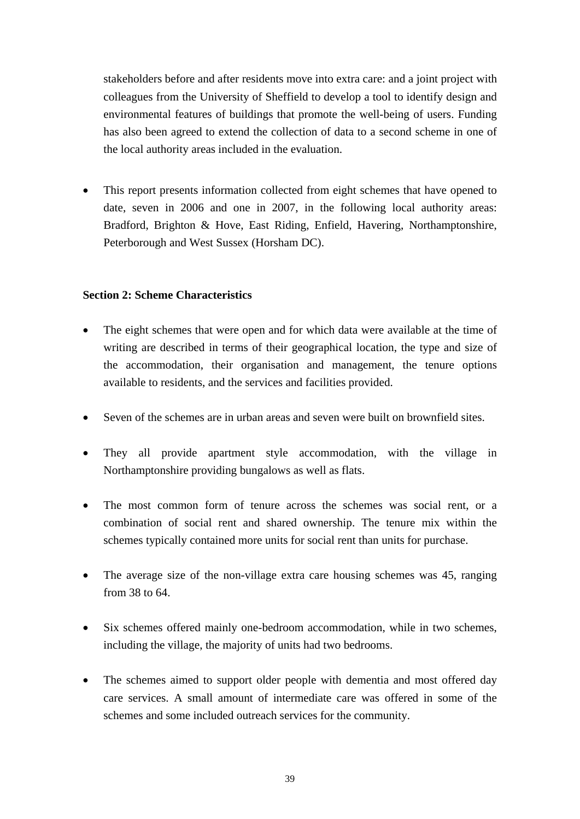stakeholders before and after residents move into extra care: and a joint project with colleagues from the University of Sheffield to develop a tool to identify design and environmental features of buildings that promote the well-being of users. Funding has also been agreed to extend the collection of data to a second scheme in one of the local authority areas included in the evaluation.

This report presents information collected from eight schemes that have opened to date, seven in 2006 and one in 2007, in the following local authority areas: Bradford, Brighton & Hove, East Riding, Enfield, Havering, Northamptonshire, Peterborough and West Sussex (Horsham DC).

### **Section 2: Scheme Characteristics**

- The eight schemes that were open and for which data were available at the time of writing are described in terms of their geographical location, the type and size of the accommodation, their organisation and management, the tenure options available to residents, and the services and facilities provided.
- Seven of the schemes are in urban areas and seven were built on brownfield sites.
- They all provide apartment style accommodation, with the village in Northamptonshire providing bungalows as well as flats.
- The most common form of tenure across the schemes was social rent, or a combination of social rent and shared ownership. The tenure mix within the schemes typically contained more units for social rent than units for purchase.
- The average size of the non-village extra care housing schemes was 45, ranging from 38 to 64.
- Six schemes offered mainly one-bedroom accommodation, while in two schemes, including the village, the majority of units had two bedrooms.
- The schemes aimed to support older people with dementia and most offered day care services. A small amount of intermediate care was offered in some of the schemes and some included outreach services for the community.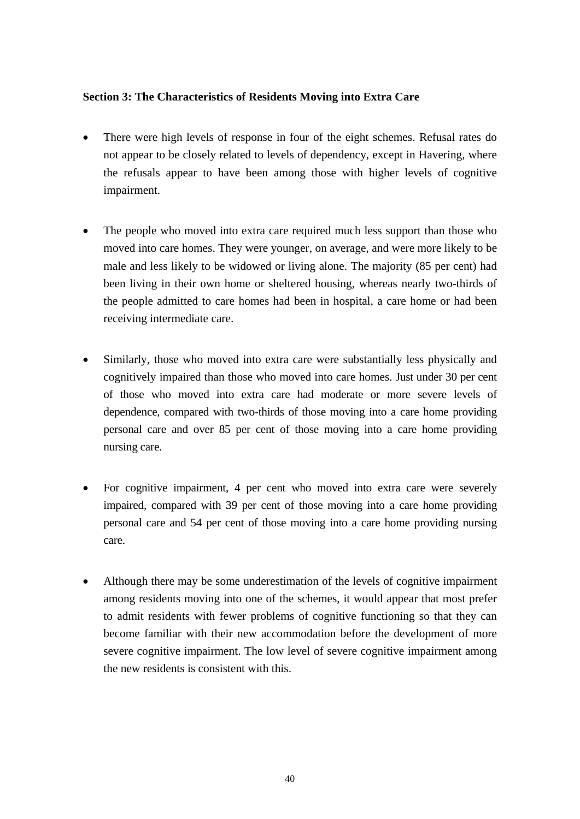## **Section 3: The Characteristics of Residents Moving into Extra Care**

- There were high levels of response in four of the eight schemes. Refusal rates do not appear to be closely related to levels of dependency, except in Havering, where the refusals appear to have been among those with higher levels of cognitive impairment.
- The people who moved into extra care required much less support than those who moved into care homes. They were younger, on average, and were more likely to be male and less likely to be widowed or living alone. The majority (85 per cent) had been living in their own home or sheltered housing, whereas nearly two-thirds of the people admitted to care homes had been in hospital, a care home or had been receiving intermediate care.
- Similarly, those who moved into extra care were substantially less physically and cognitively impaired than those who moved into care homes. Just under 30 per cent of those who moved into extra care had moderate or more severe levels of dependence, compared with two-thirds of those moving into a care home providing personal care and over 85 per cent of those moving into a care home providing nursing care.
- For cognitive impairment, 4 per cent who moved into extra care were severely impaired, compared with 39 per cent of those moving into a care home providing personal care and 54 per cent of those moving into a care home providing nursing care.
- Although there may be some underestimation of the levels of cognitive impairment among residents moving into one of the schemes, it would appear that most prefer to admit residents with fewer problems of cognitive functioning so that they can become familiar with their new accommodation before the development of more severe cognitive impairment. The low level of severe cognitive impairment among the new residents is consistent with this.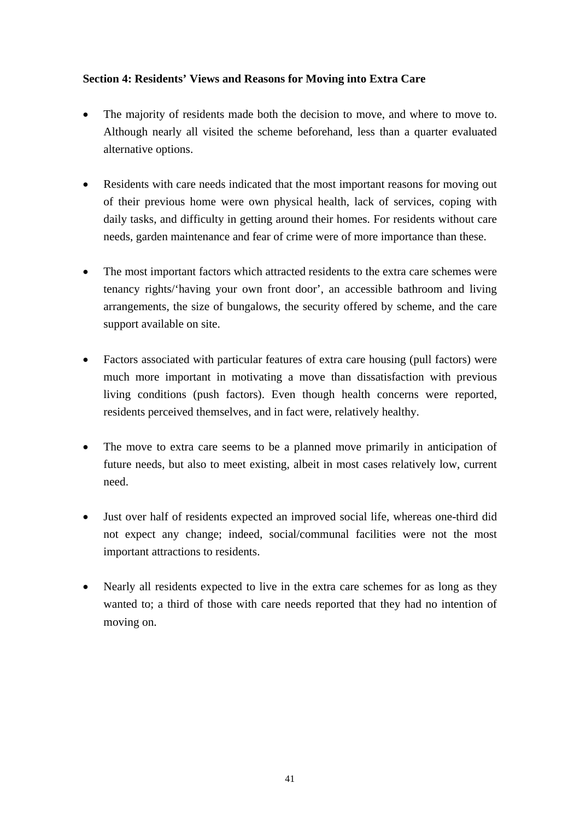## **Section 4: Residents' Views and Reasons for Moving into Extra Care**

- The majority of residents made both the decision to move, and where to move to. Although nearly all visited the scheme beforehand, less than a quarter evaluated alternative options.
- Residents with care needs indicated that the most important reasons for moving out of their previous home were own physical health, lack of services, coping with daily tasks, and difficulty in getting around their homes. For residents without care needs, garden maintenance and fear of crime were of more importance than these.
- The most important factors which attracted residents to the extra care schemes were tenancy rights/'having your own front door', an accessible bathroom and living arrangements, the size of bungalows, the security offered by scheme, and the care support available on site.
- Factors associated with particular features of extra care housing (pull factors) were much more important in motivating a move than dissatisfaction with previous living conditions (push factors). Even though health concerns were reported, residents perceived themselves, and in fact were, relatively healthy.
- The move to extra care seems to be a planned move primarily in anticipation of future needs, but also to meet existing, albeit in most cases relatively low, current need.
- Just over half of residents expected an improved social life, whereas one-third did not expect any change; indeed, social/communal facilities were not the most important attractions to residents.
- Nearly all residents expected to live in the extra care schemes for as long as they wanted to; a third of those with care needs reported that they had no intention of moving on.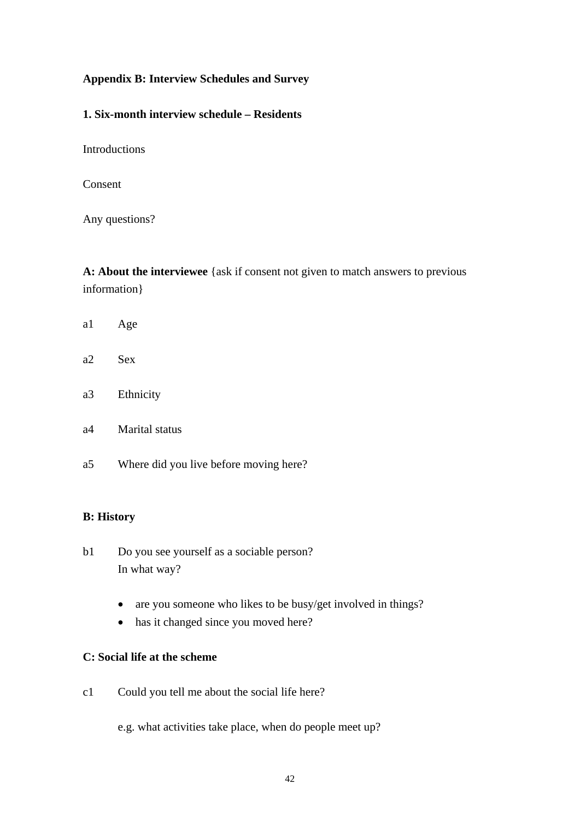## **Appendix B: Interview Schedules and Survey**

## **1. Six-month interview schedule – Residents**

**Introductions** 

Consent

Any questions?

**A: About the interviewee** {ask if consent not given to match answers to previous information}

- a1 Age
- a2 Sex
- a3 Ethnicity
- a4 Marital status
- a5 Where did you live before moving here?

### **B: History**

b1 Do you see yourself as a sociable person? In what way?

- are you someone who likes to be busy/get involved in things?
- has it changed since you moved here?

## **C: Social life at the scheme**

c1 Could you tell me about the social life here?

e.g. what activities take place, when do people meet up?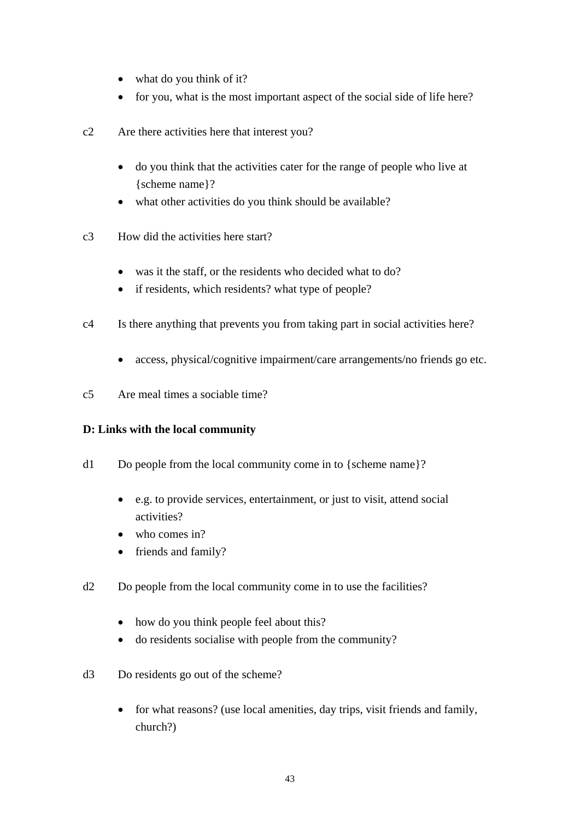- what do you think of it?
- for you, what is the most important aspect of the social side of life here?
- c2 Are there activities here that interest you?
	- do you think that the activities cater for the range of people who live at {scheme name}?
	- what other activities do you think should be available?
- c3 How did the activities here start?
	- was it the staff, or the residents who decided what to do?
	- if residents, which residents? what type of people?
- c4 Is there anything that prevents you from taking part in social activities here?
	- access, physical/cognitive impairment/care arrangements/no friends go etc.
- c5 Are meal times a sociable time?

## **D: Links with the local community**

- d1 Do people from the local community come in to {scheme name}?
	- e.g. to provide services, entertainment, or just to visit, attend social activities?
	- who comes in?
	- friends and family?
- d2 Do people from the local community come in to use the facilities?
	- how do you think people feel about this?
	- do residents socialise with people from the community?
- d3 Do residents go out of the scheme?
	- for what reasons? (use local amenities, day trips, visit friends and family, church?)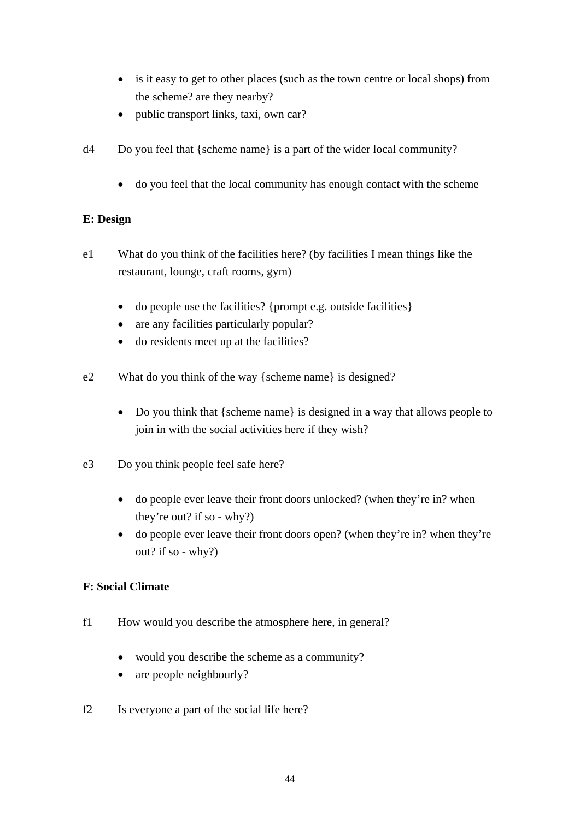- is it easy to get to other places (such as the town centre or local shops) from the scheme? are they nearby?
- public transport links, taxi, own car?
- d4 Do you feel that {scheme name} is a part of the wider local community?
	- do you feel that the local community has enough contact with the scheme

## **E: Design**

- e1 What do you think of the facilities here? (by facilities I mean things like the restaurant, lounge, craft rooms, gym)
	- do people use the facilities? {prompt e.g. outside facilities}
	- are any facilities particularly popular?
	- do residents meet up at the facilities?
- e2 What do you think of the way {scheme name} is designed?
	- Do you think that {scheme name} is designed in a way that allows people to join in with the social activities here if they wish?
- e3 Do you think people feel safe here?
	- do people ever leave their front doors unlocked? (when they're in? when they're out? if so - why?)
	- do people ever leave their front doors open? (when they're in? when they're out? if so - why?)

## **F: Social Climate**

- f1 How would you describe the atmosphere here, in general?
	- would you describe the scheme as a community?
	- are people neighbourly?
- f2 Is everyone a part of the social life here?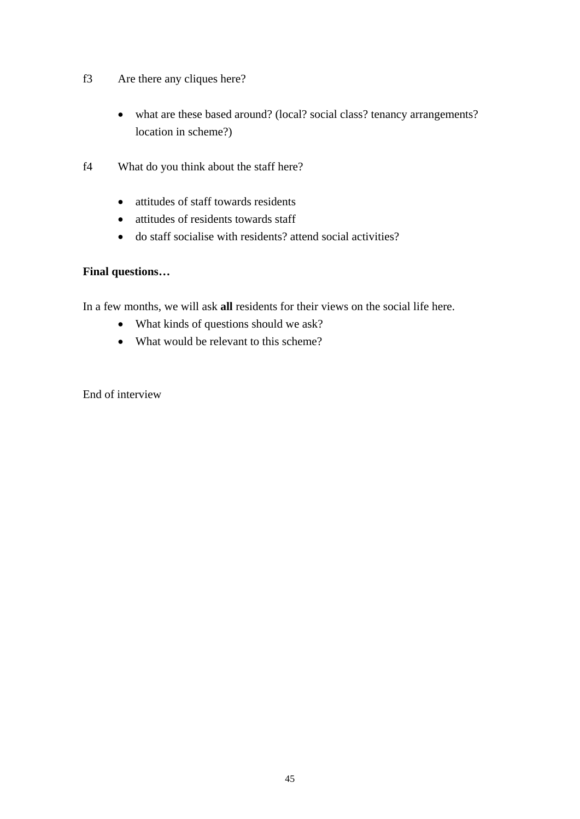- f3 Are there any cliques here?
	- what are these based around? (local? social class? tenancy arrangements? location in scheme?)
- f4 What do you think about the staff here?
	- attitudes of staff towards residents
	- attitudes of residents towards staff
	- do staff socialise with residents? attend social activities?

## **Final questions…**

In a few months, we will ask **all** residents for their views on the social life here.

- What kinds of questions should we ask?
- What would be relevant to this scheme?

End of interview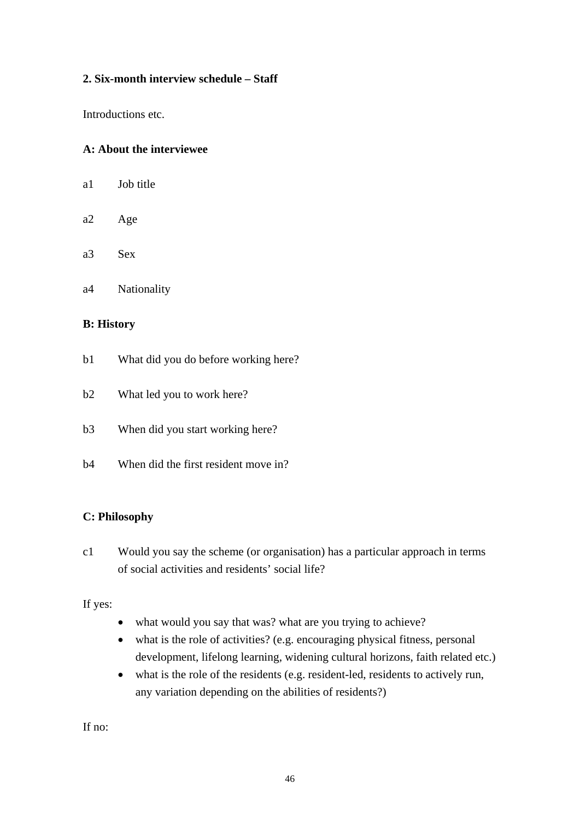## **2. Six-month interview schedule – Staff**

Introductions etc.

## **A: About the interviewee**

| a1 | Job title   |
|----|-------------|
| a2 | Age         |
| a3 | Sex         |
| a4 | Nationality |

## **B: History**

- b1 What did you do before working here?
- b2 What led you to work here?
- b3 When did you start working here?
- b4 When did the first resident move in?

## **C: Philosophy**

c1 Would you say the scheme (or organisation) has a particular approach in terms of social activities and residents' social life?

If yes:

- what would you say that was? what are you trying to achieve?
- what is the role of activities? (e.g. encouraging physical fitness, personal development, lifelong learning, widening cultural horizons, faith related etc.)
- what is the role of the residents (e.g. resident-led, residents to actively run, any variation depending on the abilities of residents?)

If no: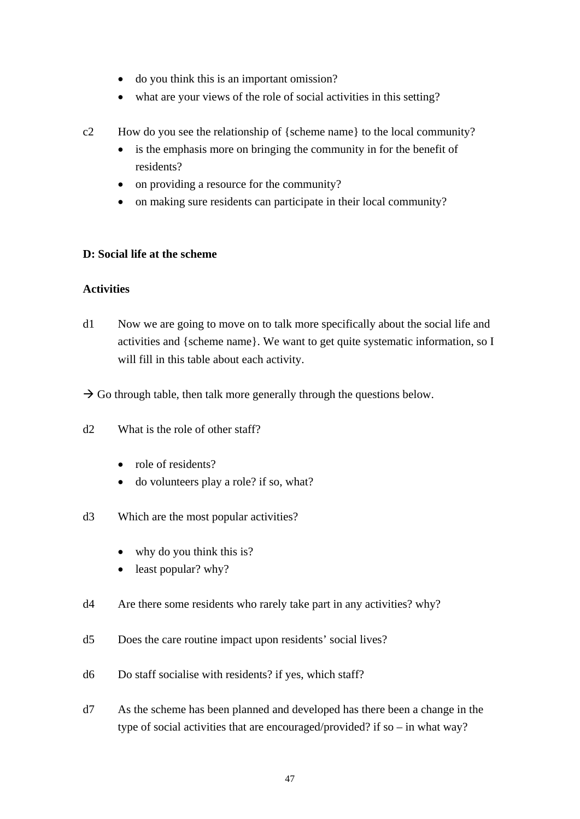- do you think this is an important omission?
- what are your views of the role of social activities in this setting?
- c2 How do you see the relationship of {scheme name} to the local community?
	- is the emphasis more on bringing the community in for the benefit of residents?
	- on providing a resource for the community?
	- on making sure residents can participate in their local community?

## **D: Social life at the scheme**

## **Activities**

- d1 Now we are going to move on to talk more specifically about the social life and activities and {scheme name}. We want to get quite systematic information, so I will fill in this table about each activity.
- $\rightarrow$  Go through table, then talk more generally through the questions below.
- d2 What is the role of other staff?
	- role of residents?
	- do volunteers play a role? if so, what?
- d3 Which are the most popular activities?
	- why do you think this is?
	- least popular? why?
- d4 Are there some residents who rarely take part in any activities? why?
- d5 Does the care routine impact upon residents' social lives?
- d6 Do staff socialise with residents? if yes, which staff?
- d7 As the scheme has been planned and developed has there been a change in the type of social activities that are encouraged/provided? if so – in what way?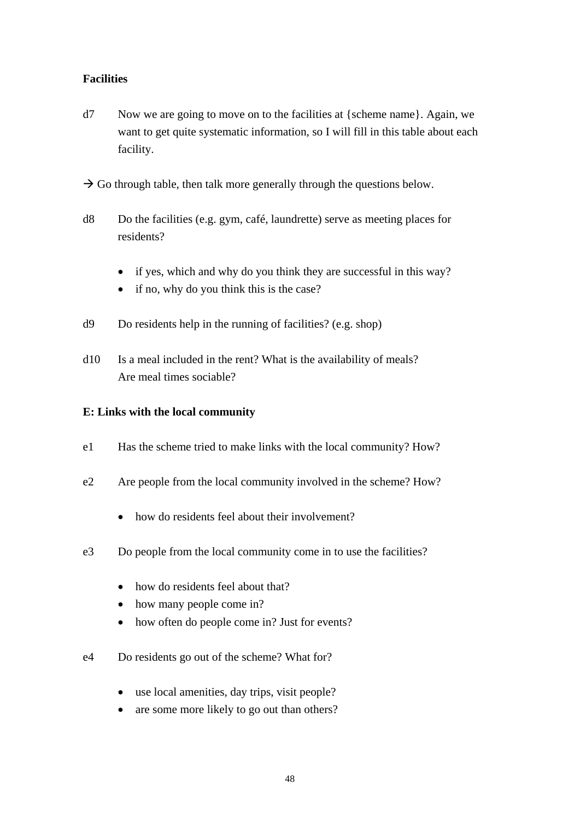## **Facilities**

- d7 Now we are going to move on to the facilities at {scheme name}. Again, we want to get quite systematic information, so I will fill in this table about each facility.
- $\rightarrow$  Go through table, then talk more generally through the questions below.
- d8 Do the facilities (e.g. gym, café, laundrette) serve as meeting places for residents?
	- if yes, which and why do you think they are successful in this way?
	- if no, why do you think this is the case?
- d9 Do residents help in the running of facilities? (e.g. shop)
- d10 Is a meal included in the rent? What is the availability of meals? Are meal times sociable?

### **E: Links with the local community**

- e1 Has the scheme tried to make links with the local community? How?
- e2 Are people from the local community involved in the scheme? How?
	- how do residents feel about their involvement?
- e3 Do people from the local community come in to use the facilities?
	- how do residents feel about that?
	- how many people come in?
	- how often do people come in? Just for events?
- e4 Do residents go out of the scheme? What for?
	- use local amenities, day trips, visit people?
	- are some more likely to go out than others?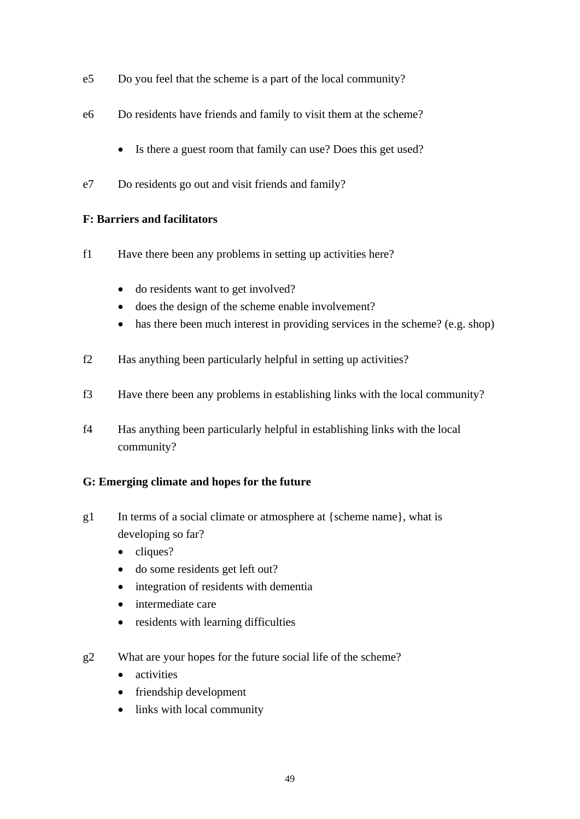- e5 Do you feel that the scheme is a part of the local community?
- e6 Do residents have friends and family to visit them at the scheme?
	- Is there a guest room that family can use? Does this get used?
- e7 Do residents go out and visit friends and family?

## **F: Barriers and facilitators**

- f1 Have there been any problems in setting up activities here?
	- do residents want to get involved?
	- does the design of the scheme enable involvement?
	- has there been much interest in providing services in the scheme? (e.g. shop)
- f2 Has anything been particularly helpful in setting up activities?
- f3 Have there been any problems in establishing links with the local community?
- f4 Has anything been particularly helpful in establishing links with the local community?

## **G: Emerging climate and hopes for the future**

- g1 In terms of a social climate or atmosphere at {scheme name}, what is developing so far?
	- cliques?
	- do some residents get left out?
	- integration of residents with dementia
	- intermediate care
	- residents with learning difficulties
- g2 What are your hopes for the future social life of the scheme?
	- activities
	- friendship development
	- links with local community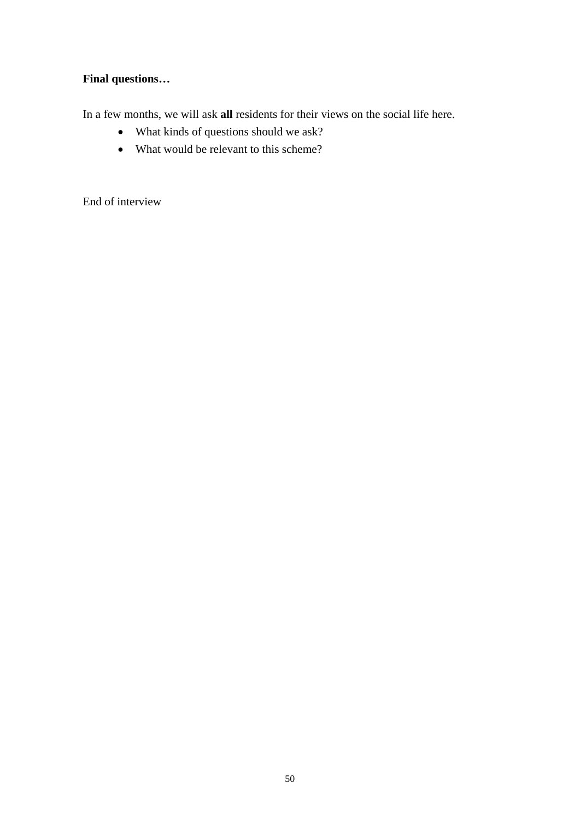## **Final questions…**

In a few months, we will ask **all** residents for their views on the social life here.

- What kinds of questions should we ask?
- What would be relevant to this scheme?

End of interview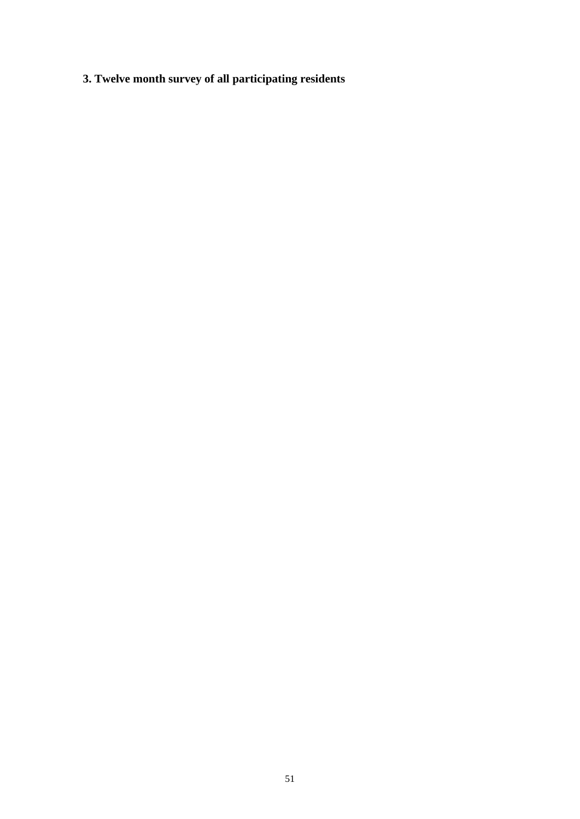**3. Twelve month survey of all participating residents**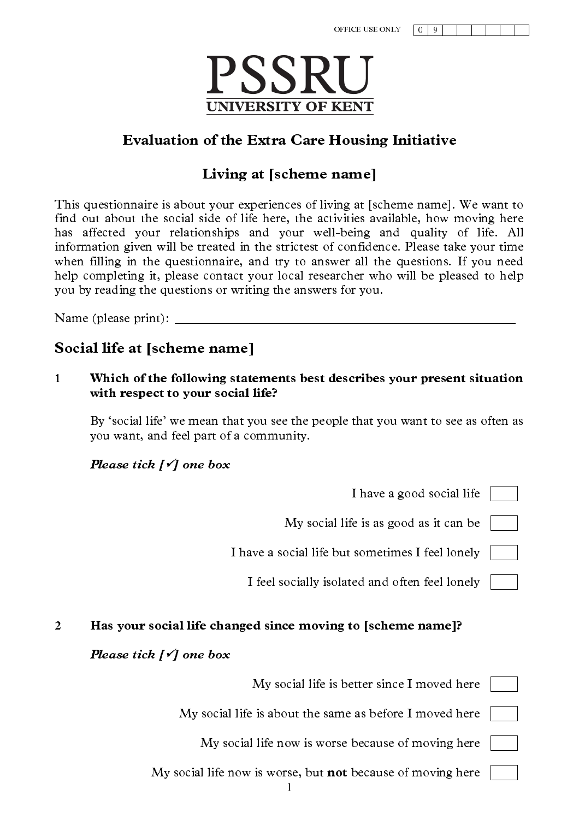

# **Evaluation of the Extra Care Housing Initiative**

# Living at [scheme name]

This questionnaire is about your experiences of living at [scheme name]. We want to find out about the social side of life here, the activities available, how moving here has affected your relationships and your well-being and quality of life. All information given will be treated in the strictest of confidence. Please take your time when filling in the questionnaire, and try to answer all the questions. If you need help completing it, please contact your local researcher who will be pleased to help you by reading the questions or writing the answers for you.

Name (please print):

# Social life at [scheme name]

 $\mathbf{1}$ Which of the following statements best describes your present situation with respect to your social life?

By 'social life' we mean that you see the people that you want to see as often as you want, and feel part of a community.

## Please tick  $\lceil \sqrt{\ } \rceil$  one box

I have a good social life

My social life is as good as it can be

I have a social life but sometimes I feel lonely

I feel socially isolated and often feel lonely

#### $\overline{2}$ Has your social life changed since moving to [scheme name]?

## Please tick  $\lceil \sqrt{\ } \rceil$  one box

My social life is better since I moved here

My social life is about the same as before I moved here

My social life now is worse because of moving here

My social life now is worse, but not because of moving here

 $\mathbf{1}$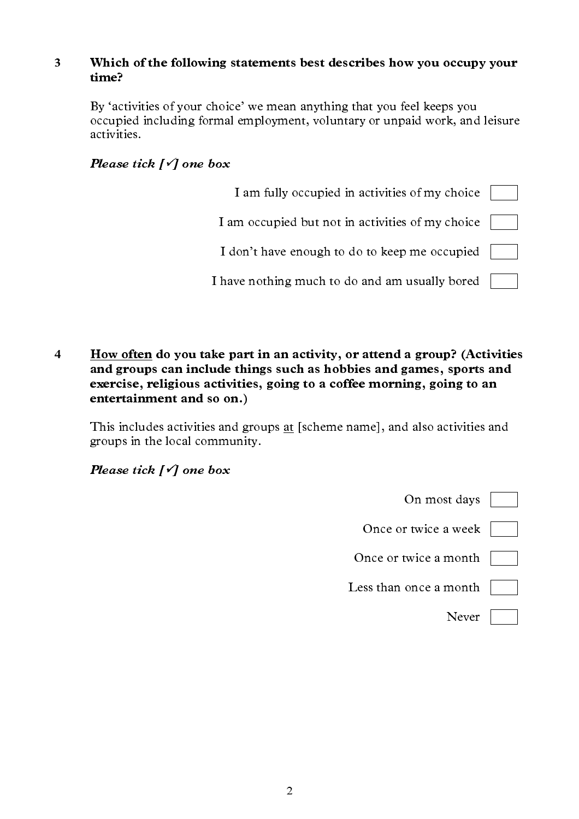#### $\overline{3}$ Which of the following statements best describes how you occupy your time?

By 'activities of your choice' we mean anything that you feel keeps you occupied including formal employment, voluntary or unpaid work, and leisure activities.

## Please tick  $[\checkmark]$  one box

I am fully occupied in activities of my choice

I am occupied but not in activities of my choice

I don't have enough to do to keep me occupied

I have nothing much to do and am usually bored |

 $\overline{4}$ How often do you take part in an activity, or attend a group? (Activities and groups can include things such as hobbies and games, sports and exercise, religious activities, going to a coffee morning, going to an entertainment and so on.)

This includes activities and groups at [scheme name], and also activities and groups in the local community.

Please tick  $\lceil \sqrt{\ } \rceil$  one box

On most days

Once or twice a week

Once or twice a month

Less than once a month

 $Never$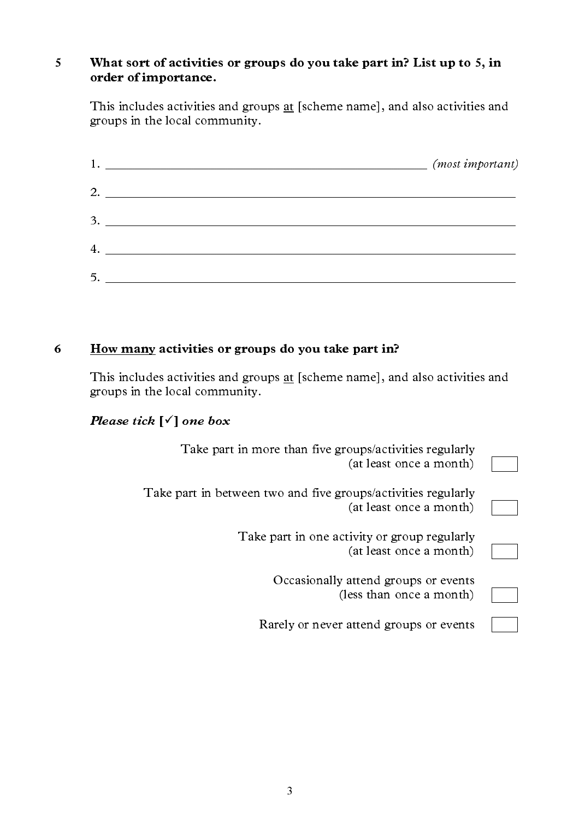# 5 What sort of activities or groups do you take part in? List up to 5, in order of importance.

This includes activities and groups at [scheme name], and also activities and groups in the local community.

| 1. |  |  |  |  |  |  | (most important) |  |  |  |
|----|--|--|--|--|--|--|------------------|--|--|--|
| 2. |  |  |  |  |  |  |                  |  |  |  |
| 3. |  |  |  |  |  |  |                  |  |  |  |
| 4. |  |  |  |  |  |  |                  |  |  |  |
| 5  |  |  |  |  |  |  |                  |  |  |  |

#### = How many activities or groups do you take part in?

= This includes activities and groups  $\frac{a}{a}$  [senementally], and also activities and groups in the local community.

## Please tick  $[\checkmark]$  one box

Take part in more than five groups/activities regularly (at least once a month)

Take part in between two and five groups/activities regularly (at least once a month)

| Take part in one activity or group regularly |  |
|----------------------------------------------|--|
| (at least once a month)                      |  |

 $\frac{1}{2}$  ditting groups of events  $($ icss than once a month $)$ 



=

=

 $\sqrt{2}$ Rarely or never attend groups or events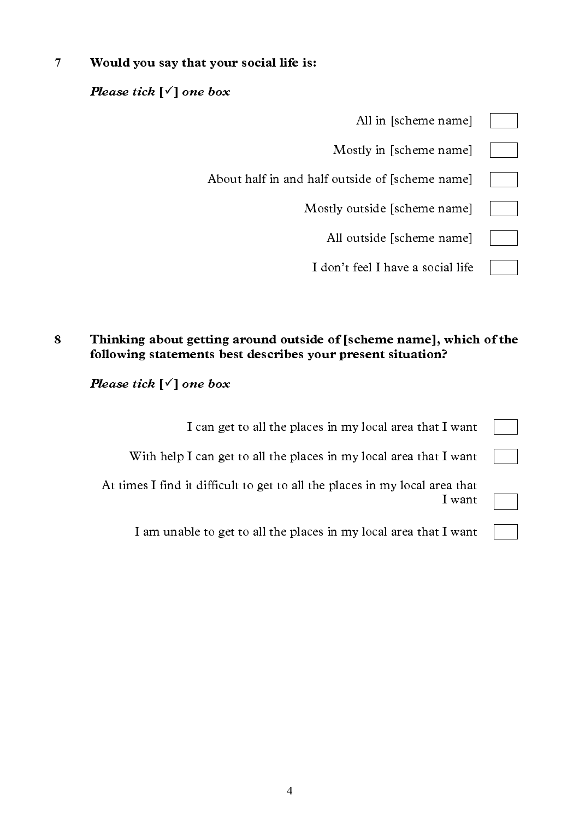#### $\overline{7}$ Would you say that your social life is:

Please tick  $[\checkmark]$  one box

| All in [scheme name]                            |
|-------------------------------------------------|
| Mostly in [scheme name]                         |
| About half in and half outside of [scheme name] |
| Mostly outside [scheme name]                    |
| All outside [scheme name]                       |
| I don't feel I have a social life               |
|                                                 |

### $\overline{\mathbf{8}}$ Thinking about getting around outside of [scheme name], which of the following statements best describes your present situation?

Please tick  $[\checkmark]$  one box

| I can get to all the places in my local area that I want |  |
|----------------------------------------------------------|--|
|----------------------------------------------------------|--|

 $\overline{\phantom{0}}$ 

With help I can get to all the places in my local area that I want

| At times I find it difficult to get to all the places in my local area that |  |  |  |  |  |  |  |  |        |
|-----------------------------------------------------------------------------|--|--|--|--|--|--|--|--|--------|
|                                                                             |  |  |  |  |  |  |  |  | I want |

I am unable to get to all the places in my local area that I want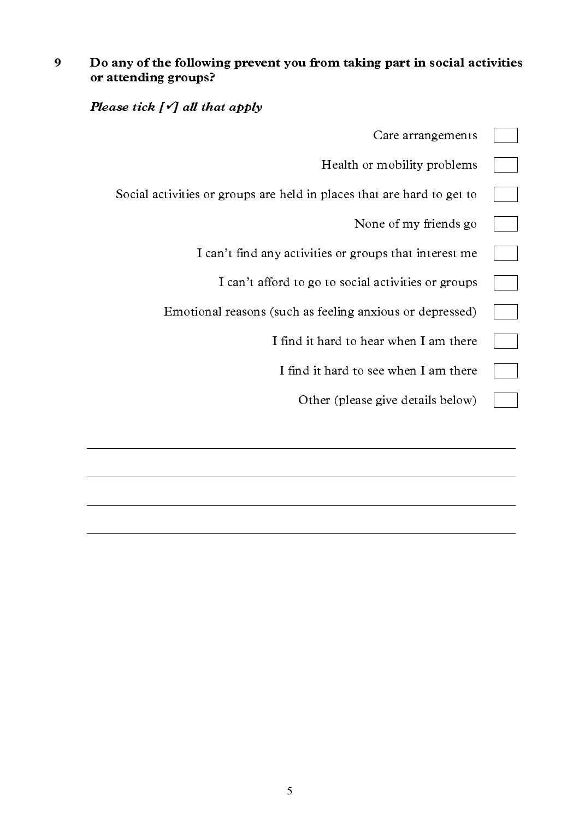### $\overline{9}$ Do any of the following prevent you from taking part in social activities or attending groups?

Please tick  $[\checkmark]$  all that apply

| Care arrangements                                                      |
|------------------------------------------------------------------------|
| Health or mobility problems                                            |
| Social activities or groups are held in places that are hard to get to |
| None of my friends go                                                  |
| I can't find any activities or groups that interest me                 |
| I can't afford to go to social activities or groups                    |
| Emotional reasons (such as feeling anxious or depressed)               |
| I find it hard to hear when I am there                                 |
| I find it hard to see when I am there                                  |
| Other (please give details below)                                      |
|                                                                        |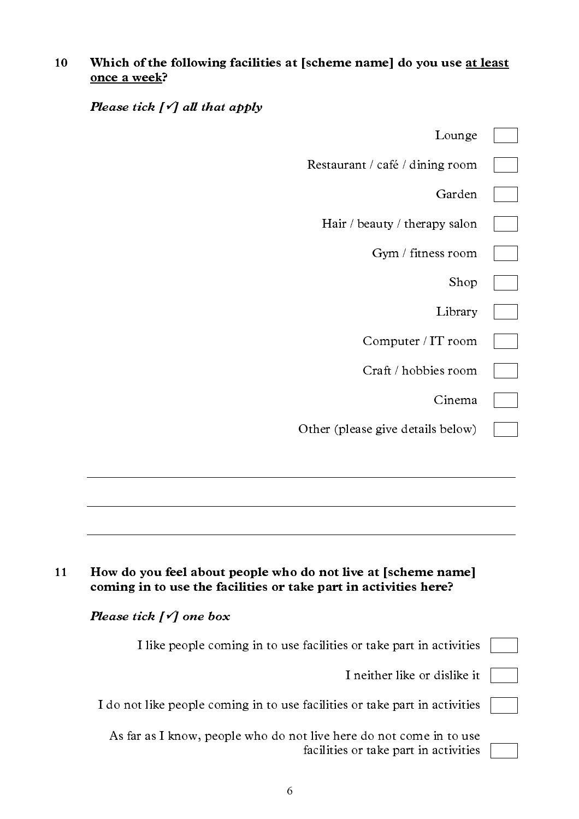## 10 Which of the following facilities at [scheme name] do you use at least once a week?

Please tick  $[\checkmark]$  all that apply

| Lounge                            |
|-----------------------------------|
| Restaurant / café / dining room   |
| Garden                            |
| Hair / beauty / therapy salon     |
| Gym / fitness room                |
| Shop                              |
| Library                           |
| Computer / IT room                |
| Craft / hobbies room              |
| Cinema                            |
| Other (please give details below) |
|                                   |
|                                   |
|                                   |

11  $\frac{1}{11}$  = 110w do you icer about people who do not live at [seneme hame]  $\epsilon$ oming in to use the facinties of take part in activities here.

 $\overline{ }$ *i* ieuse iich  $\int$  from our

> I like people coming in to use facilities or take part in activities  $\overline{=}$

|||||||||||||||||||||||||||||||||||||||||||||||||||||||||||||||||||| =

I neither like or dislike it

=

 $\overline{=}$ I do not like people coming in to use facilities or take part in activities

As far as I know, people who do not live here do not come in to use facilities or take part in activities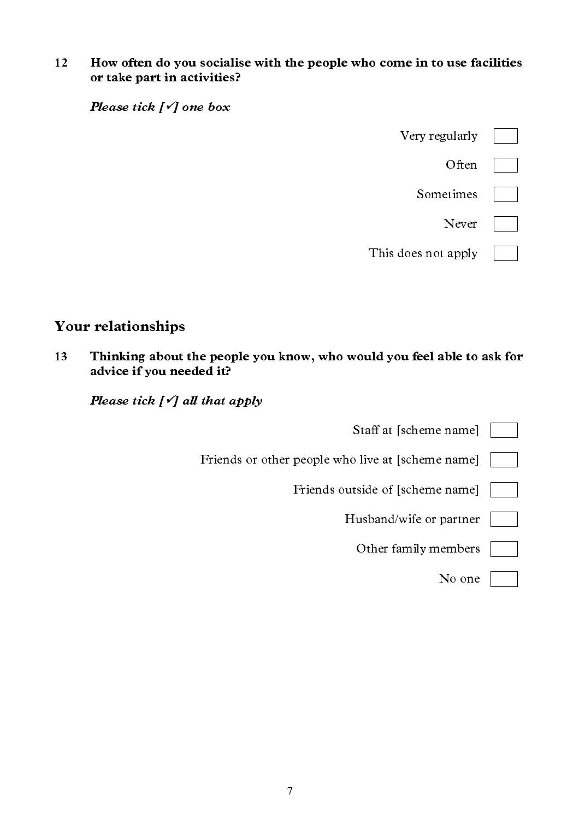### How often do you socialise with the people who come in to use facilities  $12<sup>°</sup>$ or take part in activities?

Please tick  $[\sqrt{}]$  one box

| Very regularly      |  |
|---------------------|--|
| Often               |  |
| Sometimes           |  |
| Never               |  |
| This does not apply |  |

# Your relationships

Thinking about the people you know, who would you feel able to ask for 13 advice if you needed it?

Please tick  $\lceil \sqrt{\sqrt{1}}\rceil$  all that apply

| Staff at [scheme name]                            |
|---------------------------------------------------|
| Friends or other people who live at [scheme name] |
| Friends outside of [scheme name]                  |
| Husband/wife or partner                           |
| Other family members                              |
| No one                                            |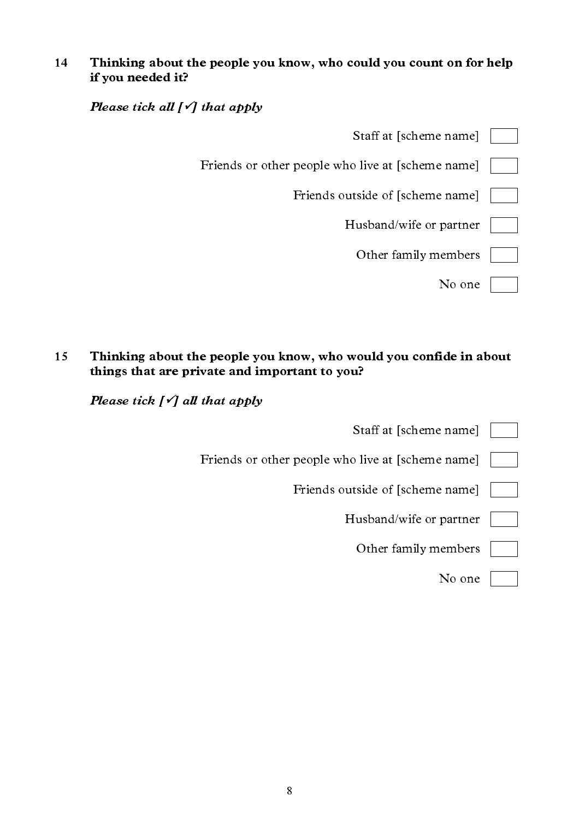### Thinking about the people you know, who could you count on for help 14 if you needed it?

Please tick all  $[\checkmark]$  that apply

| Staff at [scheme name]                            |
|---------------------------------------------------|
| Friends or other people who live at [scheme name] |
| Friends outside of [scheme name]                  |
| Husband/wife or partner                           |
| Other family members                              |
| No one                                            |

#### Thinking about the people you know, who would you confide in about  $15$ things that are private and important to you?

Please tick  $[\checkmark]$  all that apply

| Staff at [scheme name]                            |
|---------------------------------------------------|
| Friends or other people who live at [scheme name] |
| Friends outside of [scheme name]                  |
| Husband/wife or partner                           |
| Other family members                              |
| No one                                            |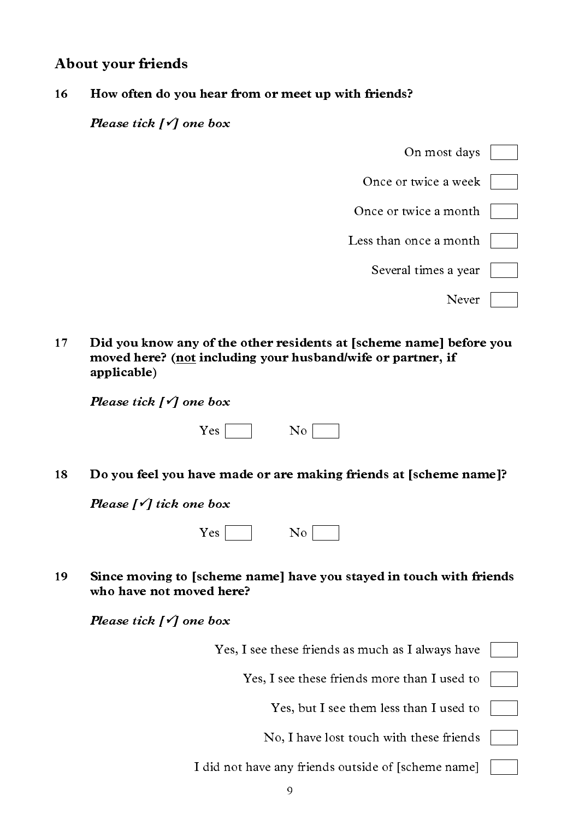## **About your friends**

#### 16 How often do you hear from or meet up with friends?

Please tick  $\lceil \sqrt{\ } \rceil$  one box

| On most days           |  |
|------------------------|--|
| Once or twice a week   |  |
| Once or twice a month  |  |
| Less than once a month |  |
| Several times a year   |  |
| Never                  |  |

 $17 \,$ Did you know any of the other residents at [scheme name] before you moved here? (not including your husband/wife or partner, if applicable)

Please tick  $\lceil \sqrt{\ } \rceil$  one box

| $\tilde{ }$<br>$\sim$<br>÷<br>- |  |
|---------------------------------|--|

18 Do you feel you have made or are making friends at [scheme name]?

Please  $\lceil \sqrt{1} \rceil$  tick one box

| - - | -<br>$\sim$ |  |
|-----|-------------|--|
|     |             |  |

19 Since moving to [scheme name] have you stayed in touch with friends who have not moved here?

Please tick  $[\checkmark]$  one box

Yes, I see these friends as much as I always have

Yes, I see these friends more than I used to

Yes, but I see them less than I used to

No, I have lost touch with these friends

I did not have any friends outside of [scheme name]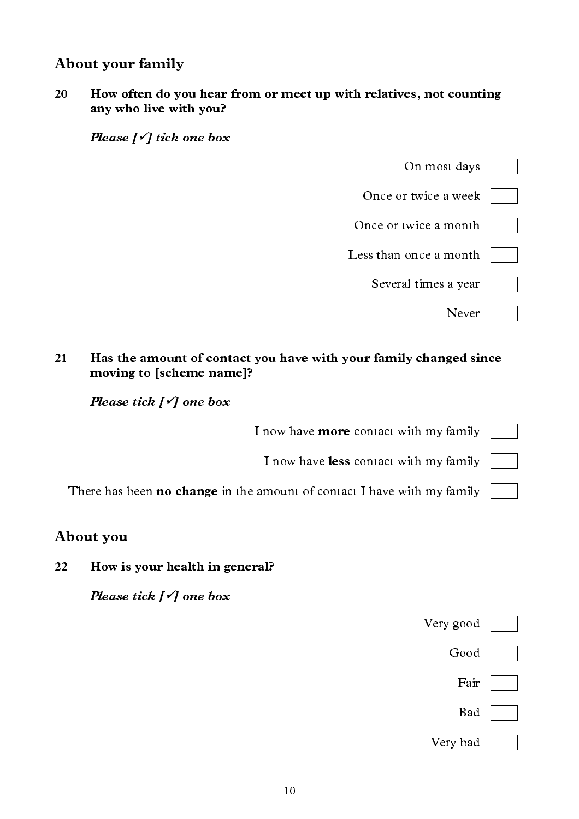# About your family

20 How often do you hear from or meet up with relatives, not counting any who live with you?

Please  $[\checkmark]$  tick one box

| On most days           |  |
|------------------------|--|
| Once or twice a week   |  |
| Once or twice a month  |  |
| Less than once a month |  |
| Several times a year   |  |
| Never                  |  |

#### $21$ Has the amount of contact you have with your family changed since moving to [scheme name]?

Please tick  $\lceil \sqrt{\ } \rceil$  one box

I now have **more** contact with my family

I now have less contact with my family

There has been no change in the amount of contact I have with my family

## About you

 $22$ How is your health in general?

Please tick  $\lceil \sqrt{\ } \rceil$  one box

| Very good |  |
|-----------|--|
| Good      |  |
| Fair      |  |
| Bad       |  |
| Very bad  |  |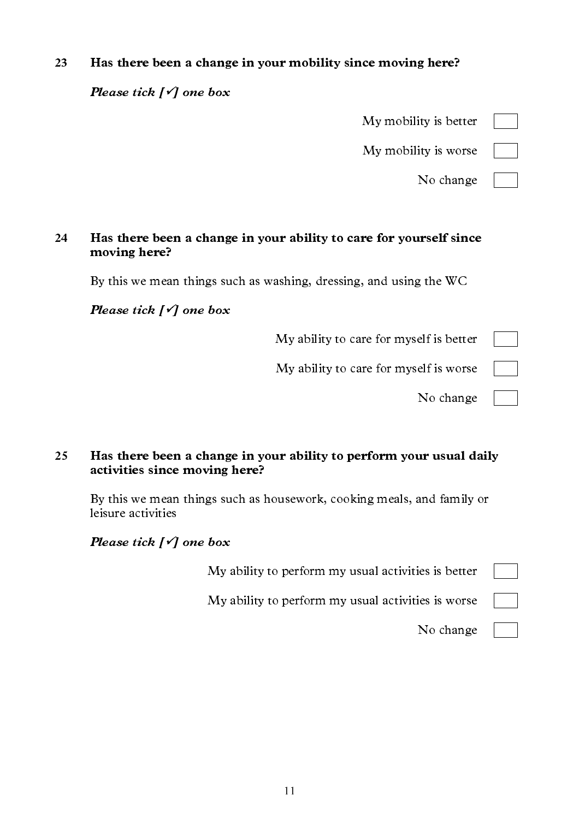#### 23 Has there been a change in your mobility since moving here?

Please tick  $\lceil \sqrt{\ } \rceil$  one box

|  | My mobility is better |  |  |  |
|--|-----------------------|--|--|--|
|--|-----------------------|--|--|--|

My mobility is worse

No change

#### 24 Has there been a change in your ability to care for yourself since moving here?

By this we mean things such as washing, dressing, and using the WC

Please tick  $\lceil \sqrt{\ } \rceil$  one box

My ability to care for myself is better

My ability to care for myself is worse

No change

#### 25 Has there been a change in your ability to perform your usual daily activities since moving here?

By this we mean things such as housework, cooking meals, and family or leisure activities

Please tick  $\lceil \sqrt{\ } \rceil$  one box

My ability to perform my usual activities is better

My ability to perform my usual activities is worse

No change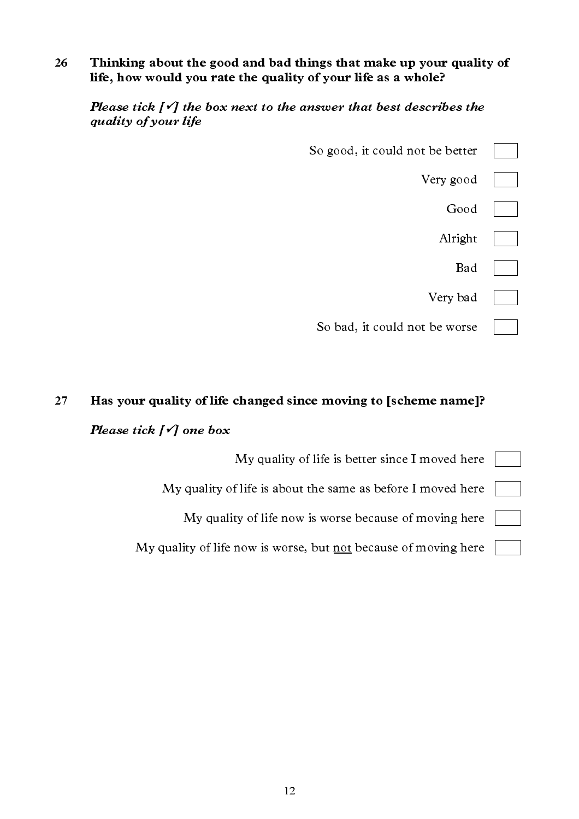$26$ Thinking about the good and bad things that make up your quality of life, how would you rate the quality of your life as a whole?

Please tick  $\lceil \sqrt{l} \rceil$  the box next to the answer that best describes the quality of your life

> So good, it could not be better Very good Good Alright Bad Very bad So bad, it could not be worse

## $27$ Has your quality of life changed since moving to [scheme name]? Please tick  $\lceil \sqrt{\ } \rceil$  one box

My quality of life is better since I moved here My quality of life is about the same as before I moved here My quality of life now is worse because of moving here My quality of life now is worse, but not because of moving here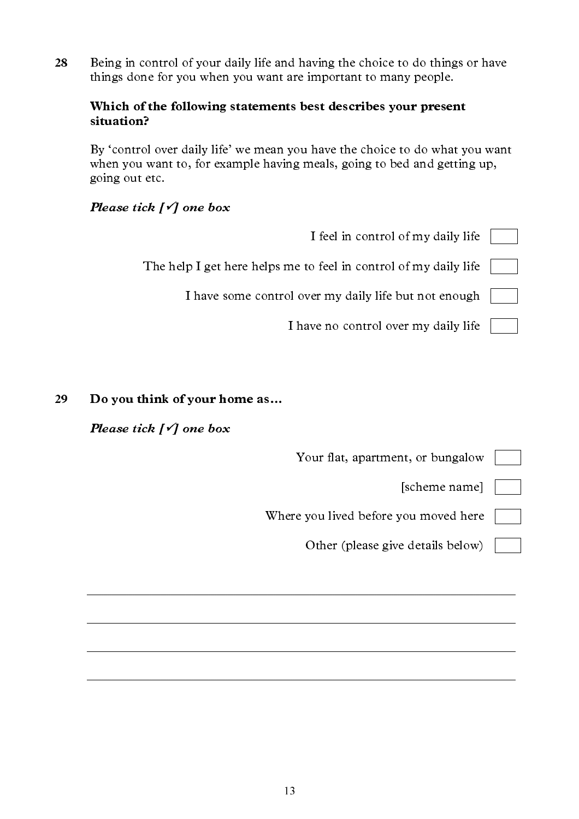28 Being in control of your daily life and having the choice to do things or have things done for you when you want are important to many people.

## Which of the following statements best describes your present situation?

By 'control over daily life' we mean you have the choice to do what you want when you want to, for example having meals, going to bed and getting up, going out etc.

## Please tick  $\lceil \sqrt{\cdot} \rceil$  one box

| I feel in control of my daily life                               |
|------------------------------------------------------------------|
| The help I get here helps me to feel in control of my daily life |
| I have some control over my daily life but not enough            |
| I have no control over my daily life                             |

#### 29 Do you think of your home as...

Please tick  $[\checkmark]$  one box

|  | Your flat, apartment, or bungalow l |  |  |
|--|-------------------------------------|--|--|
|  |                                     |  |  |

| [scheme name] |
|---------------|
|---------------|

Where you lived before you moved here

Other (please give details below)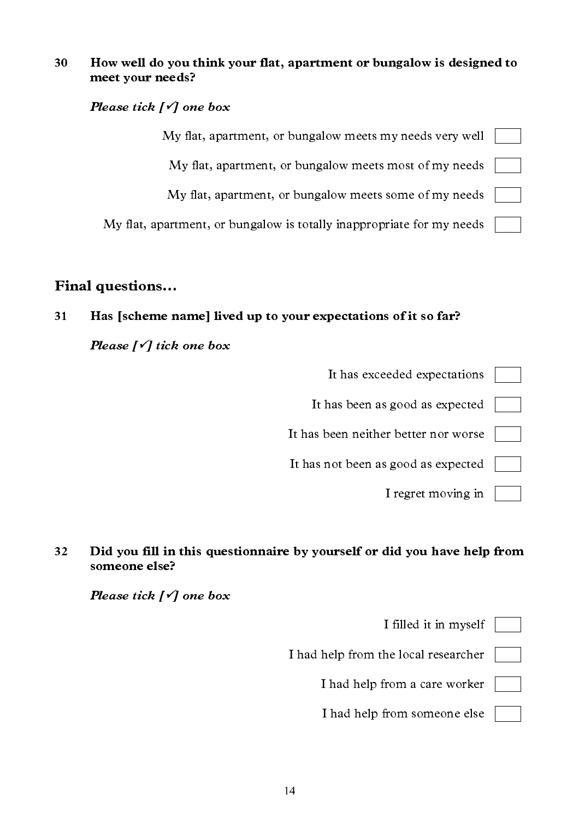### 30 How well do you think your flat, apartment or bungalow is designed to meet your needs?

Please tick  $[\checkmark]$  one box

My flat, apartment, or bungalow meets my needs very well

My flat, apartment, or bungalow meets most of my needs

My flat, apartment, or bungalow meets some of my needs

My flat, apartment, or bungalow is totally inappropriate for my needs

# Final questions...

#### $31$ Has [scheme name] lived up to your expectations of it so far?

Please  $\lceil \sqrt{\cdot} \rceil$  tick one box

| It has exceeded expectations |  |
|------------------------------|--|
|------------------------------|--|

It has been as good as expected

It has been neither better nor worse

It has not been as good as expected

I regret moving in

#### $32$ Did you fill in this questionnaire by yourself or did you have help from someone else?

Please tick  $\lceil \sqrt{\ } \rceil$  one box

| I filled it in myself                |  |
|--------------------------------------|--|
| I had help from the local researcher |  |
| I had help from a care worker        |  |
| I had help from someone else         |  |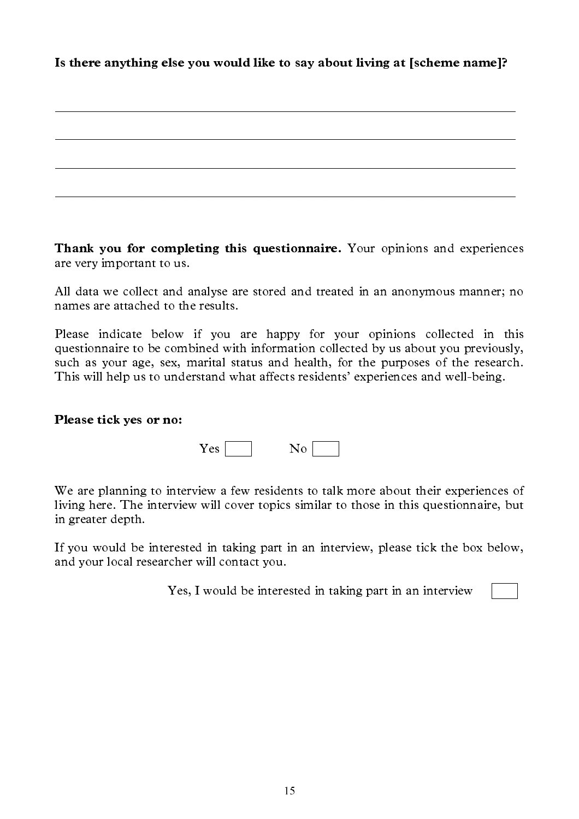Is there anything else you would like to say about living at Ischeme namel?

||||||||||||||||||||||||||||||||||||||||||||||||||||||||||||||||||||||||| =

||||||||||||||||||||||||||||||||||||||||||||||||||||||||||||||||||||||||| =

||||||||||||||||||||||||||||||||||||||||||||||||||||||||||||||||||||||||| =

||||||||||||||||||||||||||||||||||||||||||||||||||||||||||||||||||||||||| =

= Thank you for completing this questionnance four opmons and experiences are very important to us.

=  $\frac{1}{2}$  and we concer and analyse are stored and treated in an anonymous manner, no names are attached to the results.

Please indicate below if you are happy for your opinions collected in this questionnaire to be combined with information collected by us about you previously, such as your age, sex, marital status and health, for the purposes of the research.  $\frac{1}{100}$  as your age, sex, mainar status and main, for the purposes or the research. This win help us to understand what ancets residents experiences and wen-being.

#### =  $\sum_{i=1}^{n}$  is the set of  $\sum_{i=1}^{n}$

| ⊷ | - |  |
|---|---|--|
|   |   |  |

We are planning to interview a few residents to talk more about their experiences of we are planning to interview a few residents to talk more about their experiences of äving here. The interview win cover topies sinniar to those in this questionnanc, but in greater depth.

= fizjõu=would be interested in taking part in an interview, piease tiek the box below, and your local researcher will contact you.

Yes, I would be interested in taking part in an interview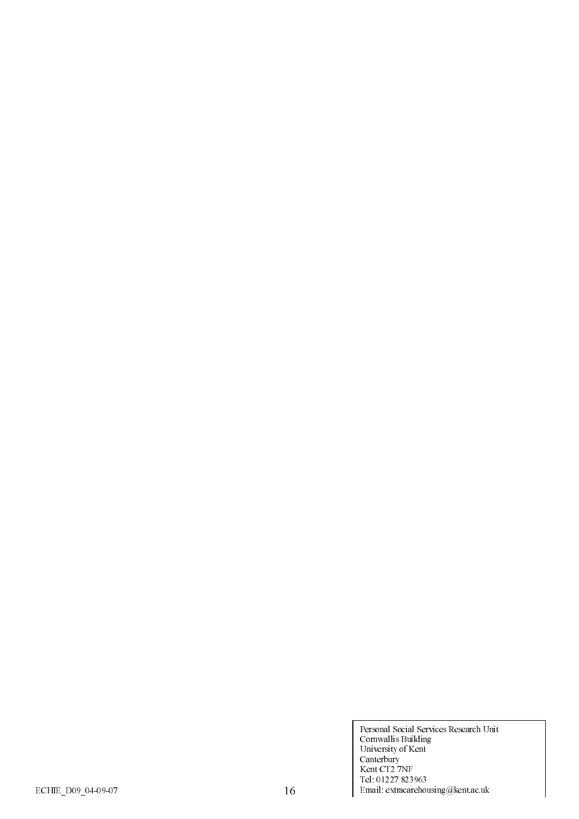16 Email: extracarehousing@kent.ac.uk Personal Social Services Research Ur<br>
Cornwallis Building<br>
University of Kent<br>
Canterbury<br>
Kent CT2 7NF<br>
Tel: 01227 823963<br>
16<br>
Email: extracarehousing@kent.ac.uk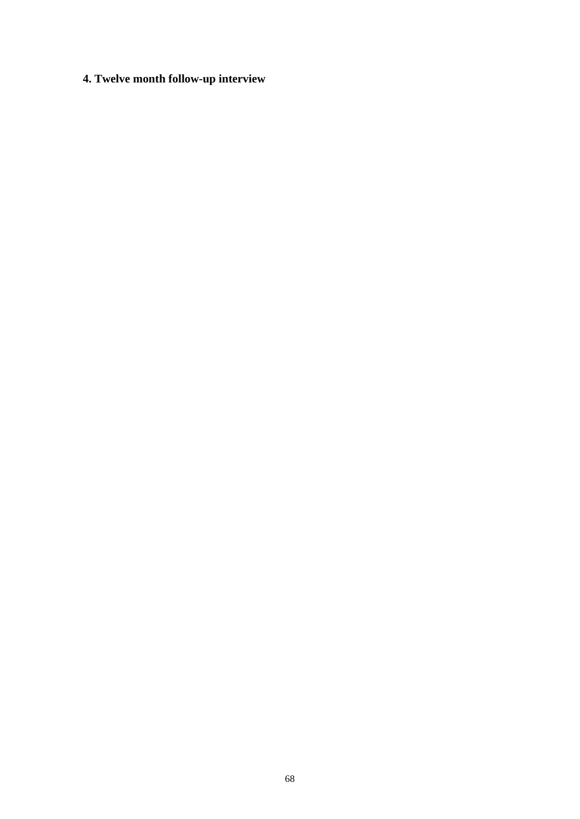# **4. Twelve month follow-up interview**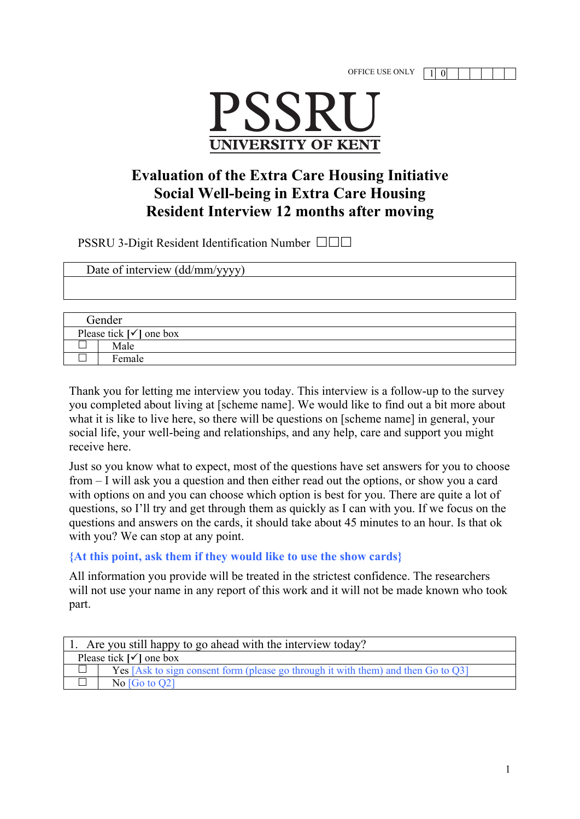| <b>OFFICE USE ONLY</b> |  |  |  |  |
|------------------------|--|--|--|--|



# <span id="page-75-0"></span>**Evaluation of the Extra Care Housing Initiative Social Well-being in Extra Care Housing Resident Interview 12 months after moving**

PSSRU 3-Digit Resident Identification Number  $\square \square \square$ 

 $\square$  Female

| Date of interview (dd/mm/yyyy)                 |  |
|------------------------------------------------|--|
|                                                |  |
|                                                |  |
|                                                |  |
| Gender                                         |  |
| Please tick $\lceil \checkmark \rceil$ one box |  |
| Male                                           |  |

Thank you for letting me interview you today. This interview is a follow-up to the survey you completed about living at [scheme name]. We would like to find out a bit more about what it is like to live here, so there will be questions on [scheme name] in general, your social life, your well-being and relationships, and any help, care and support you might receive here.

Just so you know what to expect, most of the questions have set answers for you to choose from  $-I$  will ask you a question and then either read out the options, or show you a card with options on and you can choose which option is best for you. There are quite a lot of questions, so I'll try and get through them as quickly as I can with you. If we focus on the questions and answers on the cards, it should take about 45 minutes to an hour. Is that ok with you? We can stop at any point.

#### **{At this point, ask them if they would like to use the show cards}**

All information you provide will be treated in the strictest confidence. The researchers will not use your name in any report of this work and it will not be made known who took part.

| 1. Are you still happy to go ahead with the interview today?                      |  |  |  |
|-----------------------------------------------------------------------------------|--|--|--|
| Please tick $\lceil \checkmark \rceil$ one box                                    |  |  |  |
| Yes [Ask to sign consent form (please go through it with them) and then Go to Q3] |  |  |  |
| No $[G_0$ to $Q_2]$                                                               |  |  |  |
|                                                                                   |  |  |  |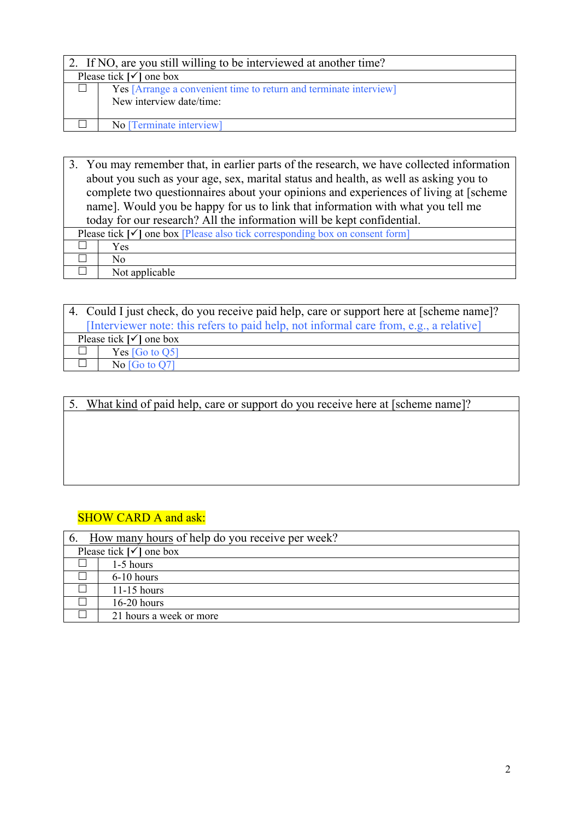| 2. If NO, are you still willing to be interviewed at another time?                            |
|-----------------------------------------------------------------------------------------------|
| Please tick $\lceil \checkmark \rceil$ one box                                                |
| Yes [Arrange a convenient time to return and terminate interview]<br>New interview date/time: |
| No [Terminate interview]                                                                      |

3. You may remember that, in earlier parts of the research, we have collected information about you such as your age, sex, marital status and health, as well as asking you to complete two questionnaires about your opinions and experiences of living at [scheme name]. Would you be happy for us to link that information with what you tell me today for our research? All the information will be kept confidential. Please tick  $[\checkmark]$  one box [Please also tick corresponding box on consent form]<br> $\Box$  Yes Yes  $\begin{array}{|c|c|c|}\n\hline\n\Box & \text{No}\n\end{array}$ Not applicable

| 4. Could I just check, do you receive paid help, care or support here at [scheme name]? |
|-----------------------------------------------------------------------------------------|
| [Interviewer note: this refers to paid help, not informal care from, e.g., a relative]  |
| Please tick $\lceil \checkmark \rceil$ one box                                          |
| Yes [Go to $Q5$ ]                                                                       |
| No $[G_0$ to $Q_7]$                                                                     |

|  |  |  |  |  |  | 5. What kind of paid help, care or support do you receive here at [scheme name]? |  |
|--|--|--|--|--|--|----------------------------------------------------------------------------------|--|
|--|--|--|--|--|--|----------------------------------------------------------------------------------|--|

### SHOW CARD A and ask:

| 6. How many hours of help do you receive per week? |
|----------------------------------------------------|
| Please tick $\lceil \checkmark \rceil$ one box     |
| $1-5$ hours                                        |
| $6-10$ hours                                       |
| $11-15$ hours                                      |
| $16-20$ hours                                      |
| 21 hours a week or more                            |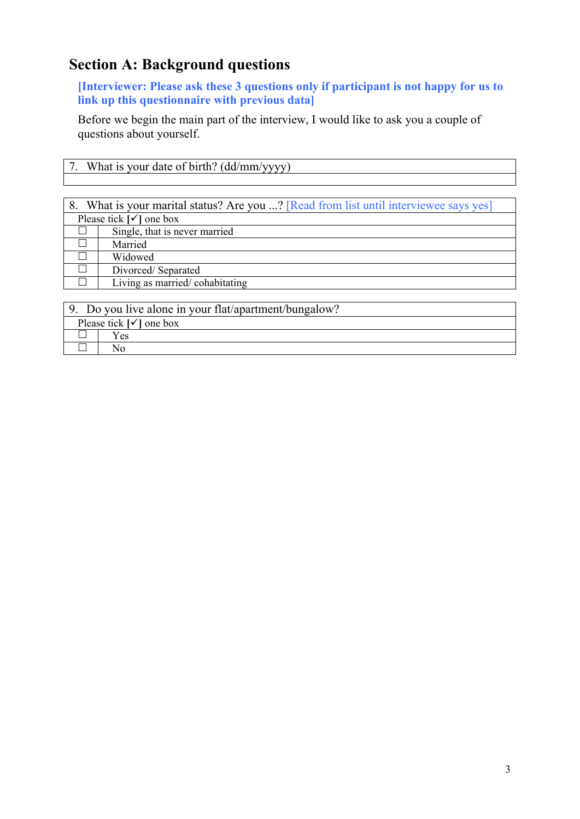# **Section A: Background questions**

7. What is your date of birth? (dd/mm/yyyy)

**[Interviewer: Please ask these 3 questions only if participant is not happy for us to link up this questionnaire with previous data]** 

Before we begin the main part of the interview, I would like to ask you a couple of questions about yourself.

| , , , , <i>,</i>                                                                      |
|---------------------------------------------------------------------------------------|
|                                                                                       |
|                                                                                       |
| 8. What is your marital status? Are you ? [Read from list until interviewee says yes] |
| Please tick $\lceil \checkmark \rceil$ one box                                        |
| Single, that is never married                                                         |
| Married                                                                               |
| Widowed                                                                               |
| Divorced/Separated                                                                    |
| Living as married/cohabitating                                                        |
|                                                                                       |
|                                                                                       |

9. Do you live alone in your flat/apartment/bungalow?

| Please tick $\lceil \checkmark \rceil$<br>one box |  |  |
|---------------------------------------------------|--|--|
| - -<br>es                                         |  |  |
| No                                                |  |  |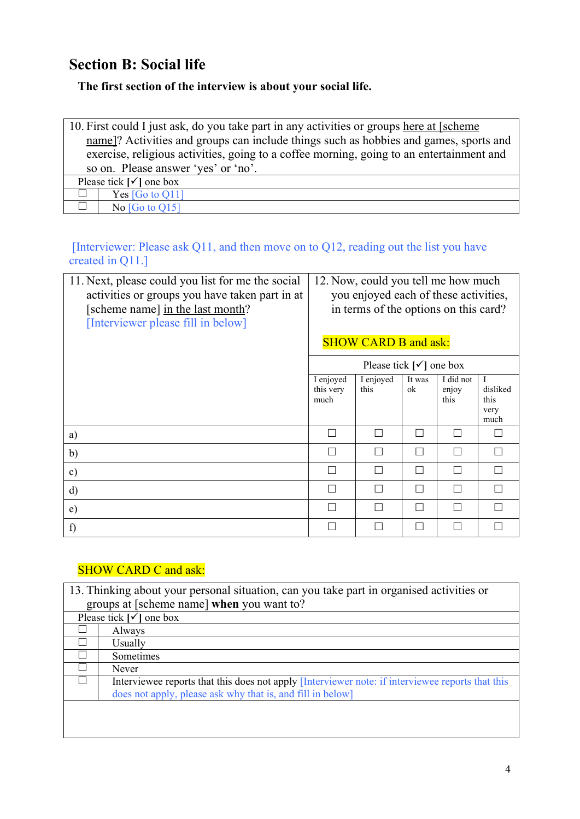# **Section B: Social life**

# **The first section of the interview is about your social life.**

| 10. First could I just ask, do you take part in any activities or groups here at [scheme] |
|-------------------------------------------------------------------------------------------|
| name]? Activities and groups can include things such as hobbies and games, sports and     |
| exercise, religious activities, going to a coffee morning, going to an entertainment and  |
| so on. Please answer 'yes' or 'no'.                                                       |
| Please tick $\lceil \checkmark \rceil$ one box                                            |
| Yes [Go to $Q11$ ]                                                                        |
| No $[G$ <sup>0</sup> to $Q$ <sup>15</sup> $]$                                             |

### [Interviewer: Please ask Q11, and then move on to Q12, reading out the list you have created in Q11.]

| 11. Next, please could you list for me the social<br>activities or groups you have taken part in at<br>[scheme name] in the last month?<br>[Interviewer please fill in below] | 12. Now, could you tell me how much<br>you enjoyed each of these activities,<br>in terms of the options on this card?<br><b>SHOW CARD B and ask:</b> |                                                |              |                            |                                       |
|-------------------------------------------------------------------------------------------------------------------------------------------------------------------------------|------------------------------------------------------------------------------------------------------------------------------------------------------|------------------------------------------------|--------------|----------------------------|---------------------------------------|
|                                                                                                                                                                               |                                                                                                                                                      | Please tick $\lceil \checkmark \rceil$ one box |              |                            |                                       |
|                                                                                                                                                                               | I enjoyed<br>this very<br>much                                                                                                                       | I enjoyed<br>this                              | It was<br>ok | I did not<br>enjoy<br>this | I<br>disliked<br>this<br>very<br>much |
| a)                                                                                                                                                                            |                                                                                                                                                      | П                                              | H            |                            |                                       |
| b)                                                                                                                                                                            |                                                                                                                                                      | П                                              | П            |                            |                                       |
| $\mathbf{c})$                                                                                                                                                                 |                                                                                                                                                      |                                                |              |                            |                                       |
| $\mathbf{d}$                                                                                                                                                                  |                                                                                                                                                      | $\Box$                                         |              |                            |                                       |
| $\epsilon$ )                                                                                                                                                                  |                                                                                                                                                      | $\Box$                                         | H            |                            |                                       |
| f)                                                                                                                                                                            |                                                                                                                                                      |                                                |              |                            |                                       |

## SHOW CARD C and ask:

| 13. Thinking about your personal situation, can you take part in organised activities or         |  |  |  |  |
|--------------------------------------------------------------------------------------------------|--|--|--|--|
| groups at [scheme name] when you want to?                                                        |  |  |  |  |
| Please tick $\lceil \checkmark \rceil$ one box                                                   |  |  |  |  |
| Always                                                                                           |  |  |  |  |
| Usually                                                                                          |  |  |  |  |
| Sometimes                                                                                        |  |  |  |  |
| Never                                                                                            |  |  |  |  |
| Interviewee reports that this does not apply [Interviewer note: if interviewee reports that this |  |  |  |  |
| does not apply, please ask why that is, and fill in below]                                       |  |  |  |  |
|                                                                                                  |  |  |  |  |
|                                                                                                  |  |  |  |  |
|                                                                                                  |  |  |  |  |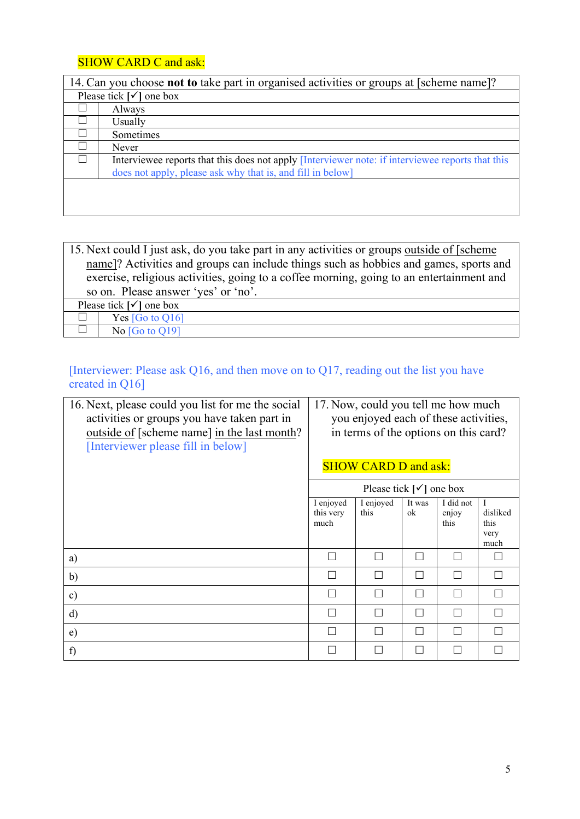# SHOW CARD C and ask:

| 14. Can you choose <b>not to</b> take part in organised activities or groups at [scheme name]?          |  |  |  |  |  |
|---------------------------------------------------------------------------------------------------------|--|--|--|--|--|
| Please tick $\lceil \checkmark \rceil$ one box                                                          |  |  |  |  |  |
| Always                                                                                                  |  |  |  |  |  |
| Usually                                                                                                 |  |  |  |  |  |
| Sometimes                                                                                               |  |  |  |  |  |
| Never                                                                                                   |  |  |  |  |  |
| Interviewee reports that this does not apply <i>[Interviewer note: if interviewee reports that this</i> |  |  |  |  |  |
| does not apply, please ask why that is, and fill in below]                                              |  |  |  |  |  |
|                                                                                                         |  |  |  |  |  |
|                                                                                                         |  |  |  |  |  |
|                                                                                                         |  |  |  |  |  |

| 15. Next could I just ask, do you take part in any activities or groups outside of [scheme] |
|---------------------------------------------------------------------------------------------|
| name]? Activities and groups can include things such as hobbies and games, sports and       |
| exercise, religious activities, going to a coffee morning, going to an entertainment and    |
| so on. Please answer 'yes' or 'no'.                                                         |
| Please tick $\lceil \checkmark \rceil$ one box                                              |
| Yes [Go to $Q16$ ]                                                                          |
| No $[G$ <sup>0</sup> to $Q$ <sup>19</sup> $]$                                               |

## [Interviewer: Please ask Q16, and then move on to Q17, reading out the list you have created in Q16]

| 16. Next, please could you list for me the social<br>activities or groups you have taken part in<br>outside of [scheme name] in the last month?<br>[Interviewer please fill in below] | 17. Now, could you tell me how much<br>you enjoyed each of these activities,<br>in terms of the options on this card?<br><b>SHOW CARD D and ask:</b> |                                                |                   |                            |                                       |
|---------------------------------------------------------------------------------------------------------------------------------------------------------------------------------------|------------------------------------------------------------------------------------------------------------------------------------------------------|------------------------------------------------|-------------------|----------------------------|---------------------------------------|
|                                                                                                                                                                                       |                                                                                                                                                      | Please tick $\lceil \checkmark \rceil$ one box |                   |                            |                                       |
|                                                                                                                                                                                       | I enjoyed<br>this very<br>much                                                                                                                       | I enjoyed<br>this                              | It was<br>ok      | I did not<br>enjoy<br>this | L<br>disliked<br>this<br>very<br>much |
| a)                                                                                                                                                                                    | $\Box$                                                                                                                                               |                                                | $\vert \ \ \vert$ | П                          |                                       |
| b)                                                                                                                                                                                    | П                                                                                                                                                    |                                                | $\Box$            | П                          |                                       |
| $\mathbf{c})$                                                                                                                                                                         | $\Box$                                                                                                                                               |                                                | H                 | $\Box$                     |                                       |
| $\mathbf{d}$                                                                                                                                                                          | П                                                                                                                                                    |                                                | П                 | П                          |                                       |
| e)                                                                                                                                                                                    | П                                                                                                                                                    |                                                | П                 | П                          |                                       |
| f                                                                                                                                                                                     |                                                                                                                                                      |                                                | П                 | П                          |                                       |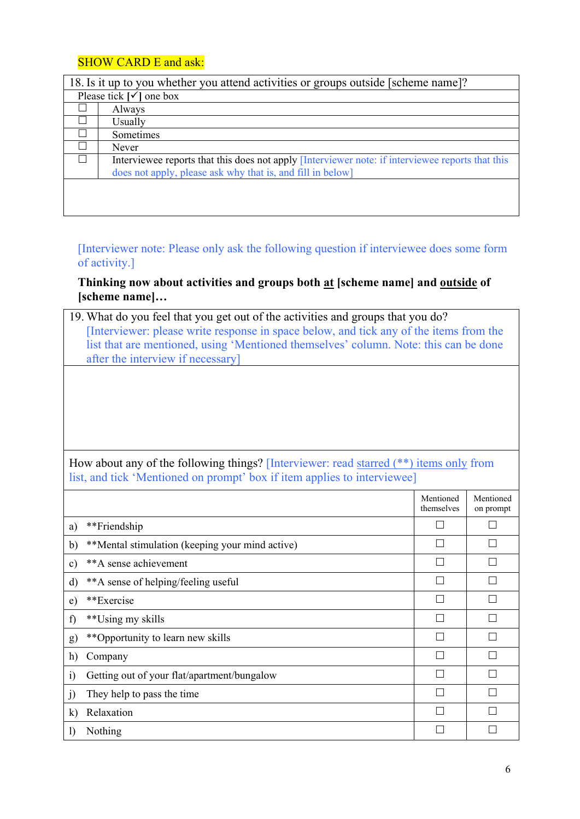### SHOW CARD E and ask:

| 18. Is it up to you whether you attend activities or groups outside [scheme name]?                      |  |  |  |  |  |
|---------------------------------------------------------------------------------------------------------|--|--|--|--|--|
| Please tick $\lceil \checkmark \rceil$ one box                                                          |  |  |  |  |  |
| Always                                                                                                  |  |  |  |  |  |
| Usually                                                                                                 |  |  |  |  |  |
| Sometimes                                                                                               |  |  |  |  |  |
| Never                                                                                                   |  |  |  |  |  |
| Interviewee reports that this does not apply <i>[Interviewer note: if interviewee reports that this</i> |  |  |  |  |  |
| does not apply, please ask why that is, and fill in below]                                              |  |  |  |  |  |
|                                                                                                         |  |  |  |  |  |
|                                                                                                         |  |  |  |  |  |

[Interviewer note: Please only ask the following question if interviewee does some form of activity.]

### **Thinking now about activities and groups both at [scheme name] and outside of**  [scheme name]...

| 19. What do you feel that you get out of the activities and groups that you do?        |  |
|----------------------------------------------------------------------------------------|--|
| [Interviewer: please write response in space below, and tick any of the items from the |  |
| list that are mentioned, using 'Mentioned themselves' column. Note: this can be done   |  |
| after the interview if necessary                                                       |  |

| How about any of the following things? [Interviewer: read starred (**) items only from |  |  |
|----------------------------------------------------------------------------------------|--|--|
| list, and tick 'Mentioned on prompt' box if item applies to interviewee]               |  |  |

|              |                                                 | Mentioned<br>themselves | Mentioned<br>on prompt |
|--------------|-------------------------------------------------|-------------------------|------------------------|
| a)           | **Friendship                                    |                         |                        |
| b)           | **Mental stimulation (keeping your mind active) |                         |                        |
| c)           | **A sense achievement                           |                         |                        |
| $\mathbf{d}$ | ** A sense of helping/feeling useful            |                         |                        |
| e)           | **Exercise                                      |                         |                        |
| f            | **Using my skills                               |                         |                        |
| g)           | **Opportunity to learn new skills               |                         |                        |
| h)           | Company                                         |                         |                        |
| $\mathbf{i}$ | Getting out of your flat/apartment/bungalow     |                         |                        |
| j)           | They help to pass the time                      |                         |                        |
| $\bf k)$     | Relaxation                                      |                         |                        |
|              | Nothing                                         |                         |                        |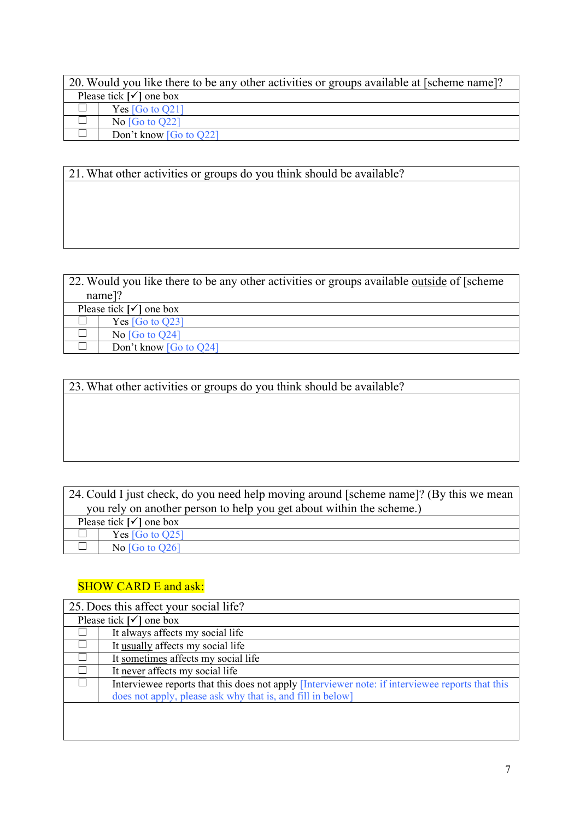| 20. Would you like there to be any other activities or groups available at [scheme name]? |  |  |  |  |  |
|-------------------------------------------------------------------------------------------|--|--|--|--|--|
| Please tick $[\checkmark]$ one box                                                        |  |  |  |  |  |
| Yes [Go to $Q21$ ]                                                                        |  |  |  |  |  |
| No $[G$ <sup>0</sup> to $Q$ 22]                                                           |  |  |  |  |  |
| Don't know $[G$ <sup>0</sup> to $Q$ 22]                                                   |  |  |  |  |  |

21. What other activities or groups do you think should be available?

| 22. Would you like there to be any other activities or groups available <u>outside</u> of [scheme |
|---------------------------------------------------------------------------------------------------|
| name]?                                                                                            |
| Please tick $\lceil \checkmark \rceil$ one box                                                    |
| Yes [Go to $Q23$ ]                                                                                |
| No $[G$ <sup>0</sup> to $Q$ <sup>24</sup> $]$                                                     |
| Don't know [Go to Q24]                                                                            |

|  |  |  |  |  |  |  |  | 23. What other activities or groups do you think should be available? |
|--|--|--|--|--|--|--|--|-----------------------------------------------------------------------|
|--|--|--|--|--|--|--|--|-----------------------------------------------------------------------|

| 24. Could I just check, do you need help moving around [scheme name]? (By this we mean |                                                                      |  |  |  |
|----------------------------------------------------------------------------------------|----------------------------------------------------------------------|--|--|--|
|                                                                                        | you rely on another person to help you get about within the scheme.) |  |  |  |
| Please tick $\lceil \checkmark \rceil$ one box                                         |                                                                      |  |  |  |
|                                                                                        | Yes [Go to $Q25$ ]                                                   |  |  |  |
|                                                                                        | No $[G$ <sup>0</sup> to $Q$ <sup>26</sup> $]$                        |  |  |  |

# SHOW CARD E and ask:

| 25. Does this affect your social life? |                                                                                                         |  |  |  |
|----------------------------------------|---------------------------------------------------------------------------------------------------------|--|--|--|
|                                        | Please tick $[\checkmark]$ one box                                                                      |  |  |  |
|                                        | It always affects my social life                                                                        |  |  |  |
|                                        | It usually affects my social life                                                                       |  |  |  |
|                                        | It sometimes affects my social life                                                                     |  |  |  |
|                                        | It never affects my social life                                                                         |  |  |  |
|                                        | Interviewee reports that this does not apply <i>[Interviewer note: if interviewee reports that this</i> |  |  |  |
|                                        | does not apply, please ask why that is, and fill in below]                                              |  |  |  |
|                                        |                                                                                                         |  |  |  |
|                                        |                                                                                                         |  |  |  |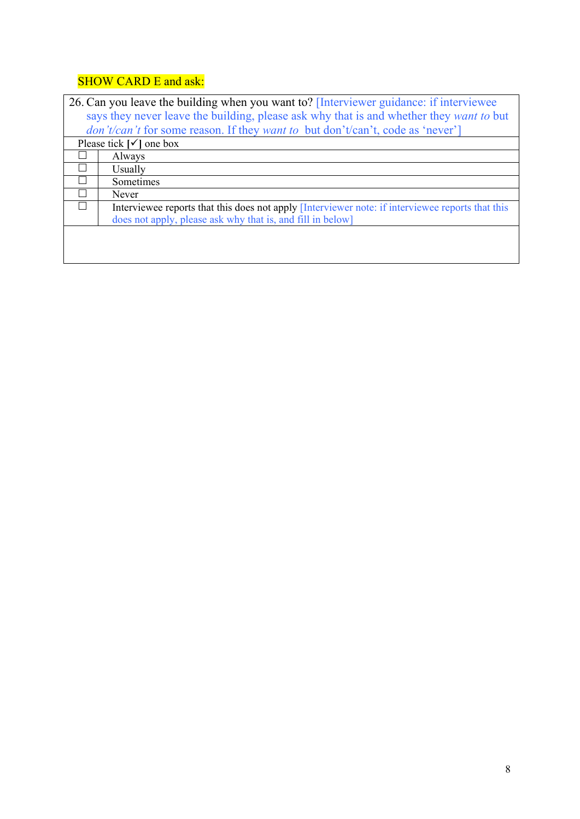# SHOW CARD E and ask:

| 26. Can you leave the building when you want to? [Interviewer guidance: if interviewee]                 |  |  |  |  |
|---------------------------------------------------------------------------------------------------------|--|--|--|--|
| says they never leave the building, please ask why that is and whether they want to but                 |  |  |  |  |
| <i>don't/can't</i> for some reason. If they <i>want to</i> but don't/can't, code as 'never']            |  |  |  |  |
| Please tick $\lceil \checkmark \rceil$ one box                                                          |  |  |  |  |
| Always                                                                                                  |  |  |  |  |
| Usually                                                                                                 |  |  |  |  |
| Sometimes                                                                                               |  |  |  |  |
| Never                                                                                                   |  |  |  |  |
| Interviewee reports that this does not apply <i>[Interviewer note: if interviewee reports that this</i> |  |  |  |  |
| does not apply, please ask why that is, and fill in below]                                              |  |  |  |  |
|                                                                                                         |  |  |  |  |
|                                                                                                         |  |  |  |  |
|                                                                                                         |  |  |  |  |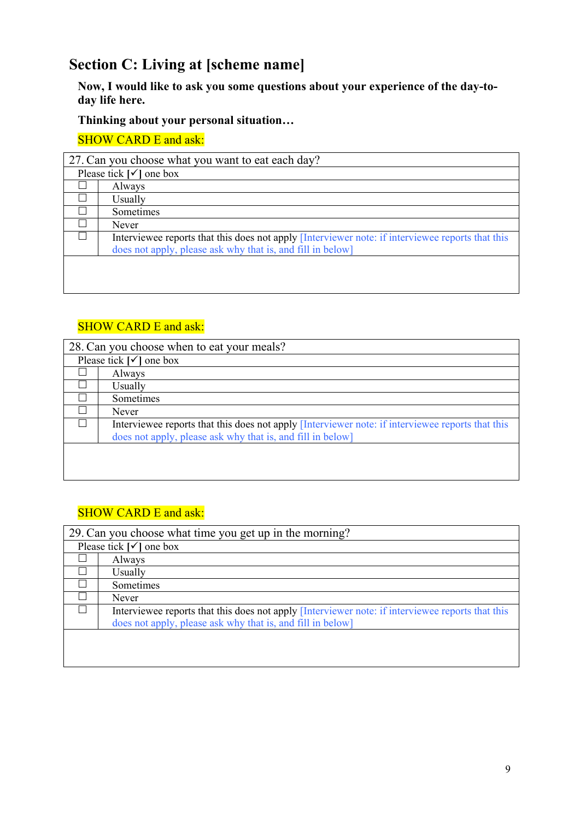# **Section C: Living at [scheme name]**

**Now, I would like to ask you some questions about your experience of the day-today life here.** 

#### **Thinking about your personal situation...**

SHOW CARD E and ask:

| 27. Can you choose what you want to eat each day? |                                                                                                         |  |  |  |  |
|---------------------------------------------------|---------------------------------------------------------------------------------------------------------|--|--|--|--|
|                                                   | Please tick $\lceil \checkmark \rceil$ one box                                                          |  |  |  |  |
|                                                   | Always                                                                                                  |  |  |  |  |
|                                                   | Usually                                                                                                 |  |  |  |  |
|                                                   | Sometimes                                                                                               |  |  |  |  |
|                                                   | Never                                                                                                   |  |  |  |  |
|                                                   | Interviewee reports that this does not apply <i>[Interviewer note: if interviewee reports that this</i> |  |  |  |  |
|                                                   | does not apply, please ask why that is, and fill in below]                                              |  |  |  |  |
|                                                   |                                                                                                         |  |  |  |  |
|                                                   |                                                                                                         |  |  |  |  |
|                                                   |                                                                                                         |  |  |  |  |

# SHOW CARD E and ask:

| 28. Can you choose when to eat your meals? |                                                                                                         |  |  |  |
|--------------------------------------------|---------------------------------------------------------------------------------------------------------|--|--|--|
|                                            | Please tick $\lceil \checkmark \rceil$ one box                                                          |  |  |  |
|                                            | Always                                                                                                  |  |  |  |
|                                            | Usually                                                                                                 |  |  |  |
|                                            | Sometimes                                                                                               |  |  |  |
|                                            | Never                                                                                                   |  |  |  |
|                                            | Interviewee reports that this does not apply <i>[Interviewer note: if interviewee reports that this</i> |  |  |  |
|                                            | does not apply, please ask why that is, and fill in below]                                              |  |  |  |
|                                            |                                                                                                         |  |  |  |
|                                            |                                                                                                         |  |  |  |

## SHOW CARD E and ask:

| 29. Can you choose what time you get up in the morning? |                                                                                                         |  |  |  |
|---------------------------------------------------------|---------------------------------------------------------------------------------------------------------|--|--|--|
|                                                         | Please tick $\lceil \checkmark \rceil$ one box                                                          |  |  |  |
|                                                         | Always                                                                                                  |  |  |  |
|                                                         | Usually                                                                                                 |  |  |  |
|                                                         | Sometimes                                                                                               |  |  |  |
|                                                         | <b>Never</b>                                                                                            |  |  |  |
|                                                         | Interviewee reports that this does not apply <i>[Interviewer note: if interviewee reports that this</i> |  |  |  |
|                                                         | does not apply, please ask why that is, and fill in below]                                              |  |  |  |
|                                                         |                                                                                                         |  |  |  |
|                                                         |                                                                                                         |  |  |  |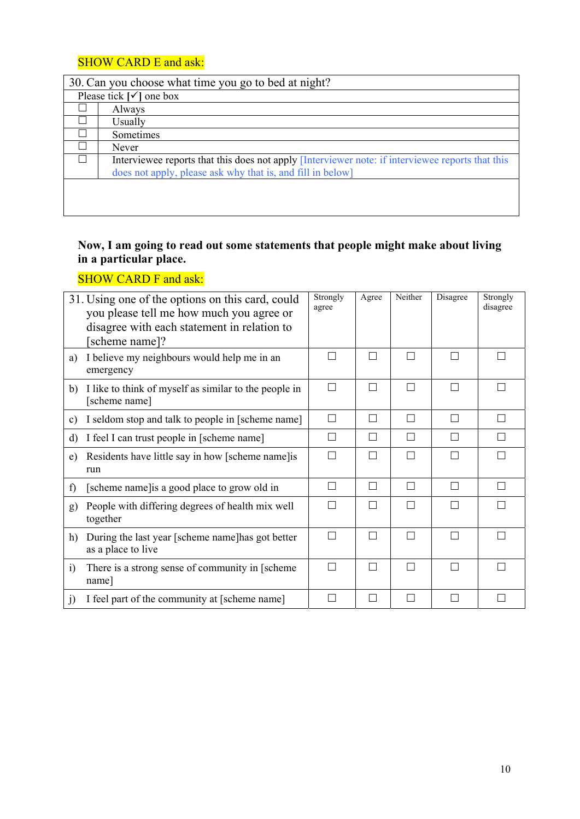### SHOW CARD E and ask:

| 30. Can you choose what time you go to bed at night?                                                    |  |  |
|---------------------------------------------------------------------------------------------------------|--|--|
| Please tick $\lceil \checkmark \rceil$ one box                                                          |  |  |
| Always                                                                                                  |  |  |
| Usually                                                                                                 |  |  |
| Sometimes                                                                                               |  |  |
| Never                                                                                                   |  |  |
| Interviewee reports that this does not apply <i>[Interviewer note: if interviewee reports that this</i> |  |  |
| does not apply, please ask why that is, and fill in below]                                              |  |  |
|                                                                                                         |  |  |
|                                                                                                         |  |  |

### **Now, I am going to read out some statements that people might make about living in a particular place.**

# SHOW CARD F and ask:

|              | 31. Using one of the options on this card, could<br>you please tell me how much you agree or<br>disagree with each statement in relation to<br>scheme name]? | Strongly<br>agree | Agree  | Neither                  | Disagree | Strongly<br>disagree |
|--------------|--------------------------------------------------------------------------------------------------------------------------------------------------------------|-------------------|--------|--------------------------|----------|----------------------|
| a)           | I believe my neighbours would help me in an<br>emergency                                                                                                     |                   |        |                          |          |                      |
| b)           | I like to think of myself as similar to the people in<br>[scheme name]                                                                                       | П                 | П      | П                        |          |                      |
| c)           | I seldom stop and talk to people in [scheme name]                                                                                                            | П                 |        |                          |          |                      |
| $\mathbf{d}$ | I feel I can trust people in [scheme name]                                                                                                                   | П                 | $\Box$ | $\overline{\phantom{a}}$ |          |                      |
| e)           | Residents have little say in how [scheme name] is<br>run                                                                                                     | П                 | $\Box$ | П                        |          |                      |
| f)           | [scheme name] is a good place to grow old in                                                                                                                 | П                 | П      | $\Box$                   |          |                      |
| g)           | People with differing degrees of health mix well<br>together                                                                                                 | П                 | l. I   | $\Box$                   |          |                      |
| h)           | During the last year [scheme name] has got better<br>as a place to live                                                                                      | П                 | П      |                          |          |                      |
| $\ddot{1}$   | There is a strong sense of community in [scheme]<br>name                                                                                                     |                   | $\sim$ | П                        |          |                      |
| j)           | I feel part of the community at [scheme name]                                                                                                                | П                 |        |                          |          |                      |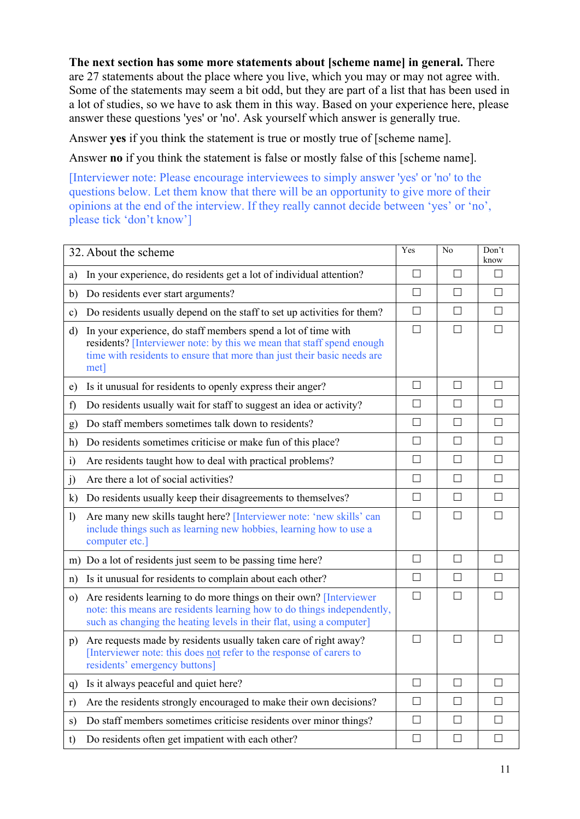**The next section has some more statements about [scheme name] in general.** There are 27 statements about the place where you live, which you may or may not agree with. Some of the statements may seem a bit odd, but they are part of a list that has been used in a lot of studies, so we have to ask them in this way. Based on your experience here, please answer these questions 'yes' or 'no'. Ask yourself which answer is generally true.

Answer **yes** if you think the statement is true or mostly true of [scheme name].

Answer **no** if you think the statement is false or mostly false of this [scheme name].

[Interviewer note: Please encourage interviewees to simply answer 'yes' or 'no' to the questions below. Let them know that there will be an opportunity to give more of their opinions at the end of the interview. If they really cannot decide between 'yes' or 'no', please tick 'don't know']

|                  | 32. About the scheme                                                                                                                                                                                                            | Yes    | No     | Don't<br>know |
|------------------|---------------------------------------------------------------------------------------------------------------------------------------------------------------------------------------------------------------------------------|--------|--------|---------------|
| a)               | In your experience, do residents get a lot of individual attention?                                                                                                                                                             | $\Box$ | $\Box$ | $\Box$        |
| b)               | Do residents ever start arguments?                                                                                                                                                                                              | П      | $\Box$ | $\Box$        |
| c)               | Do residents usually depend on the staff to set up activities for them?                                                                                                                                                         | $\Box$ | $\Box$ | $\Box$        |
| $\mathbf{d}$     | In your experience, do staff members spend a lot of time with<br>residents? [Interviewer note: by this we mean that staff spend enough<br>time with residents to ensure that more than just their basic needs are<br>met]       | $\Box$ | $\Box$ | $\Box$        |
| e)               | Is it unusual for residents to openly express their anger?                                                                                                                                                                      | $\Box$ | $\Box$ | П             |
| f                | Do residents usually wait for staff to suggest an idea or activity?                                                                                                                                                             | $\Box$ | $\Box$ | $\Box$        |
| g)               | Do staff members sometimes talk down to residents?                                                                                                                                                                              | $\Box$ | $\Box$ | $\Box$        |
| h)               | Do residents sometimes criticise or make fun of this place?                                                                                                                                                                     | $\Box$ | $\Box$ | $\Box$        |
| $\ddot{i}$       | Are residents taught how to deal with practical problems?                                                                                                                                                                       | $\Box$ | $\Box$ | $\Box$        |
| j)               | Are there a lot of social activities?                                                                                                                                                                                           | $\Box$ | $\Box$ | $\Box$        |
| $\bf k)$         | Do residents usually keep their disagreements to themselves?                                                                                                                                                                    | $\Box$ | $\Box$ | $\Box$        |
| $\left  \right $ | Are many new skills taught here? [Interviewer note: 'new skills' can<br>include things such as learning new hobbies, learning how to use a<br>computer etc.]                                                                    | П      | П      | $\Box$        |
|                  | m) Do a lot of residents just seem to be passing time here?                                                                                                                                                                     | П      | $\Box$ | П             |
| n)               | Is it unusual for residents to complain about each other?                                                                                                                                                                       | П      | $\Box$ | П             |
| $\circ$ )        | Are residents learning to do more things on their own? <i>[Interviewer</i> ]<br>note: this means are residents learning how to do things independently,<br>such as changing the heating levels in their flat, using a computer] | $\Box$ | П      | $\Box$        |
| $p$ )            | Are requests made by residents usually taken care of right away?<br>[Interviewer note: this does not refer to the response of carers to<br>residents' emergency buttons]                                                        | П      | П      | П             |
| q)               | Is it always peaceful and quiet here?                                                                                                                                                                                           | П      | $\Box$ | $\Box$        |
| r)               | Are the residents strongly encouraged to make their own decisions?                                                                                                                                                              | $\Box$ | $\Box$ | $\Box$        |
| s)               | Do staff members sometimes criticise residents over minor things?                                                                                                                                                               | $\Box$ | $\Box$ | $\Box$        |
| t)               | Do residents often get impatient with each other?                                                                                                                                                                               | $\Box$ | $\Box$ | $\Box$        |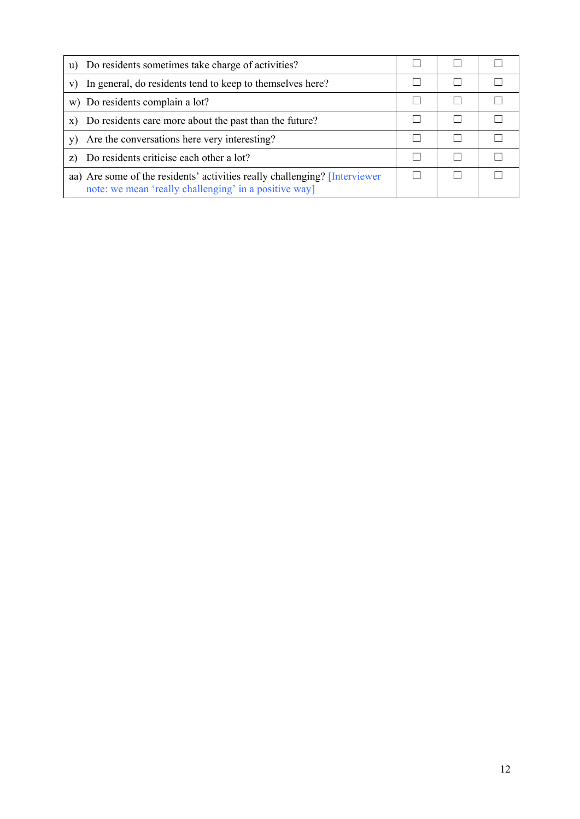| Do residents sometimes take charge of activities?<br>u)                                                                             |  |  |
|-------------------------------------------------------------------------------------------------------------------------------------|--|--|
| In general, do residents tend to keep to themselves here?<br>V)                                                                     |  |  |
| w) Do residents complain a lot?                                                                                                     |  |  |
| Do residents care more about the past than the future?<br>X)                                                                        |  |  |
| Are the conversations here very interesting?<br>V)                                                                                  |  |  |
| Do residents criticise each other a lot?<br>z)                                                                                      |  |  |
| aa) Are some of the residents' activities really challenging? [Interviewer<br>note: we mean 'really challenging' in a positive way] |  |  |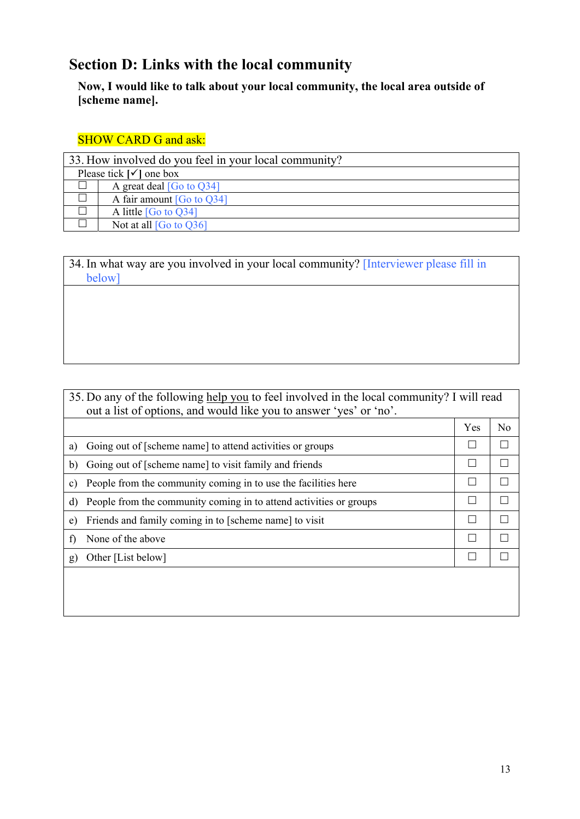# **Section D: Links with the local community**

**Now, I would like to talk about your local community, the local area outside of [scheme name].** 

# SHOW CARD G and ask:

| 33. How involved do you feel in your local community? |  |  |
|-------------------------------------------------------|--|--|
| Please tick $\lceil \checkmark \rceil$ one box        |  |  |
| A great deal [Go to Q34]                              |  |  |
| A fair amount [Go to Q34]                             |  |  |
| A little [Go to $Q34$ ]                               |  |  |
| Not at all $[Go$ to Q36]                              |  |  |

34. In what way are you involved in your local community? [Interviewer please fill in below]

| 35. Do any of the following help you to feel involved in the local community? I will read<br>out a list of options, and would like you to answer 'yes' or 'no'. |     |                |  |  |
|-----------------------------------------------------------------------------------------------------------------------------------------------------------------|-----|----------------|--|--|
|                                                                                                                                                                 | Yes | N <sub>0</sub> |  |  |
| Going out of [scheme name] to attend activities or groups<br>a)                                                                                                 |     |                |  |  |
| Going out of [scheme name] to visit family and friends<br>b)                                                                                                    |     |                |  |  |
| People from the community coming in to use the facilities here<br>C)                                                                                            |     |                |  |  |
| People from the community coming in to attend activities or groups<br>d)                                                                                        |     |                |  |  |
| Friends and family coming in to [scheme name] to visit<br>e)                                                                                                    |     |                |  |  |
| None of the above<br>$\mathbf{f}$                                                                                                                               |     |                |  |  |
| Other [List below]<br>g)                                                                                                                                        |     |                |  |  |
|                                                                                                                                                                 |     |                |  |  |
|                                                                                                                                                                 |     |                |  |  |
|                                                                                                                                                                 |     |                |  |  |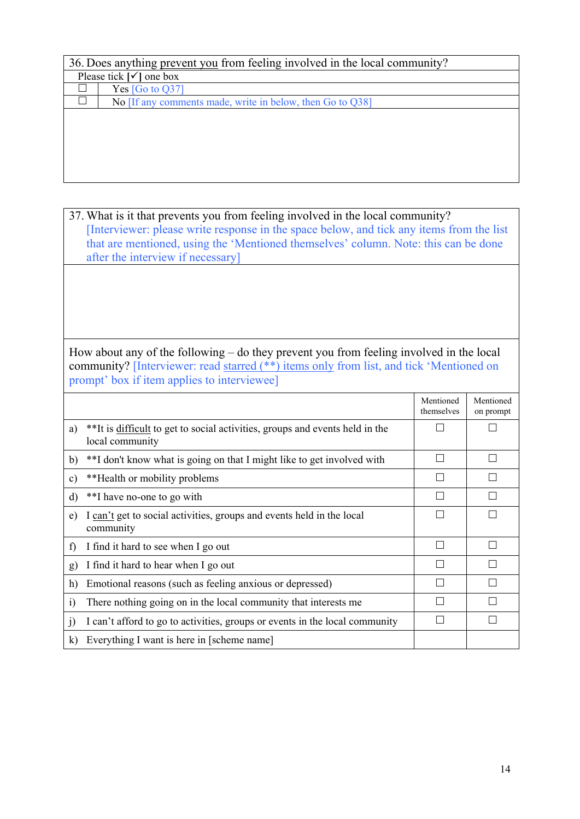| 36. Does anything prevent you from feeling involved in the local community? |  |
|-----------------------------------------------------------------------------|--|
| Please tick $\lceil \checkmark \rceil$ one box                              |  |
| Yes [Go to $Q37$ ]                                                          |  |
| No [If any comments made, write in below, then Go to Q38]                   |  |
|                                                                             |  |
|                                                                             |  |
|                                                                             |  |
|                                                                             |  |
|                                                                             |  |

| 37. What is it that prevents you from feeling involved in the local community?<br>[Interviewer: please write response in the space below, and tick any items from the list<br>that are mentioned, using the 'Mentioned themselves' column. Note: this can be done<br>after the interview if necessary] |                         |                        |  |
|--------------------------------------------------------------------------------------------------------------------------------------------------------------------------------------------------------------------------------------------------------------------------------------------------------|-------------------------|------------------------|--|
|                                                                                                                                                                                                                                                                                                        |                         |                        |  |
| How about any of the following – do they prevent you from feeling involved in the local<br>community? [Interviewer: read starred (**) items only from list, and tick 'Mentioned on<br>prompt' box if item applies to interviewee]                                                                      |                         |                        |  |
|                                                                                                                                                                                                                                                                                                        | Mentioned<br>themselves | Mentioned<br>on prompt |  |
| **It is difficult to get to social activities, groups and events held in the<br>a)<br>local community                                                                                                                                                                                                  | Ш                       | $\vert \ \ \vert$      |  |
| **I don't know what is going on that I might like to get involved with<br>b)                                                                                                                                                                                                                           | $\Box$                  | $\Box$                 |  |
| **Health or mobility problems<br>$\mathbf{c})$                                                                                                                                                                                                                                                         | $\Box$                  | $\Box$                 |  |
| **I have no-one to go with<br>$\mathbf{d}$                                                                                                                                                                                                                                                             | $\Box$                  | $\Box$                 |  |
| I can't get to social activities, groups and events held in the local<br>e)<br>community                                                                                                                                                                                                               | $\Box$                  | $\Box$                 |  |
| I find it hard to see when I go out<br>f)                                                                                                                                                                                                                                                              | $\Box$                  | П                      |  |
| I find it hard to hear when I go out<br>g)                                                                                                                                                                                                                                                             | $\Box$                  | $\Box$                 |  |
| Emotional reasons (such as feeling anxious or depressed)<br>h)                                                                                                                                                                                                                                         | $\Box$                  | $\Box$                 |  |
| There nothing going on in the local community that interests me<br>$\mathbf{i}$                                                                                                                                                                                                                        | П                       | П                      |  |
| I can't afford to go to activities, groups or events in the local community<br>j)                                                                                                                                                                                                                      | $\Box$                  | $\Box$                 |  |
| Everything I want is here in [scheme name]<br>$\bf k)$                                                                                                                                                                                                                                                 |                         |                        |  |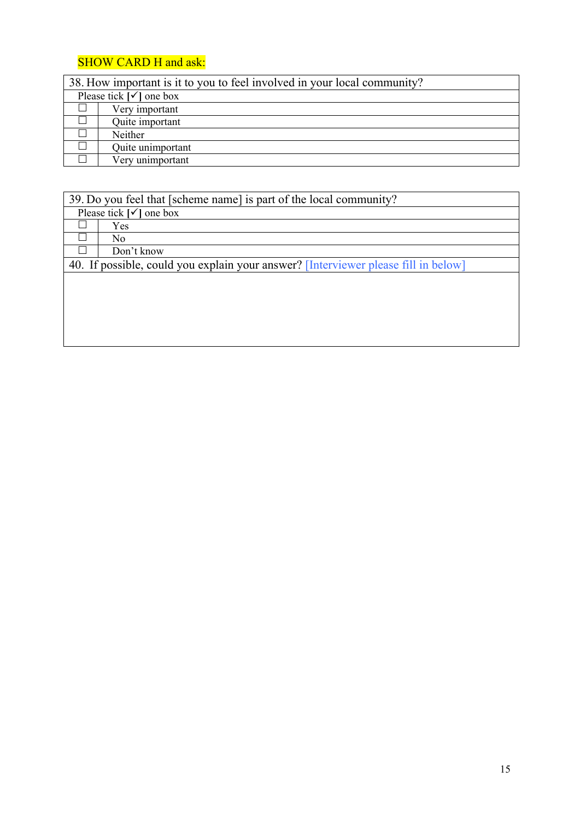# SHOW CARD H and ask:

| 38. How important is it to you to feel involved in your local community? |  |  |
|--------------------------------------------------------------------------|--|--|
| Please tick $\lceil \checkmark \rceil$ one box                           |  |  |
| Very important                                                           |  |  |
| Quite important                                                          |  |  |
| <b>Neither</b>                                                           |  |  |
| Quite unimportant                                                        |  |  |
| Very unimportant                                                         |  |  |

| 39. Do you feel that [scheme name] is part of the local community?                 |
|------------------------------------------------------------------------------------|
| Please tick $\lceil \checkmark \rceil$ one box                                     |
| Yes                                                                                |
| No.                                                                                |
| Don't know                                                                         |
| 40. If possible, could you explain your answer? [Interviewer please fill in below] |
|                                                                                    |
|                                                                                    |
|                                                                                    |
|                                                                                    |
|                                                                                    |
|                                                                                    |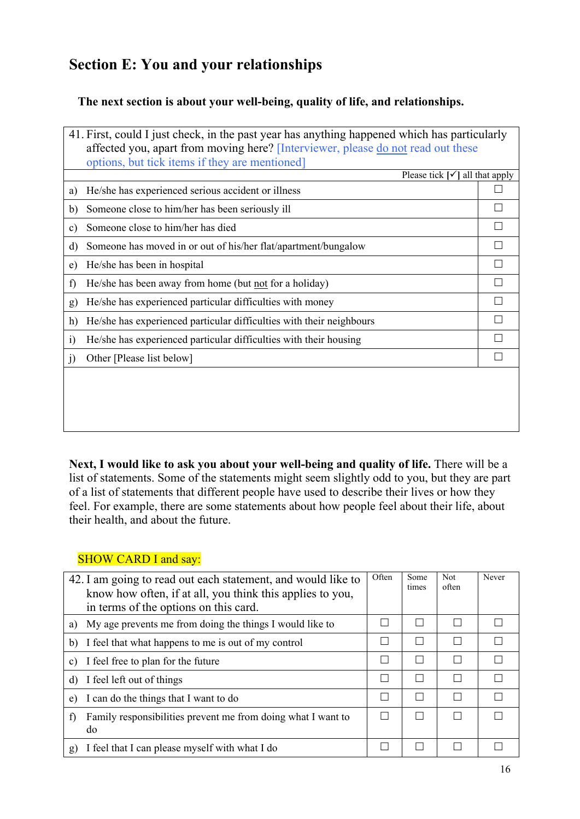# **Section E: You and your relationships**

**The next section is about your well-being, quality of life, and relationships.** 

|              | 41. First, could I just check, in the past year has anything happened which has particularly<br>affected you, apart from moving here? [Interviewer, please do not read out these<br>options, but tick items if they are mentioned] |  |
|--------------|------------------------------------------------------------------------------------------------------------------------------------------------------------------------------------------------------------------------------------|--|
|              | Please tick $\lceil \checkmark \rceil$ all that apply                                                                                                                                                                              |  |
| a)           | He/she has experienced serious accident or illness                                                                                                                                                                                 |  |
| b)           | Someone close to him/her has been seriously ill                                                                                                                                                                                    |  |
| c)           | Someone close to him/her has died                                                                                                                                                                                                  |  |
| d)           | Someone has moved in or out of his/her flat/apartment/bungalow                                                                                                                                                                     |  |
| e)           | He/she has been in hospital                                                                                                                                                                                                        |  |
| f)           | He/she has been away from home (but not for a holiday)                                                                                                                                                                             |  |
| g)           | He/she has experienced particular difficulties with money                                                                                                                                                                          |  |
| h)           | He/she has experienced particular difficulties with their neighbours                                                                                                                                                               |  |
| $\mathbf{i}$ | He/she has experienced particular difficulties with their housing                                                                                                                                                                  |  |
| $_{1}$       | Other [Please list below]                                                                                                                                                                                                          |  |
|              |                                                                                                                                                                                                                                    |  |

**Next, I would like to ask you about your well-being and quality of life.** There will be a list of statements. Some of the statements might seem slightly odd to you, but they are part of a list of statements that different people have used to describe their lives or how they feel. For example, there are some statements about how people feel about their life, about their health, and about the future.

#### SHOW CARD I and say:

|    | 42. I am going to read out each statement, and would like to<br>know how often, if at all, you think this applies to you,<br>in terms of the options on this card. | Often | Some<br>times | <b>Not</b><br>often | Never |
|----|--------------------------------------------------------------------------------------------------------------------------------------------------------------------|-------|---------------|---------------------|-------|
| a) | My age prevents me from doing the things I would like to                                                                                                           |       |               | П                   |       |
| b) | I feel that what happens to me is out of my control                                                                                                                |       |               | $\Box$              |       |
| C) | I feel free to plan for the future                                                                                                                                 |       |               |                     |       |
| d) | I feel left out of things                                                                                                                                          |       |               | П                   |       |
| e) | I can do the things that I want to do                                                                                                                              |       |               | $\Box$              |       |
| f) | Family responsibilities prevent me from doing what I want to<br>do                                                                                                 |       |               | П                   |       |
| g  | I feel that I can please myself with what I do                                                                                                                     |       |               |                     |       |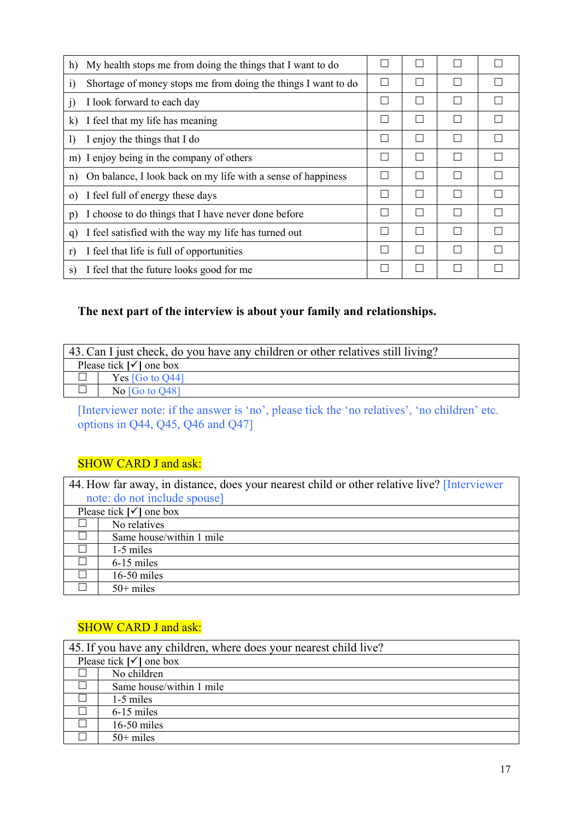| h)                | My health stops me from doing the things that I want to do    |    |        |              |  |
|-------------------|---------------------------------------------------------------|----|--------|--------------|--|
| $\left( i\right)$ | Shortage of money stops me from doing the things I want to do |    |        |              |  |
| $_{1}$            | I look forward to each day                                    |    |        |              |  |
| $\bf k$           | I feel that my life has meaning                               |    |        |              |  |
| $\bf{D}$          | I enjoy the things that I do                                  |    |        |              |  |
|                   | m) I enjoy being in the company of others                     |    |        | $\mathbf{L}$ |  |
| n)                | On balance, I look back on my life with a sense of happiness  |    |        | L            |  |
|                   | o) I feel full of energy these days                           |    |        | г            |  |
| p)                | I choose to do things that I have never done before           |    |        |              |  |
| q)                | I feel satisfied with the way my life has turned out          | L. | П      | г            |  |
| r)                | I feel that life is full of opportunities                     |    | $\Box$ | $\mathbf{L}$ |  |
| S)                | I feel that the future looks good for me                      |    |        |              |  |

### **The next part of the interview is about your family and relationships.**

| 43. Can I just check, do you have any children or other relatives still living? |  |  |
|---------------------------------------------------------------------------------|--|--|
| Please tick $\lceil \checkmark \rceil$ one box                                  |  |  |
| Yes [Go to $Q44$ ]                                                              |  |  |
| No $[G$ <sup>0</sup> to $Q$ <sup>48</sup> $]$                                   |  |  |

[Interviewer note: if the answer is 'no', please tick the 'no relatives', 'no children' etc. options in  $Q44$ ,  $Q45$ ,  $Q46$  and  $Q47$ ]

### SHOW CARD J and ask:

| 44. How far away, in distance, does your nearest child or other relative live? [Interviewer] |  |  |
|----------------------------------------------------------------------------------------------|--|--|
| note: do not include spouse]                                                                 |  |  |
| Please tick $\lceil \checkmark \rceil$ one box                                               |  |  |
| No relatives                                                                                 |  |  |
| Same house/within 1 mile                                                                     |  |  |
| 1-5 miles                                                                                    |  |  |
| 6-15 miles                                                                                   |  |  |
| 16-50 miles                                                                                  |  |  |
| $50+$ miles                                                                                  |  |  |

### SHOW CARD J and ask:

| 45. If you have any children, where does your nearest child live? |  |
|-------------------------------------------------------------------|--|
| Please tick $\lceil \checkmark \rceil$ one box                    |  |
| No children                                                       |  |
| Same house/within 1 mile                                          |  |
| 1-5 miles                                                         |  |
| 6-15 miles                                                        |  |
| $16-50$ miles                                                     |  |
| $50+$ miles                                                       |  |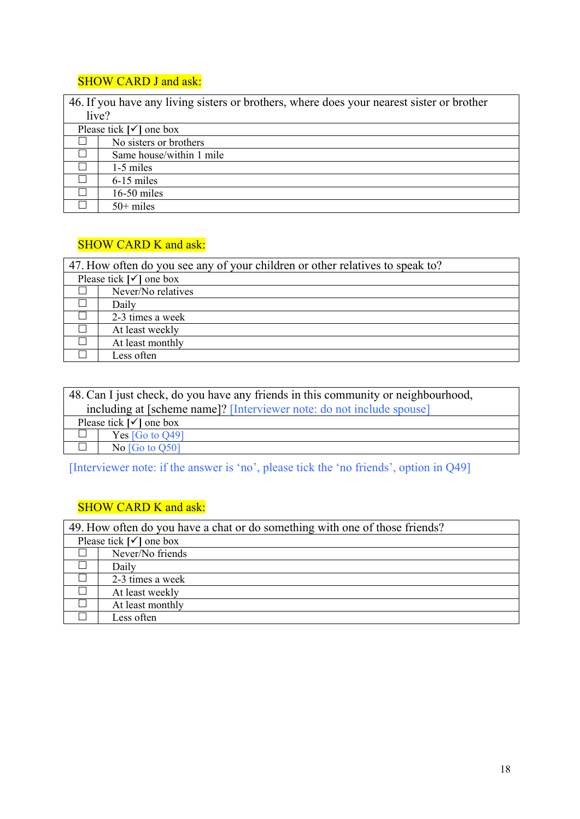# SHOW CARD J and ask:

| 46. If you have any living sisters or brothers, where does your nearest sister or brother |  |  |
|-------------------------------------------------------------------------------------------|--|--|
| live?                                                                                     |  |  |
| Please tick $\lceil \checkmark \rceil$ one box                                            |  |  |
| No sisters or brothers                                                                    |  |  |
| Same house/within 1 mile                                                                  |  |  |
| 1-5 miles                                                                                 |  |  |
| 6-15 miles                                                                                |  |  |
| $16-50$ miles                                                                             |  |  |
| $50+$ miles                                                                               |  |  |

# SHOW CARD K and ask:

| 47. How often do you see any of your children or other relatives to speak to? |  |
|-------------------------------------------------------------------------------|--|
| Please tick $\lceil \checkmark \rceil$ one box                                |  |
| Never/No relatives                                                            |  |
| Daily                                                                         |  |
| 2-3 times a week                                                              |  |
| At least weekly                                                               |  |
| At least monthly                                                              |  |
| Less often                                                                    |  |

| 48. Can I just check, do you have any friends in this community or neighbourhood, |                                                |  |
|-----------------------------------------------------------------------------------|------------------------------------------------|--|
| including at [scheme name]? [Interviewer note: do not include spouse]             |                                                |  |
|                                                                                   | Please tick $\lceil \checkmark \rceil$ one box |  |
|                                                                                   | Yes [Go to $Q49$ ]                             |  |
|                                                                                   | No $[G$ <sup>0</sup> to $Q$ 50]                |  |

[Interviewer note: if the answer is 'no', please tick the 'no friends', option in Q49]

# SHOW CARD K and ask:

| 49. How often do you have a chat or do something with one of those friends? |                  |
|-----------------------------------------------------------------------------|------------------|
| Please tick $\lceil \checkmark \rceil$ one box                              |                  |
|                                                                             | Never/No friends |
|                                                                             | Daily            |
|                                                                             | 2-3 times a week |
|                                                                             | At least weekly  |
|                                                                             | At least monthly |
|                                                                             | Less often       |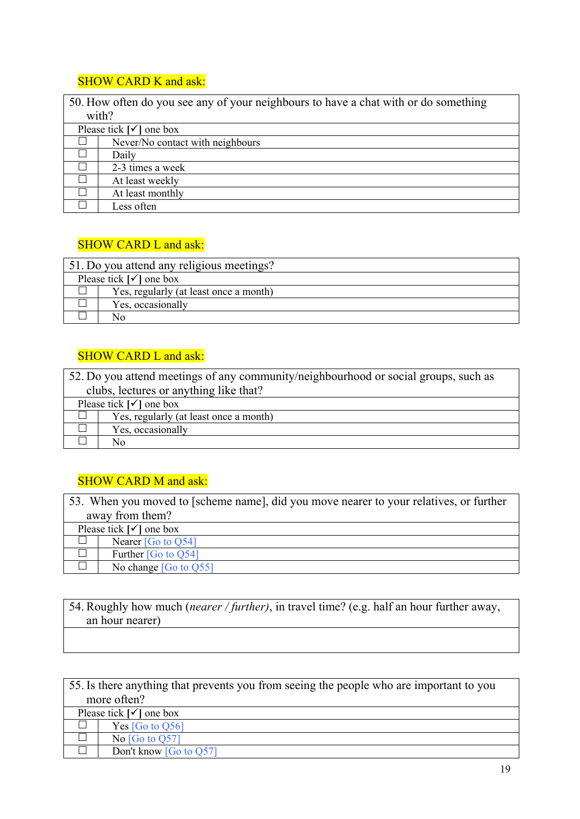# SHOW CARD K and ask:

| 50. How often do you see any of your neighbours to have a chat with or do something |                                                |
|-------------------------------------------------------------------------------------|------------------------------------------------|
|                                                                                     | with?                                          |
|                                                                                     | Please tick $\lceil \checkmark \rceil$ one box |
|                                                                                     | Never/No contact with neighbours               |
|                                                                                     | Daily                                          |
|                                                                                     | 2-3 times a week                               |
|                                                                                     | At least weekly                                |
|                                                                                     | At least monthly                               |
|                                                                                     | Less often                                     |

# SHOW CARD L and ask:

| 51. Do you attend any religious meetings?      |                                        |
|------------------------------------------------|----------------------------------------|
| Please tick $\lceil \checkmark \rceil$ one box |                                        |
|                                                | Yes, regularly (at least once a month) |
|                                                | Yes, occasionally                      |
|                                                | No                                     |

# SHOW CARD L and ask:

| 52. Do you attend meetings of any community/neighbourhood or social groups, such as |                                                |  |
|-------------------------------------------------------------------------------------|------------------------------------------------|--|
| clubs, lectures or anything like that?                                              |                                                |  |
|                                                                                     | Please tick $\lceil \checkmark \rceil$ one box |  |
|                                                                                     | Yes, regularly (at least once a month)         |  |
|                                                                                     | Yes, occasionally                              |  |
|                                                                                     | Nο                                             |  |

## SHOW CARD M and ask:

| 53. When you moved to [scheme name], did you move nearer to your relatives, or further |                                                |  |
|----------------------------------------------------------------------------------------|------------------------------------------------|--|
| away from them?                                                                        |                                                |  |
|                                                                                        | Please tick $\lceil \checkmark \rceil$ one box |  |
|                                                                                        | Nearer [Go to $Q54$ ]                          |  |
|                                                                                        | Further [Go to $Q54$ ]                         |  |
|                                                                                        | No change $[G$ to $Q$ 55]                      |  |

54. Roughly how much (*nearer / further)*, in travel time? (e.g. half an hour further away, an hour nearer)

| 55. Is there anything that prevents you from seeing the people who are important to you |                                                |  |
|-----------------------------------------------------------------------------------------|------------------------------------------------|--|
| more often?                                                                             |                                                |  |
|                                                                                         | Please tick $\lceil \checkmark \rceil$ one box |  |
|                                                                                         | Yes [Go to $Q56$ ]                             |  |
|                                                                                         | No $[G_0$ to $Q_5$ 7]                          |  |
|                                                                                         | Don't know $\lceil$ Go to $\sqrt{0.057}$       |  |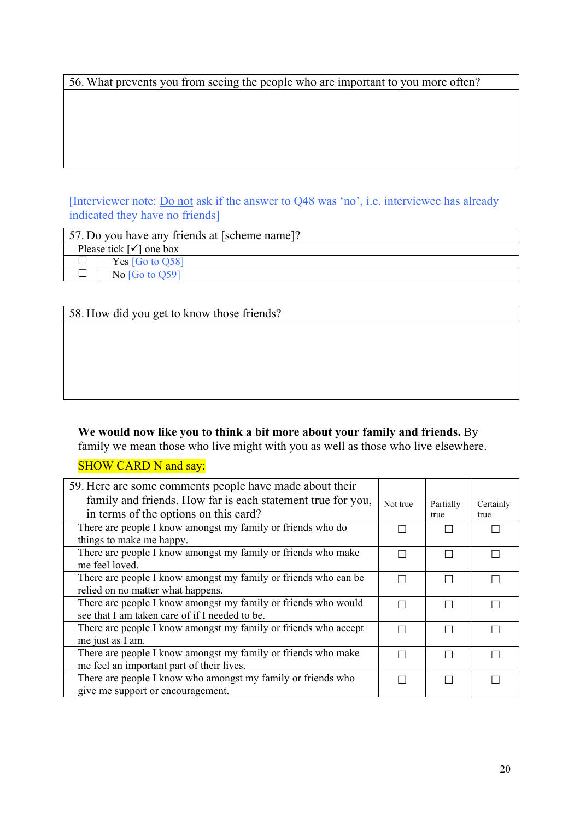56. What prevents you from seeing the people who are important to you more often?

[Interviewer note:  $\underline{Do}$  not ask if the answer to Q48 was 'no', i.e. interviewee has already indicated they have no friends]

| 57. Do you have any friends at [scheme name]?  |                      |
|------------------------------------------------|----------------------|
| Please tick $\lceil \checkmark \rceil$ one box |                      |
|                                                | Yes [Go to $Q58$ ]   |
|                                                | No $[G_0$ to $Q_59]$ |

58. How did you get to know those friends?

#### **We would now like you to think a bit more about your family and friends.** By family we mean those who live might with you as well as those who live elsewhere.

## SHOW CARD N and say:

| 59. Here are some comments people have made about their<br>family and friends. How far is each statement true for you,<br>in terms of the options on this card? | Not true | Partially<br>true | Certainly<br>true |
|-----------------------------------------------------------------------------------------------------------------------------------------------------------------|----------|-------------------|-------------------|
| There are people I know amongst my family or friends who do<br>things to make me happy.                                                                         |          |                   |                   |
| There are people I know amongst my family or friends who make<br>me feel loved.                                                                                 |          |                   |                   |
| There are people I know amongst my family or friends who can be<br>relied on no matter what happens.                                                            |          |                   |                   |
| There are people I know amongst my family or friends who would<br>see that I am taken care of if I needed to be.                                                |          |                   |                   |
| There are people I know amongst my family or friends who accept<br>me just as I am.                                                                             |          |                   |                   |
| There are people I know amongst my family or friends who make<br>me feel an important part of their lives.                                                      |          |                   |                   |
| There are people I know who amongst my family or friends who<br>give me support or encouragement.                                                               |          |                   |                   |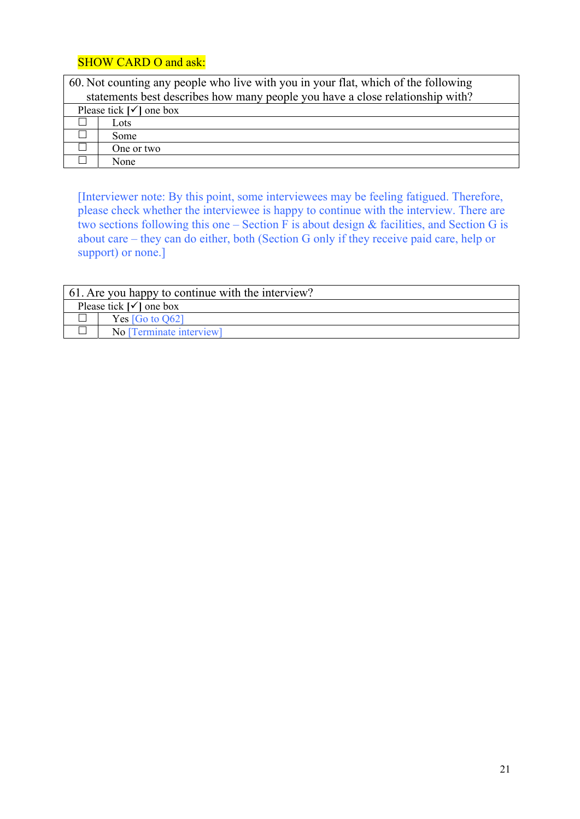## SHOW CARD O and ask:

| 60. Not counting any people who live with you in your flat, which of the following |                                                |  |
|------------------------------------------------------------------------------------|------------------------------------------------|--|
| statements best describes how many people you have a close relationship with?      |                                                |  |
|                                                                                    | Please tick $\lceil \checkmark \rceil$ one box |  |
|                                                                                    | Lots                                           |  |
|                                                                                    | Some                                           |  |
|                                                                                    | One or two                                     |  |
|                                                                                    | None                                           |  |

[Interviewer note: By this point, some interviewees may be feeling fatigued. Therefore, please check whether the interviewee is happy to continue with the interview. There are two sections following this one – Section  $\overrightarrow{F}$  is about design & facilities, and Section G is about care – they can do either, both (Section G only if they receive paid care, help or support) or none.]

| 61. Are you happy to continue with the interview? |                                                |
|---------------------------------------------------|------------------------------------------------|
|                                                   | Please tick $\lceil \checkmark \rceil$ one box |
|                                                   | Yes [Go to $Q62$ ]                             |
|                                                   | No [Terminate interview]                       |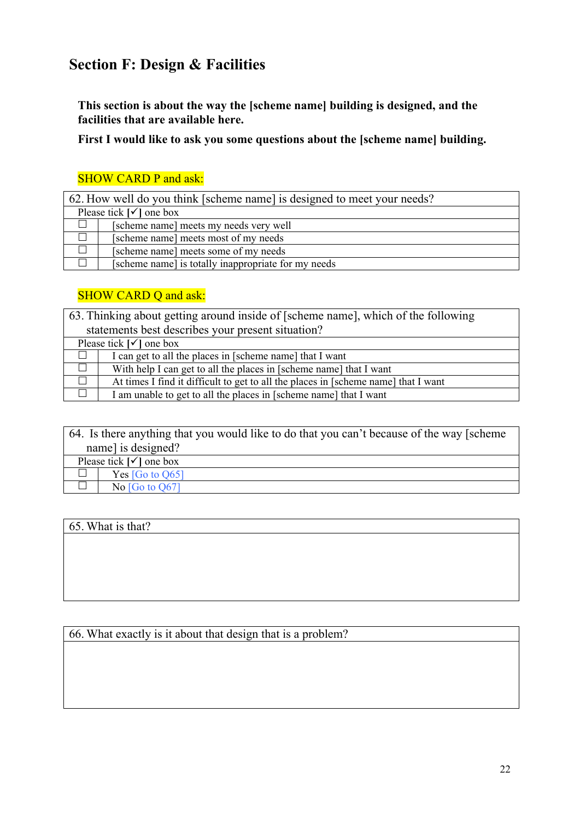# **Section F: Design & Facilities**

**This section is about the way the [scheme name] building is designed, and the facilities that are available here.** 

**First I would like to ask you some questions about the [scheme name] building.** 

| 62. How well do you think [scheme name] is designed to meet your needs? |                                                     |
|-------------------------------------------------------------------------|-----------------------------------------------------|
| Please tick $[\checkmark]$ one box                                      |                                                     |
|                                                                         | [scheme name] meets my needs very well              |
|                                                                         | [scheme name] meets most of my needs                |
|                                                                         | [scheme name] meets some of my needs                |
|                                                                         | [scheme name] is totally inappropriate for my needs |

### SHOW CARD Q and ask:

| 63. Thinking about getting around inside of [scheme name], which of the following |                                                                                    |
|-----------------------------------------------------------------------------------|------------------------------------------------------------------------------------|
| statements best describes your present situation?                                 |                                                                                    |
|                                                                                   | Please tick $\lceil \checkmark \rceil$ one box                                     |
| $\Box$                                                                            | I can get to all the places in [scheme name] that I want                           |
|                                                                                   | With help I can get to all the places in [scheme name] that I want                 |
|                                                                                   | At times I find it difficult to get to all the places in [scheme name] that I want |
|                                                                                   | I am unable to get to all the places in [scheme name] that I want                  |

| 64. Is there anything that you would like to do that you can't because of the way [scheme] |                                                |  |
|--------------------------------------------------------------------------------------------|------------------------------------------------|--|
| name] is designed?                                                                         |                                                |  |
|                                                                                            | Please tick $\lceil \checkmark \rceil$ one box |  |
|                                                                                            | Yes [Go to $Q65$ ]                             |  |
|                                                                                            | No $[G$ <sup>0</sup> to $Q$ <sup>67</sup> $]$  |  |

65. What is that?

66. What exactly is it about that design that is a problem?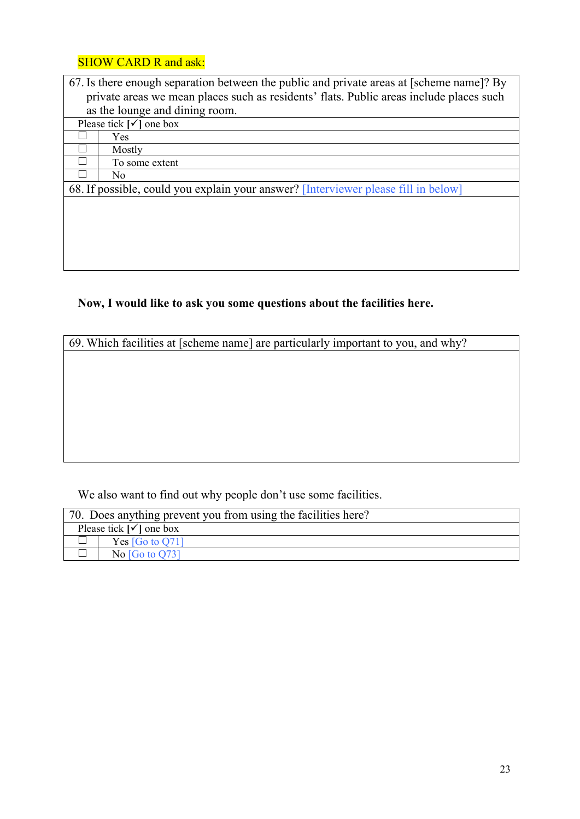### SHOW CARD R and ask:

| 67. Is there enough separation between the public and private areas at [scheme name]? By<br>private areas we mean places such as residents' flats. Public areas include places such |  |  |
|-------------------------------------------------------------------------------------------------------------------------------------------------------------------------------------|--|--|
| as the lounge and dining room.                                                                                                                                                      |  |  |
| Please tick $\lceil \checkmark \rceil$ one box                                                                                                                                      |  |  |
| Yes                                                                                                                                                                                 |  |  |
| Mostly                                                                                                                                                                              |  |  |
| To some extent                                                                                                                                                                      |  |  |
| No.                                                                                                                                                                                 |  |  |
| 68. If possible, could you explain your answer? <i>[Interviewer please fill in below]</i>                                                                                           |  |  |
|                                                                                                                                                                                     |  |  |
|                                                                                                                                                                                     |  |  |
|                                                                                                                                                                                     |  |  |
|                                                                                                                                                                                     |  |  |
|                                                                                                                                                                                     |  |  |
|                                                                                                                                                                                     |  |  |

### **Now, I would like to ask you some questions about the facilities here.**

69. Which facilities at [scheme name] are particularly important to you, and why?

We also want to find out why people don't use some facilities.

| 70. Does anything prevent you from using the facilities here? |                           |
|---------------------------------------------------------------|---------------------------|
| Please tick $\lceil \checkmark \rceil$ one box                |                           |
|                                                               | Yes [Go to $Q71$ ]        |
|                                                               | No $[Go \text{ to } Q73]$ |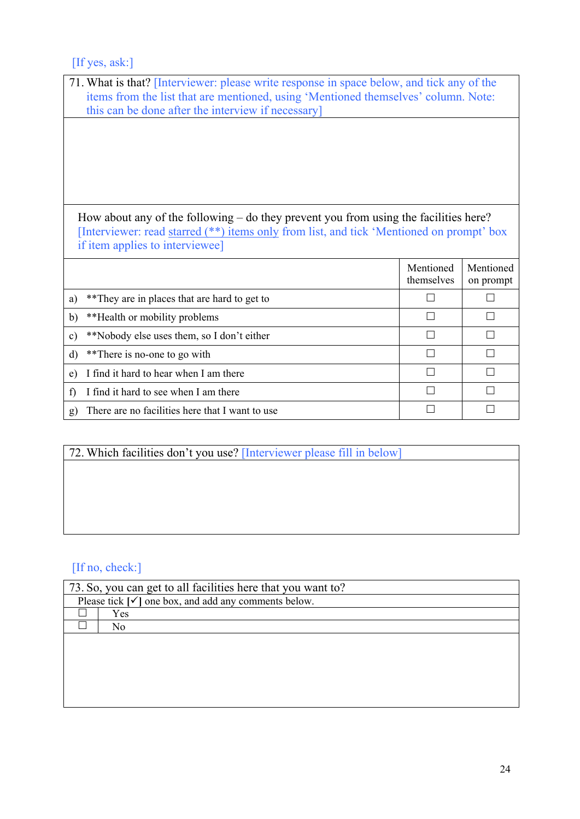[If yes, ask:]

| 71. What is that? [Interviewer: please write response in space below, and tick any of the<br>items from the list that are mentioned, using 'Mentioned themselves' column. Note:<br>this can be done after the interview if necessary] |                         |                        |
|---------------------------------------------------------------------------------------------------------------------------------------------------------------------------------------------------------------------------------------|-------------------------|------------------------|
|                                                                                                                                                                                                                                       |                         |                        |
|                                                                                                                                                                                                                                       |                         |                        |
| How about any of the following – do they prevent you from using the facilities here?<br>[Interviewer: read starred (**) items only from list, and tick 'Mentioned on prompt' box<br>if item applies to interviewee]                   |                         |                        |
|                                                                                                                                                                                                                                       | Mentioned<br>themselves | Mentioned<br>on prompt |
| **They are in places that are hard to get to<br>a)                                                                                                                                                                                    | П                       | П                      |
| **Health or mobility problems<br>b)                                                                                                                                                                                                   | $\Box$                  | П                      |
| **Nobody else uses them, so I don't either<br>$\mathbf{c})$                                                                                                                                                                           | П                       | П                      |
| **There is no-one to go with<br>$\mathbf{d}$                                                                                                                                                                                          | П                       | П                      |
| I find it hard to hear when I am there<br>e)                                                                                                                                                                                          | $\Box$                  | П                      |
| I find it hard to see when I am there<br>$\hat{D}$                                                                                                                                                                                    | П                       | П                      |
|                                                                                                                                                                                                                                       |                         |                        |

# 72. Which facilities don't you use? [Interviewer please fill in below]

# [If no, check:]

| 73. So, you can get to all facilities here that you want to?                |
|-----------------------------------------------------------------------------|
| Please tick $\lceil \checkmark \rceil$ one box, and add any comments below. |
| Yes                                                                         |
| N <sub>0</sub>                                                              |
|                                                                             |
|                                                                             |
|                                                                             |
|                                                                             |
|                                                                             |
|                                                                             |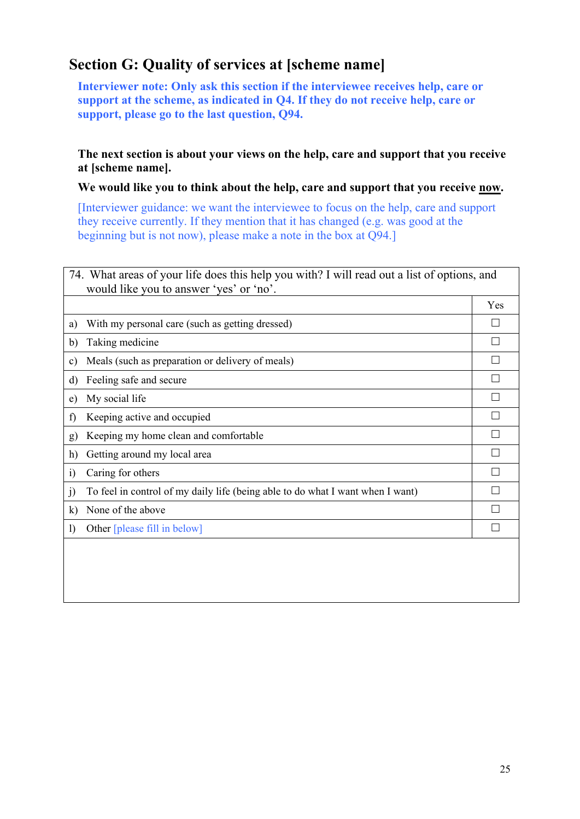# **Section G: Quality of services at [scheme name]**

**Interviewer note: Only ask this section if the interviewee receives help, care or support at the scheme, as indicated in Q4. If they do not receive help, care or support, please go to the last question, Q94.** 

#### **The next section is about your views on the help, care and support that you receive at [scheme name].**

#### We would like you to think about the help, care and support that you receive now.

[Interviewer guidance: we want the interviewee to focus on the help, care and support they receive currently. If they mention that it has changed (e.g. was good at the beginning but is not now), please make a note in the box at Q94.]

| 74. What areas of your life does this help you with? I will read out a list of options, and<br>would like you to answer 'yes' or 'no'. |     |
|----------------------------------------------------------------------------------------------------------------------------------------|-----|
|                                                                                                                                        | Yes |
| With my personal care (such as getting dressed)<br>a)                                                                                  |     |
| Taking medicine<br>b)                                                                                                                  |     |
| Meals (such as preparation or delivery of meals)<br>c)                                                                                 |     |
| Feeling safe and secure<br>d)                                                                                                          |     |
| My social life<br>e)                                                                                                                   |     |
| Keeping active and occupied<br>$\mathbf{f}$                                                                                            |     |
| Keeping my home clean and comfortable<br>g)                                                                                            |     |
| Getting around my local area<br>h)                                                                                                     |     |
| Caring for others<br>$\ddot{1}$                                                                                                        |     |
| To feel in control of my daily life (being able to do what I want when I want)<br>j)                                                   |     |
| None of the above<br>$\bf k)$                                                                                                          |     |
| Other [please fill in below]<br>$\left  \right $                                                                                       |     |
|                                                                                                                                        |     |
|                                                                                                                                        |     |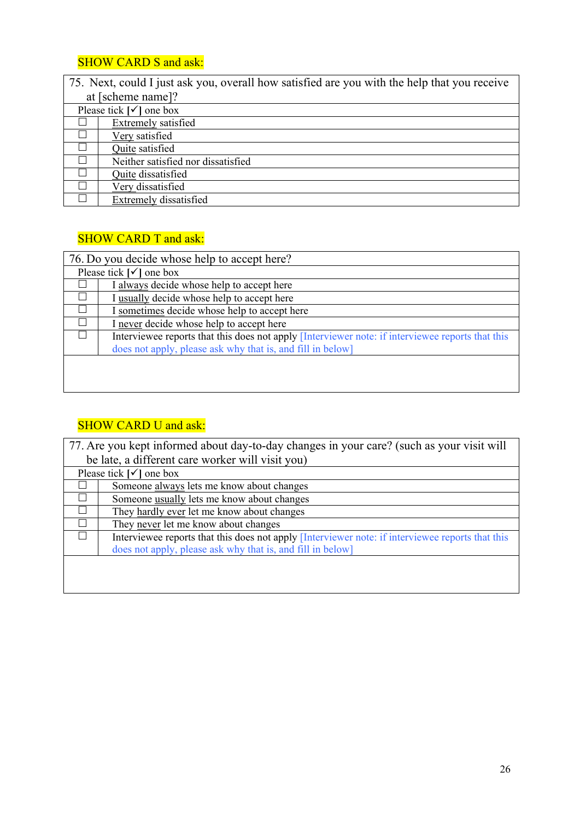# SHOW CARD S and ask:

| 75. Next, could I just ask you, overall how satisfied are you with the help that you receive |                                                |
|----------------------------------------------------------------------------------------------|------------------------------------------------|
| at [scheme name]?                                                                            |                                                |
|                                                                                              | Please tick $\lceil \checkmark \rceil$ one box |
|                                                                                              | Extremely satisfied                            |
|                                                                                              | Very satisfied                                 |
|                                                                                              | Quite satisfied                                |
|                                                                                              | Neither satisfied nor dissatisfied             |
|                                                                                              | Quite dissatisfied                             |
|                                                                                              | Very dissatisfied                              |
|                                                                                              | Extremely dissatisfied                         |

## SHOW CARD T and ask:

| 76. Do you decide whose help to accept here? |                                                                                                         |
|----------------------------------------------|---------------------------------------------------------------------------------------------------------|
|                                              | Please tick $\lceil \checkmark \rceil$ one box                                                          |
|                                              | I always decide whose help to accept here                                                               |
|                                              | I usually decide whose help to accept here                                                              |
|                                              | I sometimes decide whose help to accept here                                                            |
|                                              | I never decide whose help to accept here                                                                |
|                                              | Interviewee reports that this does not apply <i>[Interviewer note: if interviewee reports that this</i> |
|                                              | does not apply, please ask why that is, and fill in below]                                              |
|                                              |                                                                                                         |
|                                              |                                                                                                         |
|                                              |                                                                                                         |

# SHOW CARD U and ask:

| 77. Are you kept informed about day-to-day changes in your care? (such as your visit will               |  |
|---------------------------------------------------------------------------------------------------------|--|
| be late, a different care worker will visit you)                                                        |  |
| Please tick $\lceil \checkmark \rceil$ one box                                                          |  |
| Someone always lets me know about changes                                                               |  |
| Someone usually lets me know about changes                                                              |  |
| They hardly ever let me know about changes                                                              |  |
| They never let me know about changes                                                                    |  |
| Interviewee reports that this does not apply <i>[Interviewer note: if interviewee reports that this</i> |  |
| does not apply, please ask why that is, and fill in below]                                              |  |
|                                                                                                         |  |
|                                                                                                         |  |
|                                                                                                         |  |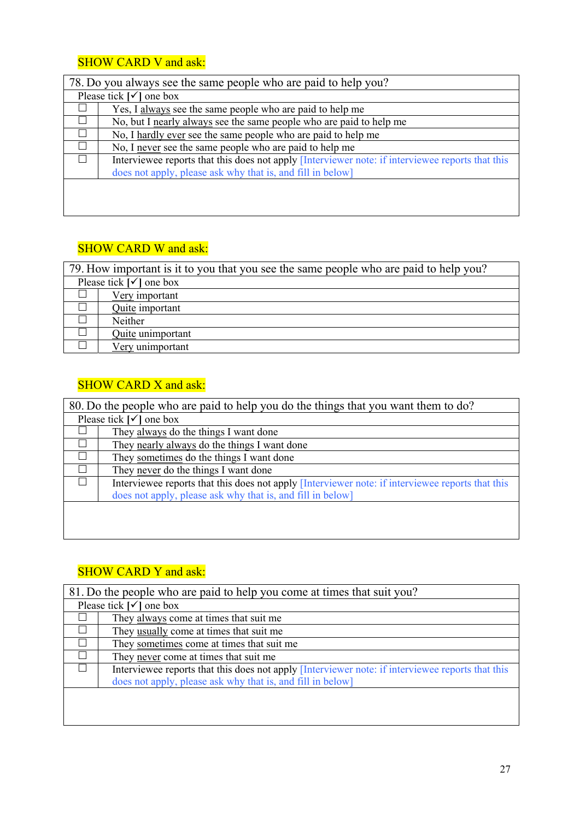### SHOW CARD V and ask:

| 78. Do you always see the same people who are paid to help you? |                                                                                                         |
|-----------------------------------------------------------------|---------------------------------------------------------------------------------------------------------|
| Please tick $\lceil \checkmark \rceil$ one box                  |                                                                                                         |
|                                                                 | Yes, I always see the same people who are paid to help me                                               |
|                                                                 | No, but I nearly always see the same people who are paid to help me                                     |
|                                                                 | No, I hardly ever see the same people who are paid to help me                                           |
|                                                                 | No, I never see the same people who are paid to help me                                                 |
|                                                                 | Interviewee reports that this does not apply <i>[Interviewer note: if interviewee reports that this</i> |
|                                                                 | does not apply, please ask why that is, and fill in below]                                              |
|                                                                 |                                                                                                         |
|                                                                 |                                                                                                         |
|                                                                 |                                                                                                         |

## SHOW CARD W and ask:

| 79. How important is it to you that you see the same people who are paid to help you? |                   |
|---------------------------------------------------------------------------------------|-------------------|
| Please tick $\lceil \checkmark \rceil$ one box                                        |                   |
|                                                                                       | Very important    |
|                                                                                       | Quite important   |
|                                                                                       | Neither           |
|                                                                                       | Quite unimportant |
|                                                                                       | Very unimportant  |

### SHOW CARD X and ask:

| 80. Do the people who are paid to help you do the things that you want them to do? |                                                                                                         |
|------------------------------------------------------------------------------------|---------------------------------------------------------------------------------------------------------|
| Please tick $\lceil \checkmark \rceil$ one box                                     |                                                                                                         |
|                                                                                    | They always do the things I want done                                                                   |
|                                                                                    | They nearly always do the things I want done                                                            |
|                                                                                    | They sometimes do the things I want done                                                                |
|                                                                                    | They never do the things I want done                                                                    |
|                                                                                    | Interviewee reports that this does not apply <i>[Interviewer note: if interviewee reports that this</i> |
|                                                                                    | does not apply, please ask why that is, and fill in below]                                              |
|                                                                                    |                                                                                                         |
|                                                                                    |                                                                                                         |
|                                                                                    |                                                                                                         |

# SHOW CARD Y and ask:

| 81. Do the people who are paid to help you come at times that suit you? |                                                                                                  |  |
|-------------------------------------------------------------------------|--------------------------------------------------------------------------------------------------|--|
|                                                                         | Please tick $\lceil \checkmark \rceil$ one box                                                   |  |
|                                                                         | They always come at times that suit me                                                           |  |
|                                                                         | They usually come at times that suit me                                                          |  |
|                                                                         | They sometimes come at times that suit me                                                        |  |
|                                                                         | They never come at times that suit me                                                            |  |
|                                                                         | Interviewee reports that this does not apply [Interviewer note: if interviewee reports that this |  |
|                                                                         | does not apply, please ask why that is, and fill in below]                                       |  |
|                                                                         |                                                                                                  |  |
|                                                                         |                                                                                                  |  |
|                                                                         |                                                                                                  |  |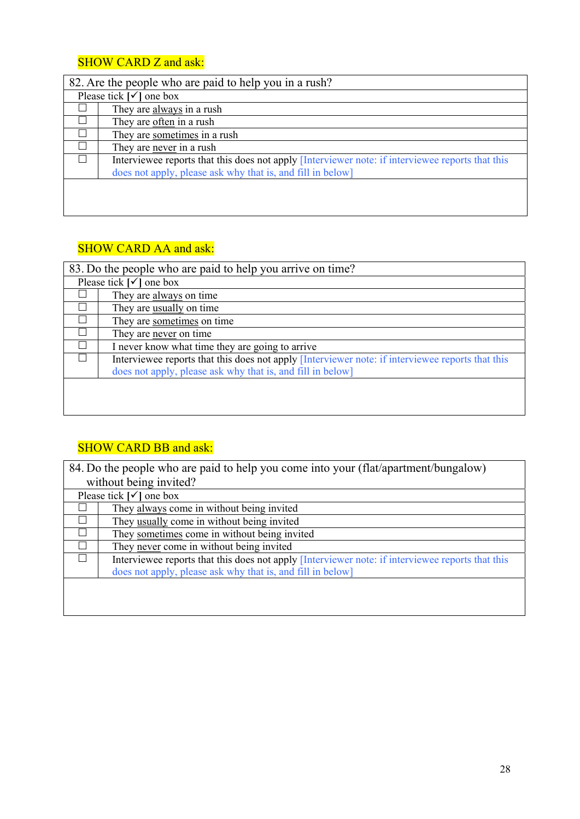### SHOW CARD Z and ask:

| 82. Are the people who are paid to help you in a rush? |                                                                                                         |
|--------------------------------------------------------|---------------------------------------------------------------------------------------------------------|
| Please tick $\lceil \checkmark \rceil$ one box         |                                                                                                         |
|                                                        | They are always in a rush                                                                               |
|                                                        | They are often in a rush                                                                                |
|                                                        | They are sometimes in a rush                                                                            |
|                                                        | They are never in a rush                                                                                |
|                                                        | Interviewee reports that this does not apply <i>[Interviewer note: if interviewee reports that this</i> |
|                                                        | does not apply, please ask why that is, and fill in below]                                              |
|                                                        |                                                                                                         |
|                                                        |                                                                                                         |
|                                                        |                                                                                                         |

# SHOW CARD AA and ask:

| 83. Do the people who are paid to help you arrive on time? |                                                                                                  |  |
|------------------------------------------------------------|--------------------------------------------------------------------------------------------------|--|
|                                                            | Please tick $\lceil \checkmark \rceil$ one box                                                   |  |
|                                                            | They are always on time                                                                          |  |
|                                                            | They are usually on time                                                                         |  |
|                                                            | They are sometimes on time                                                                       |  |
|                                                            | They are never on time.                                                                          |  |
|                                                            | I never know what time they are going to arrive                                                  |  |
|                                                            | Interviewee reports that this does not apply [Interviewer note: if interviewee reports that this |  |
|                                                            | does not apply, please ask why that is, and fill in below]                                       |  |
|                                                            |                                                                                                  |  |
|                                                            |                                                                                                  |  |
|                                                            |                                                                                                  |  |

# SHOW CARD BB and ask:

| 84. Do the people who are paid to help you come into your (flat/apartment/bungalow) |                                                                                                         |  |
|-------------------------------------------------------------------------------------|---------------------------------------------------------------------------------------------------------|--|
|                                                                                     | without being invited?                                                                                  |  |
|                                                                                     | Please tick $\lceil \checkmark \rceil$ one box                                                          |  |
|                                                                                     | They always come in without being invited                                                               |  |
|                                                                                     | They usually come in without being invited                                                              |  |
|                                                                                     | They sometimes come in without being invited                                                            |  |
|                                                                                     | They never come in without being invited                                                                |  |
|                                                                                     | Interviewee reports that this does not apply <i>[Interviewer note: if interviewee reports that this</i> |  |
|                                                                                     | does not apply, please ask why that is, and fill in below]                                              |  |
|                                                                                     |                                                                                                         |  |
|                                                                                     |                                                                                                         |  |
|                                                                                     |                                                                                                         |  |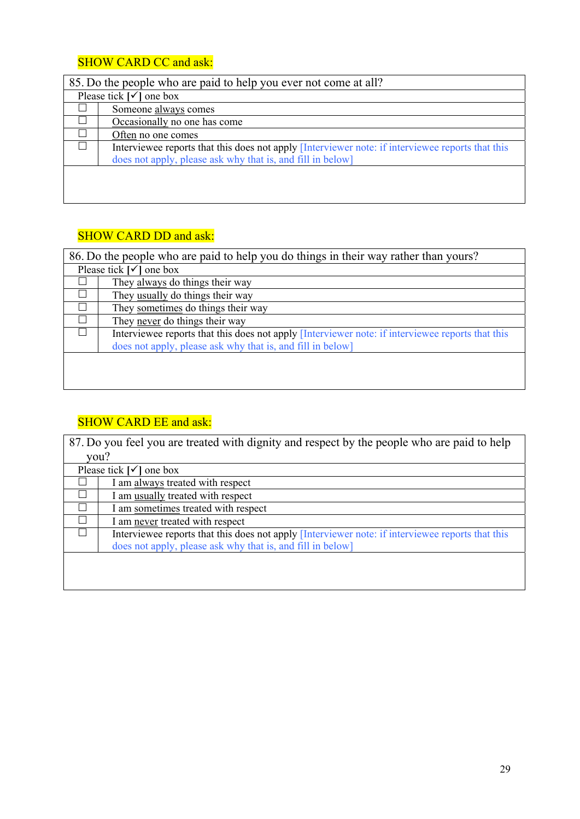## SHOW CARD CC and ask:

| 85. Do the people who are paid to help you ever not come at all? |                                                                                                         |  |
|------------------------------------------------------------------|---------------------------------------------------------------------------------------------------------|--|
|                                                                  | Please tick $\lceil \checkmark \rceil$ one box                                                          |  |
|                                                                  | Someone always comes                                                                                    |  |
|                                                                  | Occasionally no one has come                                                                            |  |
|                                                                  | Often no one comes                                                                                      |  |
|                                                                  | Interviewee reports that this does not apply <i>[Interviewer note: if interviewee reports that this</i> |  |
|                                                                  | does not apply, please ask why that is, and fill in below]                                              |  |
|                                                                  |                                                                                                         |  |
|                                                                  |                                                                                                         |  |
|                                                                  |                                                                                                         |  |

## SHOW CARD DD and ask:

| 86. Do the people who are paid to help you do things in their way rather than yours? |                                                                                                         |  |
|--------------------------------------------------------------------------------------|---------------------------------------------------------------------------------------------------------|--|
|                                                                                      | Please tick $\lceil \checkmark \rceil$ one box                                                          |  |
|                                                                                      | They always do things their way                                                                         |  |
|                                                                                      | They usually do things their way                                                                        |  |
|                                                                                      | They sometimes do things their way                                                                      |  |
|                                                                                      | They never do things their way                                                                          |  |
|                                                                                      | Interviewee reports that this does not apply <i>[Interviewer note: if interviewee reports that this</i> |  |
|                                                                                      | does not apply, please ask why that is, and fill in below]                                              |  |
|                                                                                      |                                                                                                         |  |
|                                                                                      |                                                                                                         |  |
|                                                                                      |                                                                                                         |  |

## SHOW CARD EE and ask:

| 87. Do you feel you are treated with dignity and respect by the people who are paid to help |                                                                                                         |
|---------------------------------------------------------------------------------------------|---------------------------------------------------------------------------------------------------------|
| you?                                                                                        |                                                                                                         |
|                                                                                             | Please tick $\lceil \checkmark \rceil$ one box                                                          |
|                                                                                             | I am always treated with respect                                                                        |
|                                                                                             | I am usually treated with respect                                                                       |
|                                                                                             | I am sometimes treated with respect                                                                     |
|                                                                                             | I am never treated with respect                                                                         |
|                                                                                             | Interviewee reports that this does not apply <i>[Interviewer note: if interviewee reports that this</i> |
|                                                                                             | does not apply, please ask why that is, and fill in below]                                              |
|                                                                                             |                                                                                                         |
|                                                                                             |                                                                                                         |
|                                                                                             |                                                                                                         |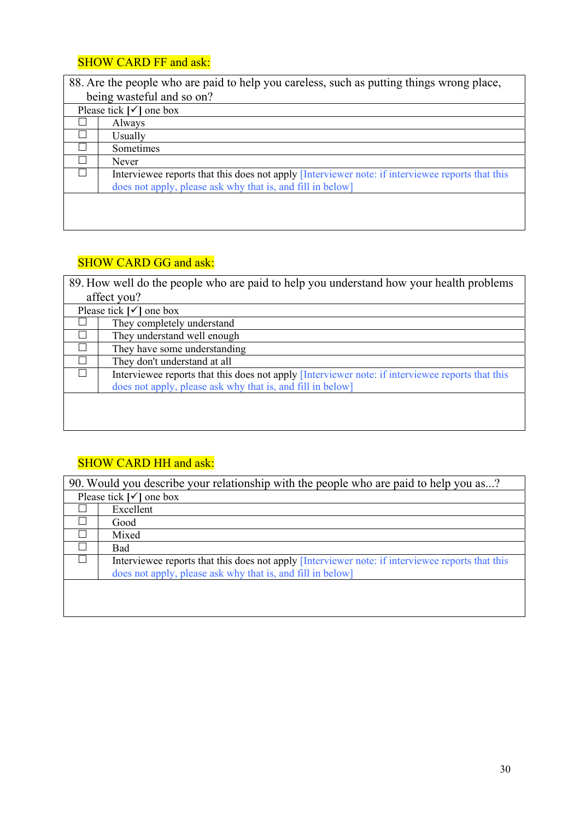### SHOW CARD FF and ask:

| 88. Are the people who are paid to help you careless, such as putting things wrong place, |                                                                                                         |  |
|-------------------------------------------------------------------------------------------|---------------------------------------------------------------------------------------------------------|--|
|                                                                                           | being wasteful and so on?                                                                               |  |
|                                                                                           | Please tick $\lceil \checkmark \rceil$ one box                                                          |  |
|                                                                                           | Always                                                                                                  |  |
|                                                                                           | Usually                                                                                                 |  |
|                                                                                           | <b>Sometimes</b>                                                                                        |  |
|                                                                                           | Never                                                                                                   |  |
|                                                                                           | Interviewee reports that this does not apply <i>[Interviewer note: if interviewee reports that this</i> |  |
|                                                                                           | does not apply, please ask why that is, and fill in below]                                              |  |
|                                                                                           |                                                                                                         |  |
|                                                                                           |                                                                                                         |  |
|                                                                                           |                                                                                                         |  |

## SHOW CARD GG and ask:

| 89. How well do the people who are paid to help you understand how your health problems |                                                                                                         |  |
|-----------------------------------------------------------------------------------------|---------------------------------------------------------------------------------------------------------|--|
|                                                                                         | affect you?                                                                                             |  |
|                                                                                         | Please tick $\lceil \checkmark \rceil$ one box                                                          |  |
|                                                                                         | They completely understand                                                                              |  |
|                                                                                         | They understand well enough                                                                             |  |
|                                                                                         | They have some understanding                                                                            |  |
|                                                                                         | They don't understand at all                                                                            |  |
|                                                                                         | Interviewee reports that this does not apply <i>[Interviewer note: if interviewee reports that this</i> |  |
|                                                                                         | does not apply, please ask why that is, and fill in below]                                              |  |
|                                                                                         |                                                                                                         |  |
|                                                                                         |                                                                                                         |  |
|                                                                                         |                                                                                                         |  |

# SHOW CARD HH and ask:

| 90. Would you describe your relationship with the people who are paid to help you as? |                                                                                                         |  |
|---------------------------------------------------------------------------------------|---------------------------------------------------------------------------------------------------------|--|
|                                                                                       | Please tick $\lceil \checkmark \rceil$ one box                                                          |  |
|                                                                                       | Excellent                                                                                               |  |
|                                                                                       | Good                                                                                                    |  |
|                                                                                       | Mixed                                                                                                   |  |
|                                                                                       | Bad                                                                                                     |  |
|                                                                                       | Interviewee reports that this does not apply <i>[Interviewer note: if interviewee reports that this</i> |  |
|                                                                                       | does not apply, please ask why that is, and fill in below]                                              |  |
|                                                                                       |                                                                                                         |  |
|                                                                                       |                                                                                                         |  |
|                                                                                       |                                                                                                         |  |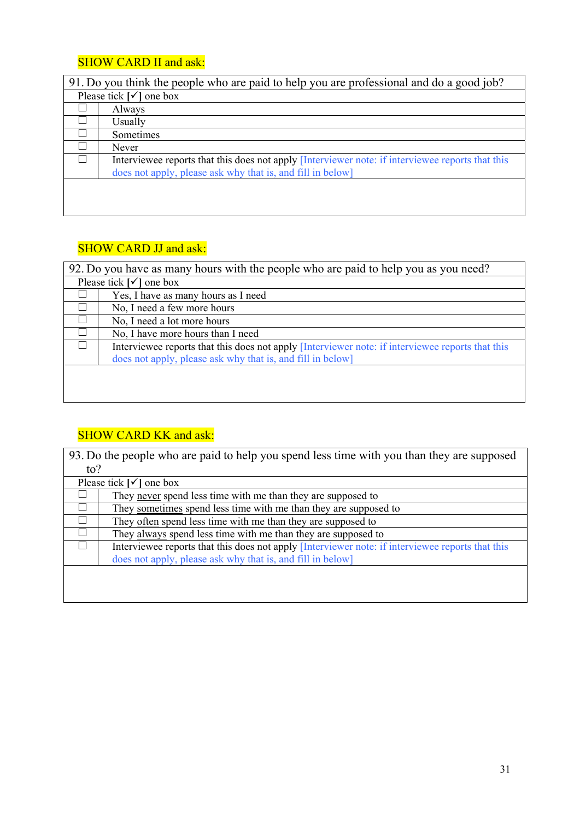## SHOW CARD II and ask:

| 91. Do you think the people who are paid to help you are professional and do a good job? |                                                                                                         |  |  |  |  |
|------------------------------------------------------------------------------------------|---------------------------------------------------------------------------------------------------------|--|--|--|--|
| Please tick $\lceil \checkmark \rceil$ one box                                           |                                                                                                         |  |  |  |  |
|                                                                                          | Always                                                                                                  |  |  |  |  |
|                                                                                          | Usually                                                                                                 |  |  |  |  |
|                                                                                          | Sometimes                                                                                               |  |  |  |  |
|                                                                                          | Never                                                                                                   |  |  |  |  |
|                                                                                          | Interviewee reports that this does not apply <i>[Interviewer note: if interviewee reports that this</i> |  |  |  |  |
|                                                                                          | does not apply, please ask why that is, and fill in below]                                              |  |  |  |  |
|                                                                                          |                                                                                                         |  |  |  |  |
|                                                                                          |                                                                                                         |  |  |  |  |
|                                                                                          |                                                                                                         |  |  |  |  |

# SHOW CARD JJ and ask:

| 92. Do you have as many hours with the people who are paid to help you as you need? |                                                                                                         |  |  |  |  |
|-------------------------------------------------------------------------------------|---------------------------------------------------------------------------------------------------------|--|--|--|--|
| Please tick $\lceil \checkmark \rceil$ one box                                      |                                                                                                         |  |  |  |  |
|                                                                                     | Yes, I have as many hours as I need                                                                     |  |  |  |  |
|                                                                                     | No, I need a few more hours                                                                             |  |  |  |  |
|                                                                                     | No, I need a lot more hours                                                                             |  |  |  |  |
|                                                                                     | No, I have more hours than I need                                                                       |  |  |  |  |
|                                                                                     | Interviewee reports that this does not apply <i>[Interviewer note: if interviewee reports that this</i> |  |  |  |  |
|                                                                                     | does not apply, please ask why that is, and fill in below]                                              |  |  |  |  |
|                                                                                     |                                                                                                         |  |  |  |  |
|                                                                                     |                                                                                                         |  |  |  |  |
|                                                                                     |                                                                                                         |  |  |  |  |

# SHOW CARD KK and ask:

93. Do the people who are paid to help you spend less time with you than they are supposed to?

| Please tick $\lceil \checkmark \rceil$ one box |                                                                                                         |  |  |  |  |  |
|------------------------------------------------|---------------------------------------------------------------------------------------------------------|--|--|--|--|--|
|                                                | They never spend less time with me than they are supposed to                                            |  |  |  |  |  |
|                                                | They sometimes spend less time with me than they are supposed to                                        |  |  |  |  |  |
|                                                | They often spend less time with me than they are supposed to                                            |  |  |  |  |  |
|                                                | They always spend less time with me than they are supposed to                                           |  |  |  |  |  |
|                                                | Interviewee reports that this does not apply <i>[Interviewer note: if interviewee reports that this</i> |  |  |  |  |  |
|                                                | does not apply, please ask why that is, and fill in below]                                              |  |  |  |  |  |
|                                                |                                                                                                         |  |  |  |  |  |
|                                                |                                                                                                         |  |  |  |  |  |
|                                                |                                                                                                         |  |  |  |  |  |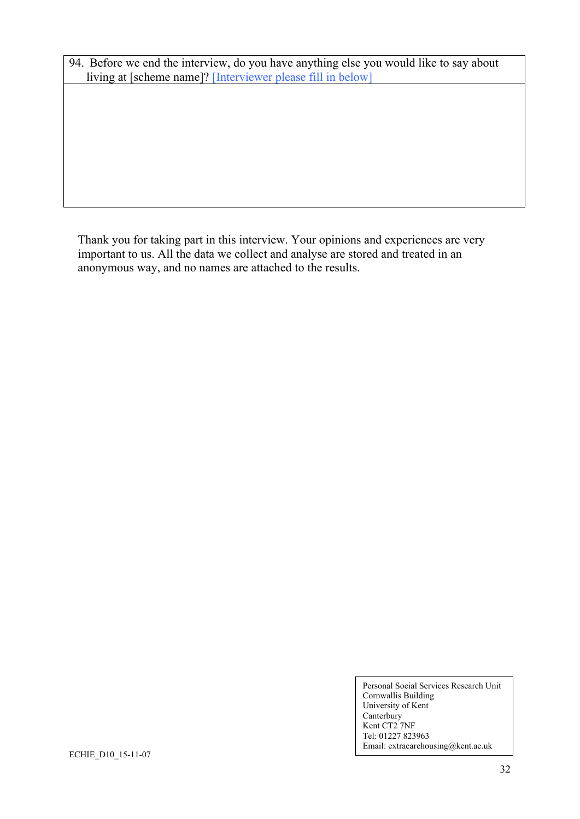94. Before we end the interview, do you have anything else you would like to say about living at [scheme name]? [Interviewer please fill in below]

Thank you for taking part in this interview. Your opinions and experiences are very important to us. All the data we collect and analyse are stored and treated in an anonymous way, and no names are attached to the results.

> Personal Social Services Research Unit Cornwallis Building University of Kent **Canterbury** Kent CT2 7NF Tel: 01227 823963 Email: extracarehousing@kent.ac.uk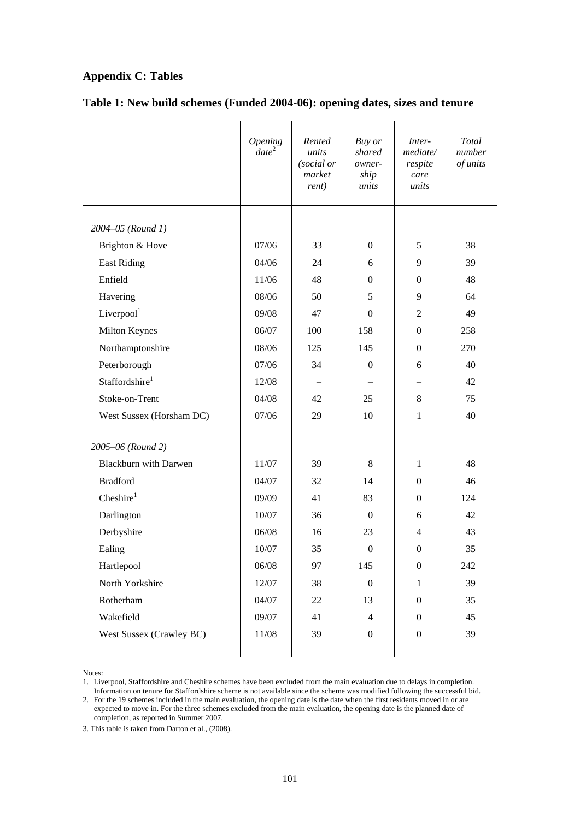#### **Appendix C: Tables**

|                              | <b>Opening</b><br>$date^2$ | Rented<br>units<br>(social or<br>market<br>rent) | Buy or<br>shared<br>owner-<br>ship<br>units | Inter-<br>mediate/<br>respite<br>care<br>units | Total<br>number<br>of units |
|------------------------------|----------------------------|--------------------------------------------------|---------------------------------------------|------------------------------------------------|-----------------------------|
| 2004-05 (Round 1)            |                            |                                                  |                                             |                                                |                             |
| Brighton & Hove              | 07/06                      | 33                                               | $\mathbf{0}$                                | 5                                              | 38                          |
| <b>East Riding</b>           | 04/06                      | 24                                               | 6                                           | 9                                              | 39                          |
| Enfield                      | 11/06                      | 48                                               | $\theta$                                    | $\mathbf{0}$                                   | 48                          |
| Havering                     | 08/06                      | 50                                               | 5                                           | 9                                              | 64                          |
| Liverpool $1$                | 09/08                      | 47                                               | $\Omega$                                    | $\overline{2}$                                 | 49                          |
| Milton Keynes                | 06/07                      | 100                                              | 158                                         | $\mathbf{0}$                                   | 258                         |
| Northamptonshire             | 08/06                      | 125                                              | 145                                         | $\Omega$                                       | 270                         |
| Peterborough                 | 07/06                      | 34                                               | $\Omega$                                    | 6                                              | 40                          |
| Staffordshire <sup>1</sup>   | 12/08                      |                                                  |                                             |                                                | 42                          |
| Stoke-on-Trent               | 04/08                      | 42                                               | 25                                          | 8                                              | 75                          |
| West Sussex (Horsham DC)     | 07/06                      | 29                                               | 10                                          | $\mathbf{1}$                                   | 40                          |
| 2005-06 (Round 2)            |                            |                                                  |                                             |                                                |                             |
| <b>Blackburn with Darwen</b> | 11/07                      | 39                                               | 8                                           | 1                                              | 48                          |
| <b>Bradford</b>              | 04/07                      | 32                                               | 14                                          | $\mathbf{0}$                                   | 46                          |
| Cheshire <sup>1</sup>        | 09/09                      | 41                                               | 83                                          | $\Omega$                                       | 124                         |
| Darlington                   | 10/07                      | 36                                               | $\Omega$                                    | 6                                              | 42                          |
| Derbyshire                   | 06/08                      | 16                                               | 23                                          | $\overline{4}$                                 | 43                          |
| Ealing                       | 10/07                      | 35                                               | $\boldsymbol{0}$                            | $\theta$                                       | 35                          |
| Hartlepool                   | 06/08                      | 97                                               | 145                                         | $\mathbf{0}$                                   | 242                         |
| North Yorkshire              | 12/07                      | 38                                               | $\boldsymbol{0}$                            | $\mathbf{1}$                                   | 39                          |
| Rotherham                    | 04/07                      | 22                                               | 13                                          | $\mathbf{0}$                                   | 35                          |
| Wakefield                    | 09/07                      | 41                                               | $\overline{4}$                              | $\mathbf{0}$                                   | 45                          |
| West Sussex (Crawley BC)     | 11/08                      | 39                                               | $\boldsymbol{0}$                            | $\boldsymbol{0}$                               | 39                          |

#### **Table 1: New build schemes (Funded 2004-06): opening dates, sizes and tenure**

Notes:

1. Liverpool, Staffordshire and Cheshire schemes have been excluded from the main evaluation due to delays in completion.

Information on tenure for Staffordshire scheme is not available since the scheme was modified following the successful bid.

2. For the 19 schemes included in the main evaluation, the opening date is the date when the first residents moved in or are expected to move in. For the three schemes excluded from the main evaluation, the opening date is the planned date of completion, as reported in Summer 2007.

3. This table is taken from Darton et al., (2008).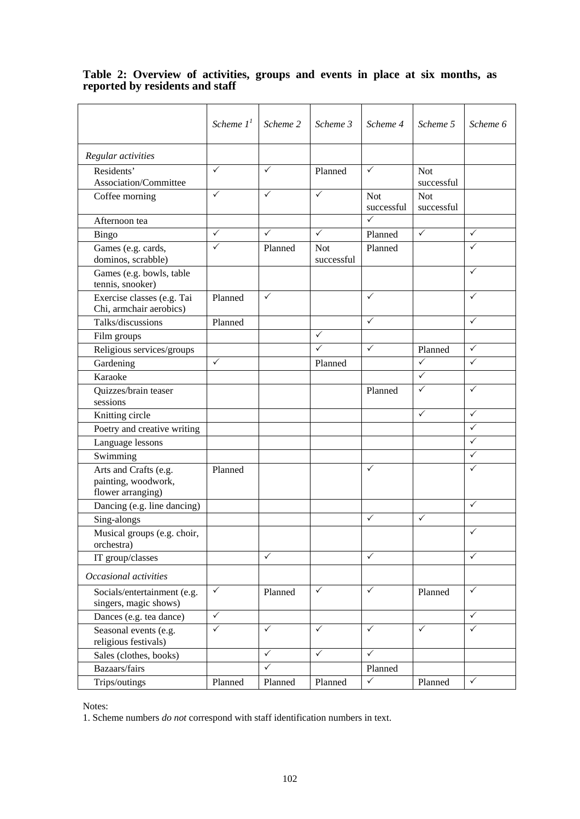|                                                                   | Scheme $11$  | Scheme 2     | Scheme 3                 | Scheme 4                 | Scheme 5                 | Scheme 6     |
|-------------------------------------------------------------------|--------------|--------------|--------------------------|--------------------------|--------------------------|--------------|
| Regular activities                                                |              |              |                          |                          |                          |              |
| Residents'<br>Association/Committee                               | $\checkmark$ | $\checkmark$ | Planned                  | $\checkmark$             | <b>Not</b><br>successful |              |
| Coffee morning                                                    | ✓            | ✓            | $\checkmark$             | <b>Not</b><br>successful | <b>Not</b><br>successful |              |
| Afternoon tea                                                     |              |              |                          | $\checkmark$             |                          |              |
| <b>Bingo</b>                                                      | $\checkmark$ | $\checkmark$ | $\checkmark$             | Planned                  | $\checkmark$             | ✓            |
| Games (e.g. cards,<br>dominos, scrabble)                          | ✓            | Planned      | <b>Not</b><br>successful | Planned                  |                          | ✓            |
| Games (e.g. bowls, table<br>tennis, snooker)                      |              |              |                          |                          |                          | ✓            |
| Exercise classes (e.g. Tai<br>Chi, armchair aerobics)             | Planned      | $\checkmark$ |                          | ✓                        |                          | ✓            |
| Talks/discussions                                                 | Planned      |              |                          | $\checkmark$             |                          | ✓            |
| Film groups                                                       |              |              | ✓                        |                          |                          |              |
| Religious services/groups                                         |              |              | ✓                        | $\checkmark$             | Planned                  | ✓            |
| Gardening                                                         | $\checkmark$ |              | Planned                  |                          | $\checkmark$             | ✓            |
| Karaoke                                                           |              |              |                          |                          | $\checkmark$             |              |
| Quizzes/brain teaser<br>sessions                                  |              |              |                          | Planned                  | $\checkmark$             | $\checkmark$ |
| Knitting circle                                                   |              |              |                          |                          | $\checkmark$             | ✓            |
| Poetry and creative writing                                       |              |              |                          |                          |                          | ✓            |
| Language lessons                                                  |              |              |                          |                          |                          | ✓            |
| Swimming                                                          |              |              |                          |                          |                          | $\checkmark$ |
| Arts and Crafts (e.g.<br>painting, woodwork,<br>flower arranging) | Planned      |              |                          | ✓                        |                          | ✓            |
| Dancing (e.g. line dancing)                                       |              |              |                          |                          |                          | ✓            |
| Sing-alongs                                                       |              |              |                          | $\checkmark$             | $\checkmark$             |              |
| Musical groups (e.g. choir,<br>orchestra)                         |              |              |                          |                          |                          | ✓            |
| IT group/classes                                                  |              | $\checkmark$ |                          | ✓                        |                          | ✓            |
| Occasional activities                                             |              |              |                          |                          |                          |              |
| Socials/entertainment (e.g.<br>singers, magic shows)              | $\checkmark$ | Planned      | $\checkmark$             | $\checkmark$             | Planned                  | ✓            |
| Dances (e.g. tea dance)                                           | $\checkmark$ |              |                          |                          |                          | ✓            |
| Seasonal events (e.g.<br>religious festivals)                     | $\checkmark$ | $\checkmark$ | $\checkmark$             | $\checkmark$             | $\checkmark$             | $\checkmark$ |
| Sales (clothes, books)                                            |              | $\checkmark$ | $\checkmark$             | $\checkmark$             |                          |              |
| Bazaars/fairs                                                     |              | $\checkmark$ |                          | Planned                  |                          |              |
| Trips/outings                                                     | Planned      | Planned      | Planned                  | $\checkmark$             | Planned                  | $\checkmark$ |

## **Table 2: Overview of activities, groups and events in place at six months, as reported by residents and staff**

Notes:

1. Scheme numbers *do not* correspond with staff identification numbers in text.